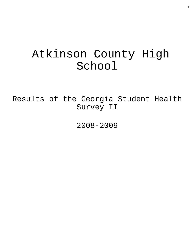# Atkinson County High School

Results of the Georgia Student Health Survey II

2008-2009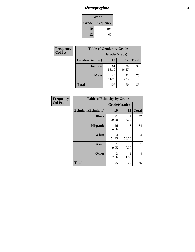### *Demographics* **2**

| Grade                    |     |  |  |
|--------------------------|-----|--|--|
| <b>Grade   Frequency</b> |     |  |  |
| 10                       | 105 |  |  |
| 12                       | 60  |  |  |

| Frequency      | <b>Table of Gender by Grade</b> |              |             |              |  |
|----------------|---------------------------------|--------------|-------------|--------------|--|
| <b>Col Pct</b> |                                 | Grade(Grade) |             |              |  |
|                | Gender(Gender)                  | 10           | 12          | <b>Total</b> |  |
|                | <b>Female</b>                   | 61<br>58.10  | 28<br>46.67 | 89           |  |
|                | <b>Male</b>                     | 44<br>41.90  | 32<br>53.33 | 76           |  |
|                | <b>Total</b>                    | 105          | 60          | 165          |  |

| <b>Frequency</b> |
|------------------|
| <b>Col Pct</b>   |

| <b>Table of Ethnicity by Grade</b> |              |             |              |  |  |  |
|------------------------------------|--------------|-------------|--------------|--|--|--|
|                                    | Grade(Grade) |             |              |  |  |  |
| <b>Ethnicity</b> (Ethnicity)       | 10           | 12          | <b>Total</b> |  |  |  |
| <b>Black</b>                       | 21<br>20.00  | 21<br>35.00 | 42           |  |  |  |
| <b>Hispanic</b>                    | 26<br>24.76  | 8<br>13.33  | 34           |  |  |  |
| <b>White</b>                       | 54<br>51.43  | 30<br>50.00 | 84           |  |  |  |
| <b>Asian</b>                       | 1<br>0.95    | 0<br>0.00   | 1            |  |  |  |
| <b>Other</b>                       | 3<br>2.86    | 1<br>1.67   | 4            |  |  |  |
| <b>Total</b>                       | 105          | 60          | 165          |  |  |  |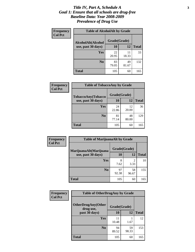#### *Title IV, Part A, Schedule A* **3** *Goal 1: Ensure that all schools are drug-free Baseline Data: Year 2008-2009 Prevalence of Drug Use*

| Frequency<br><b>Col Pct</b> | <b>Table of AlcoholAlt by Grade</b> |              |             |              |  |
|-----------------------------|-------------------------------------|--------------|-------------|--------------|--|
|                             | AlcoholAlt(Alcohol                  | Grade(Grade) |             |              |  |
|                             | use, past 30 days)                  | 10           | 12          | <b>Total</b> |  |
|                             | Yes                                 | 22<br>20.95  | 11<br>18.33 | 33           |  |
|                             | N <sub>0</sub>                      | 83<br>79.05  | 49<br>81.67 | 132          |  |
|                             | Total                               | 105          | 60          | 165          |  |

| Frequency      | <b>Table of TobaccoAny by Grade</b> |              |             |              |  |  |
|----------------|-------------------------------------|--------------|-------------|--------------|--|--|
| <b>Col Pct</b> | <b>TobaccoAny(Tobacco</b>           | Grade(Grade) |             |              |  |  |
|                | use, past 30 days)                  | 10           | 12          | <b>Total</b> |  |  |
|                | Yes                                 | 24<br>22.86  | 12<br>20.00 | 36           |  |  |
|                | N <sub>0</sub>                      | 81<br>77.14  | 48<br>80.00 | 129          |  |  |
|                | Total                               | 105          | 60          | 165          |  |  |

| Frequency<br><b>Col Pct</b> | <b>Table of MarijuanaAlt by Grade</b> |              |                        |              |  |  |
|-----------------------------|---------------------------------------|--------------|------------------------|--------------|--|--|
|                             | MarijuanaAlt(Marijuana                | Grade(Grade) |                        |              |  |  |
|                             | use, past 30 days)                    | 10           | 12                     | <b>Total</b> |  |  |
|                             | <b>Yes</b>                            | 8<br>7.62    | $\mathfrak{D}$<br>3.33 | 10           |  |  |
|                             | N <sub>0</sub>                        | 97<br>92.38  | 58<br>96.67            | 155          |  |  |
|                             | <b>Total</b>                          | 105          | 60                     | 165          |  |  |

| Frequency      | <b>Table of OtherDrugAny by Grade</b>  |              |             |              |  |
|----------------|----------------------------------------|--------------|-------------|--------------|--|
| <b>Col Pct</b> | <b>OtherDrugAny(Other</b><br>drug use, | Grade(Grade) |             |              |  |
|                | past 30 days)                          | 10           | 12          | <b>Total</b> |  |
|                | Yes                                    | 11<br>10.48  | 1.67        | 12           |  |
|                | N <sub>0</sub>                         | 94<br>89.52  | 59<br>98.33 | 153          |  |
|                | <b>Total</b>                           | 105          | 60          | 165          |  |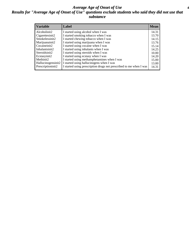#### *Average Age of Onset of Use* **4** *Results for "Average Age of Onset of Use" questions exclude students who said they did not use that substance*

| <b>Variable</b>    | Label                                                              | <b>Mean</b> |
|--------------------|--------------------------------------------------------------------|-------------|
| Alcoholinit2       | I started using alcohol when I was                                 | 14.31       |
| Cigarettesinit2    | I started smoking tobacco when I was                               | 13.70       |
| Smokelessinit2     | I started chewing tobacco when I was                               | 14.15       |
| Marijuanainit2     | I started using marijuana when I was                               | 13.76       |
| Cocaineinit2       | I started using cocaine when I was                                 | 15.14       |
| Inhalantsinit2     | I started using inhalants when I was                               | 14.25       |
| Steroidsinit2      | I started using steroids when I was                                | 10.00       |
| Ecstasyinit2       | I started using ecstasy when I was                                 | 14.20       |
| Methinit2          | I started using methamphetamines when I was                        | 15.00       |
| Hallucinogensinit2 | I started using hallucinogens when I was                           | 13.00       |
| Prescriptioninit2  | I started using prescription drugs not prescribed to me when I was | 14.31       |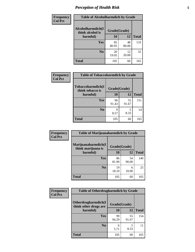### *Perception of Health Risk* **5**

| <b>Frequency</b> | <b>Table of Alcoholharmdich by Grade</b> |              |             |              |  |
|------------------|------------------------------------------|--------------|-------------|--------------|--|
| <b>Col Pct</b>   | Alcoholharmdich(I<br>think alcohol is    | Grade(Grade) |             |              |  |
|                  | harmful)                                 | 10           | 12          | <b>Total</b> |  |
|                  | <b>Yes</b>                               | 85<br>80.95  | 48<br>80.00 | 133          |  |
|                  | N <sub>0</sub>                           | 20<br>19.05  | 12<br>20.00 | 32           |  |
|                  | <b>Total</b>                             | 105          | 60          | 165          |  |

| Frequency      | <b>Table of Tobaccoharmdich by Grade</b> |              |             |              |  |
|----------------|------------------------------------------|--------------|-------------|--------------|--|
| <b>Col Pct</b> | Tobaccoharmdich(I<br>think tobacco is    | Grade(Grade) |             |              |  |
|                | harmful)                                 | 10           | 12          | <b>Total</b> |  |
|                | <b>Yes</b>                               | 96<br>91.43  | 55<br>91.67 | 151          |  |
|                | N <sub>0</sub>                           | q<br>8.57    | 5<br>8.33   | 14           |  |
|                | <b>Total</b>                             | 105          | 60          | 165          |  |

| Frequency      | <b>Table of Marijuanaharmdich by Grade</b> |              |             |              |  |  |
|----------------|--------------------------------------------|--------------|-------------|--------------|--|--|
| <b>Col Pct</b> | Marijuanaharmdich(I<br>think marijuana is  | Grade(Grade) |             |              |  |  |
|                | harmful)                                   | 10           | 12          | <b>Total</b> |  |  |
|                | Yes                                        | 86<br>81.90  | 54<br>90.00 | 140          |  |  |
|                | N <sub>0</sub>                             | 19<br>18.10  | 6<br>10.00  | 25           |  |  |
|                | <b>Total</b>                               | 105          | 60          | 165          |  |  |

| <b>Frequency</b> | <b>Table of Otherdrugharmdich by Grade</b>   |              |             |              |  |  |
|------------------|----------------------------------------------|--------------|-------------|--------------|--|--|
| <b>Col Pct</b>   | Otherdrugharmdich(I<br>think other drugs are | Grade(Grade) |             |              |  |  |
|                  | harmful)                                     | <b>10</b>    | 12          | <b>Total</b> |  |  |
|                  | <b>Yes</b>                                   | 99<br>94.29  | 55<br>91.67 | 154          |  |  |
|                  | N <sub>0</sub>                               | 6<br>5.71    | 5<br>8.33   | 11           |  |  |
|                  | <b>Total</b>                                 | 105          | 60          | 165          |  |  |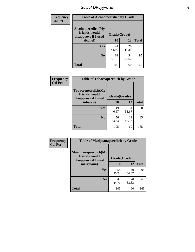### *Social Disapproval* **6**

| Frequency      | <b>Table of Alcoholpeerdich by Grade</b>                    |              |             |              |  |  |
|----------------|-------------------------------------------------------------|--------------|-------------|--------------|--|--|
| <b>Col Pct</b> | Alcoholpeerdich(My<br>friends would<br>disapprove if I used | Grade(Grade) |             |              |  |  |
|                | alcohol)                                                    | 10           | 12          | <b>Total</b> |  |  |
|                | Yes                                                         | 44<br>41.90  | 26<br>43.33 | 70           |  |  |
|                | N <sub>0</sub>                                              | 61<br>58.10  | 34<br>56.67 | 95           |  |  |
|                | <b>Total</b>                                                | 105          | 60          | 165          |  |  |

| <b>Frequency</b> |
|------------------|
| <b>Col Pct</b>   |

| <b>Table of Tobaccopeerdich by Grade</b>                    |              |             |              |  |  |  |
|-------------------------------------------------------------|--------------|-------------|--------------|--|--|--|
| Tobaccopeerdich(My<br>friends would<br>disapprove if I used | Grade(Grade) |             |              |  |  |  |
| tobacco)                                                    | 10           | 12          | <b>Total</b> |  |  |  |
| Yes                                                         | 49<br>46.67  | 31<br>51.67 | 80           |  |  |  |
| N <sub>0</sub>                                              | 56<br>53.33  | 29<br>48.33 | 85           |  |  |  |
| <b>Total</b>                                                | 105          | 60          | 165          |  |  |  |

| Frequency      | <b>Table of Marijuanapeerdich by Grade</b>                    |              |             |              |  |  |
|----------------|---------------------------------------------------------------|--------------|-------------|--------------|--|--|
| <b>Col Pct</b> | Marijuanapeerdich(My<br>friends would<br>disapprove if I used | Grade(Grade) |             |              |  |  |
|                | marijuana)                                                    | 10           | 12          | <b>Total</b> |  |  |
|                | <b>Yes</b>                                                    | 58<br>55.24  | 40<br>66.67 | 98           |  |  |
|                | N <sub>0</sub>                                                | 47<br>44.76  | 20<br>33.33 | 67           |  |  |
|                | <b>Total</b>                                                  | 105          | 60          | 165          |  |  |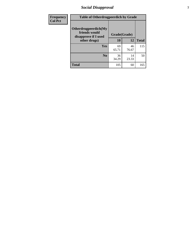### *Social Disapproval* **7**

| Frequency      | <b>Table of Otherdrugpeerdich by Grade</b>                    |             |              |              |  |  |  |
|----------------|---------------------------------------------------------------|-------------|--------------|--------------|--|--|--|
| <b>Col Pct</b> | Otherdrugpeerdich(My<br>friends would<br>disapprove if I used |             | Grade(Grade) |              |  |  |  |
|                | other drugs)                                                  | 10          | 12           | <b>Total</b> |  |  |  |
|                | Yes                                                           | 69<br>65.71 | 46<br>76.67  | 115          |  |  |  |
|                | N <sub>0</sub>                                                | 36<br>34.29 | 14<br>23.33  | 50           |  |  |  |
|                | <b>Total</b>                                                  | 105         | 60           | 165          |  |  |  |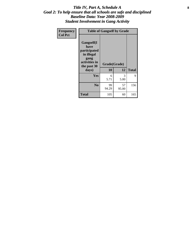#### Title IV, Part A, Schedule A **8** *Goal 2: To help ensure that all schools are safe and disciplined Baseline Data: Year 2008-2009 Student Involvement in Gang Activity*

| Frequency      |                                                                                                   | <b>Table of Gangself by Grade</b> |             |              |
|----------------|---------------------------------------------------------------------------------------------------|-----------------------------------|-------------|--------------|
| <b>Col Pct</b> | Gangself(I<br>have<br>participated<br>in illegal<br>gang<br>activities in<br>the past 30<br>days) | Grade(Grade)<br>10                | 12          | <b>Total</b> |
|                | Yes                                                                                               | 6<br>5.71                         | 3<br>5.00   | 9            |
|                | N <sub>0</sub>                                                                                    | 99<br>94.29                       | 57<br>95.00 | 156          |
|                | <b>Total</b>                                                                                      | 105                               | 60          | 165          |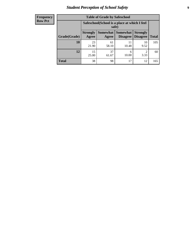### *Student Perception of School Safety* **9**

| <b>Frequency</b><br>Row Pct |
|-----------------------------|
|                             |

| <b>Table of Grade by Safeschool</b> |                                                        |             |                                 |                                    |              |  |
|-------------------------------------|--------------------------------------------------------|-------------|---------------------------------|------------------------------------|--------------|--|
|                                     | Safeschool (School is a place at which I feel<br>safe) |             |                                 |                                    |              |  |
| Grade(Grade)                        | <b>Strongly</b><br>Agree                               | Agree       | Somewhat   Somewhat<br>Disagree | <b>Strongly</b><br><b>Disagree</b> | <b>Total</b> |  |
| 10                                  | 23<br>21.90                                            | 61<br>58.10 | 11<br>10.48                     | 10<br>9.52                         | 105          |  |
| 12                                  | 15<br>25.00                                            | 37<br>61.67 | 6<br>10.00                      | $\mathfrak{D}$<br>3.33             | 60           |  |
| <b>Total</b>                        | 38                                                     | 98          | 17                              | 12                                 | 165          |  |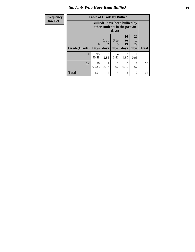#### *Students Who Have Been Bullied* **10**

| Frequency      |  |
|----------------|--|
| <b>Row Pct</b> |  |

## **Table of Grade by Bullied**

┑

|              |                             | <b>Bullied</b> (I have been bullied by<br>other students in the past 30<br>days) |                   |                        |                               |              |
|--------------|-----------------------------|----------------------------------------------------------------------------------|-------------------|------------------------|-------------------------------|--------------|
| Grade(Grade) | $\mathbf{0}$<br><b>Days</b> | 1 or<br>$\mathbf{2}$<br>days                                                     | 3 to<br>5<br>days | 10<br>to<br>19<br>days | <b>20</b><br>to<br>29<br>days | <b>Total</b> |
| 10           | 95<br>90.48                 | 3<br>2.86                                                                        | 4<br>3.81         | 2<br>1.90              | 0.95                          | 105          |
| 12           | 56<br>93.33                 | $\overline{c}$<br>3.33                                                           | 1.67              | 0<br>0.00              | 1.67                          | 60           |
| Total        | 151                         | 5                                                                                | 5                 | 2                      | 2                             | 165          |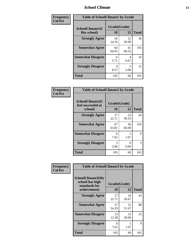#### *School Climate* **11**

| Frequency      | <b>Table of SchoolClimate1 by Grade</b> |                    |             |              |  |  |
|----------------|-----------------------------------------|--------------------|-------------|--------------|--|--|
| <b>Col Pct</b> | SchoolClimate1(I<br>like school)        | Grade(Grade)<br>10 | 12          | <b>Total</b> |  |  |
|                | <b>Strongly Agree</b>                   | 26<br>24.76        | 12<br>20.00 | 38           |  |  |
|                | <b>Somewhat Agree</b>                   | 64<br>60.95        | 41<br>68.33 | 105          |  |  |
|                | <b>Somewhat Disagree</b>                | 6<br>5.71          | 4<br>6.67   | 10           |  |  |
|                | <b>Strongly Disagree</b>                | 9<br>8.57          | 3<br>5.00   | 12           |  |  |
|                | <b>Total</b>                            | 105                | 60          | 165          |  |  |

| Frequency      | <b>Table of SchoolClimate2 by Grade</b>           |                       |             |              |
|----------------|---------------------------------------------------|-----------------------|-------------|--------------|
| <b>Col Pct</b> | SchoolClimate2(I<br>feel successful at<br>school) | Grade(Grade)<br>10    | 12          | <b>Total</b> |
|                | <b>Strongly Agree</b>                             | 27<br>25.71           | 23<br>38.33 | 50           |
|                | <b>Somewhat Agree</b>                             | 67<br>63.81           | 36<br>60.00 | 103          |
|                | <b>Somewhat Disagree</b>                          | 8<br>7.62             | 1.67        | 9            |
|                | <b>Strongly Disagree</b>                          | $\mathcal{R}$<br>2.86 | 0<br>0.00   | 3            |
|                | <b>Total</b>                                      | 105                   | 60          | 165          |

| Frequency<br><b>Col Pct</b> | <b>Table of SchoolClimate3 by Grade</b>               |              |             |              |
|-----------------------------|-------------------------------------------------------|--------------|-------------|--------------|
|                             | SchoolClimate3(My<br>school has high<br>standards for | Grade(Grade) |             |              |
|                             | achievement)                                          | <b>10</b>    | 12          | <b>Total</b> |
|                             | <b>Strongly Agree</b>                                 | 27<br>25.71  | 16<br>26.67 | 43           |
|                             | <b>Somewhat Agree</b>                                 | 57<br>54.29  | 31<br>51.67 | 88           |
|                             | <b>Somewhat Disagree</b>                              | 13<br>12.38  | 12<br>20.00 | 25           |
|                             | <b>Strongly Disagree</b>                              | 8<br>7.62    | 1.67        | 9            |
|                             | Total                                                 | 105          | 60          | 165          |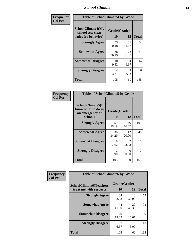#### *School Climate* **12**

| Frequency      |                                                               | <b>Table of SchoolClimate4 by Grade</b> |                        |              |  |
|----------------|---------------------------------------------------------------|-----------------------------------------|------------------------|--------------|--|
| <b>Col Pct</b> | SchoolClimate4(My<br>school sets clear<br>rules for behavior) | Grade(Grade)<br>10                      | 12                     | <b>Total</b> |  |
|                | <b>Strongly Agree</b>                                         | 53<br>50.48                             | 31<br>51.67            | 84           |  |
|                | <b>Somewhat Agree</b>                                         | 38<br>36.19                             | 23<br>38.33            | 61           |  |
|                | <b>Somewhat Disagree</b>                                      | 10<br>9.52                              | 4<br>6.67              | 14           |  |
|                | <b>Strongly Disagree</b>                                      | 4<br>3.81                               | $\mathfrak{D}$<br>3.33 | 6            |  |
|                | <b>Total</b>                                                  | 105                                     | 60                     | 165          |  |

| <b>Table of SchoolClimate5 by Grade</b>                   |                    |                        |              |  |
|-----------------------------------------------------------|--------------------|------------------------|--------------|--|
| SchoolClimate5(I<br>know what to do in<br>an emergency at | Grade(Grade)<br>10 | 12                     | <b>Total</b> |  |
| school)                                                   |                    |                        |              |  |
| <b>Strongly Agree</b>                                     | 59<br>56.19        | 46<br>76.67            | 105          |  |
| <b>Somewhat Agree</b>                                     | 36<br>34.29        | 12<br>20.00            | 48           |  |
| <b>Somewhat Disagree</b>                                  | 8<br>7.62          | $\mathfrak{D}$<br>3.33 | 10           |  |
| <b>Strongly Disagree</b>                                  | 2<br>1.90          | 0<br>0.00              | 2            |  |
| <b>Total</b>                                              | 105                | 60                     | 165          |  |

| Frequency      | <b>Table of SchoolClimate6 by Grade</b>                  |                    |             |              |
|----------------|----------------------------------------------------------|--------------------|-------------|--------------|
| <b>Col Pct</b> | <b>SchoolClimate6(Teachers</b><br>treat me with respect) | Grade(Grade)<br>10 | 12          | <b>Total</b> |
|                | <b>Strongly Agree</b>                                    | 34<br>32.38        | 18<br>30.00 | 52           |
|                | <b>Somewhat Agree</b>                                    | 44<br>41.90        | 29<br>48.33 | 73           |
|                | <b>Somewhat Disagree</b>                                 | 20<br>19.05        | 10<br>16.67 | 30           |
|                | <b>Strongly Disagree</b>                                 | 6.67               | 3<br>5.00   | 10           |
|                | <b>Total</b>                                             | 105                | 60          | 165          |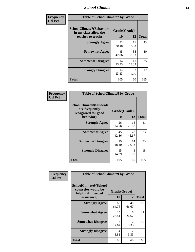#### *School Climate* **13**

| Frequency      | <b>Table of SchoolClimate7 by Grade</b>                                       |                           |                       |              |
|----------------|-------------------------------------------------------------------------------|---------------------------|-----------------------|--------------|
| <b>Col Pct</b> | <b>SchoolClimate7(Behaviors</b><br>in my class allow the<br>teacher to teach) | Grade(Grade)<br><b>10</b> | 12                    | <b>Total</b> |
|                | <b>Strongly Agree</b>                                                         | 32<br>30.48               | 11<br>18.33           | 43           |
|                | <b>Somewhat Agree</b>                                                         | 45<br>42.86               | 35<br>58.33           | 80           |
|                | <b>Somewhat Disagree</b>                                                      | 14<br>13.33               | 11<br>18.33           | 25           |
|                | <b>Strongly Disagree</b>                                                      | 14<br>13.33               | $\mathcal{R}$<br>5.00 | 17           |
|                | <b>Total</b>                                                                  | 105                       | 60                    | 165          |

| Frequency      | <b>Table of SchoolClimate8 by Grade</b>                                 |              |             |              |
|----------------|-------------------------------------------------------------------------|--------------|-------------|--------------|
| <b>Col Pct</b> | <b>SchoolClimate8(Students</b><br>are frequently<br>recognized for good | Grade(Grade) |             |              |
|                | behavior)                                                               | 10           | 12          | <b>Total</b> |
|                | <b>Strongly Agree</b>                                                   | 26<br>24.76  | 15<br>25.00 | 41           |
|                | <b>Somewhat Agree</b>                                                   | 45<br>42.86  | 28<br>46.67 | 73           |
|                | <b>Somewhat Disagree</b>                                                | 19<br>18.10  | 14<br>23.33 | 33           |
|                | <b>Strongly Disagree</b>                                                | 15<br>14.29  | 3<br>5.00   | 18           |
|                | <b>Total</b>                                                            | 105          | 60          | 165          |

| <b>Frequency</b> | <b>Table of SchoolClimate9 by Grade</b>                                                  |                    |                        |              |
|------------------|------------------------------------------------------------------------------------------|--------------------|------------------------|--------------|
| <b>Col Pct</b>   | <b>SchoolClimate9(School</b><br>counselor would be<br>helpful if I needed<br>assistance) | Grade(Grade)<br>10 | 12                     | <b>Total</b> |
|                  | <b>Strongly Agree</b>                                                                    | 68<br>64.76        | 40<br>66.67            | 108          |
|                  | <b>Somewhat Agree</b>                                                                    | 25<br>23.81        | 16<br>26.67            | 41           |
|                  | <b>Somewhat Disagree</b>                                                                 | 8<br>7.62          | $\mathfrak{D}$<br>3.33 | 10           |
|                  | <b>Strongly Disagree</b>                                                                 | 4<br>3.81          | 2<br>3.33              | 6            |
|                  | Total                                                                                    | 105                | 60                     | 165          |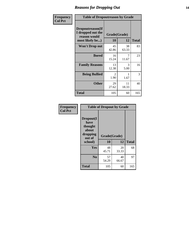### *Reasons for Dropping Out* **14**

| Frequency      | <b>Table of Dropoutreason by Grade</b>                                   |                    |             |              |
|----------------|--------------------------------------------------------------------------|--------------------|-------------|--------------|
| <b>Col Pct</b> | Dropoutreason(If<br>I dropped out the<br>reason would<br>most likely be) | Grade(Grade)<br>10 | 12          | <b>Total</b> |
|                | <b>Won't Drop out</b>                                                    | 45<br>42.86        | 38<br>63.33 | 83           |
|                | <b>Bored</b>                                                             | 16<br>15.24        | 7<br>11.67  | 23           |
|                | <b>Family Reasons</b>                                                    | 13<br>12.38        | 3<br>5.00   | 16           |
|                | <b>Being Bullied</b>                                                     | 2<br>1.90          | 1.67        | 3            |
|                | <b>Other</b>                                                             | 29<br>27.62        | 11<br>18.33 | 40           |
|                | <b>Total</b>                                                             | 105                | 60          | 165          |

| Frequency<br><b>Col Pct</b> | <b>Table of Dropout by Grade</b>                                       |                    |             |              |  |
|-----------------------------|------------------------------------------------------------------------|--------------------|-------------|--------------|--|
|                             | Dropout(I<br>have<br>thought<br>about<br>dropping<br>out of<br>school) | Grade(Grade)<br>10 | 12          | <b>Total</b> |  |
|                             | Yes                                                                    | 48                 | 20          | 68           |  |
|                             | N <sub>0</sub>                                                         | 45.71<br>57        | 33.33<br>40 | 97           |  |
|                             |                                                                        | 54.29              | 66.67       |              |  |
|                             | <b>Total</b>                                                           | 105                | 60          | 165          |  |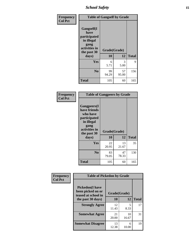*School Safety* **15**

| Frequency      | <b>Table of Gangself by Grade</b>                                                                 |                    |             |              |
|----------------|---------------------------------------------------------------------------------------------------|--------------------|-------------|--------------|
| <b>Col Pct</b> | Gangself(I<br>have<br>participated<br>in illegal<br>gang<br>activities in<br>the past 30<br>days) | Grade(Grade)<br>10 | 12          | <b>Total</b> |
|                | Yes                                                                                               | 6<br>5.71          | 3<br>5.00   | 9            |
|                | N <sub>0</sub>                                                                                    | 99<br>94.29        | 57<br>95.00 | 156          |
|                | <b>Total</b>                                                                                      | 105                | 60          | 165          |

| Frequency<br><b>Col Pct</b> | <b>Table of Gangpeers by Grade</b>                                                                                             |                    |             |              |  |
|-----------------------------|--------------------------------------------------------------------------------------------------------------------------------|--------------------|-------------|--------------|--|
|                             | <b>Gangpeers</b> (I<br>have friends<br>who have<br>participated<br>in illegal<br>gang<br>activities in<br>the past 30<br>days) | Grade(Grade)<br>10 | 12          | <b>Total</b> |  |
|                             | <b>Yes</b>                                                                                                                     | 22<br>20.95        | 13<br>21.67 | 35           |  |
|                             | N <sub>0</sub>                                                                                                                 | 83<br>79.05        | 47<br>78.33 | 130          |  |
|                             | <b>Total</b>                                                                                                                   | 105                | 60          | 165          |  |

| Frequency      | <b>Table of Pickedon by Grade</b>                                  |              |             |              |  |  |  |  |  |
|----------------|--------------------------------------------------------------------|--------------|-------------|--------------|--|--|--|--|--|
| <b>Col Pct</b> | <b>Pickedon(I have</b><br>been picked on or<br>teased at school in | Grade(Grade) |             |              |  |  |  |  |  |
|                | the past 30 days)                                                  | 10           | 12          | <b>Total</b> |  |  |  |  |  |
|                | <b>Strongly Agree</b>                                              | 12<br>11.43  | 5<br>8.33   | 17           |  |  |  |  |  |
|                | <b>Somewhat Agree</b>                                              | 21<br>20.00  | 10<br>16.67 | 31           |  |  |  |  |  |
|                | <b>Somewhat Disagree</b>                                           | 13<br>12.38  | 6<br>10.00  | 19           |  |  |  |  |  |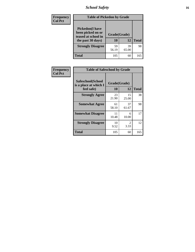### *School Safety* **16**

| Frequency      | <b>Table of Pickedon by Grade</b>                                                        |                    |             |              |
|----------------|------------------------------------------------------------------------------------------|--------------------|-------------|--------------|
| <b>Col Pct</b> | <b>Pickedon</b> (I have<br>been picked on or<br>teased at school in<br>the past 30 days) | Grade(Grade)<br>10 | 12          | <b>Total</b> |
|                | <b>Strongly Disagree</b>                                                                 | 59<br>56.19        | 39<br>65.00 | 98           |
|                | Total                                                                                    | 105                | 60          | 165          |

| Frequency      | <b>Table of Safeschool by Grade</b>                      |                    |                       |              |  |  |  |  |  |
|----------------|----------------------------------------------------------|--------------------|-----------------------|--------------|--|--|--|--|--|
| <b>Col Pct</b> | Safeschool(School<br>is a place at which I<br>feel safe) | Grade(Grade)<br>10 | 12                    | <b>Total</b> |  |  |  |  |  |
|                | <b>Strongly Agree</b>                                    | 23<br>21.90        | 15<br>25.00           | 38           |  |  |  |  |  |
|                | <b>Somewhat Agree</b>                                    | 61<br>58.10        | 37<br>61.67           | 98           |  |  |  |  |  |
|                | <b>Somewhat Disagree</b>                                 | 11<br>10.48        | 6<br>10.00            | 17           |  |  |  |  |  |
|                | <b>Strongly Disagree</b>                                 | 10<br>9.52         | $\mathcal{L}$<br>3.33 | 12           |  |  |  |  |  |
|                | <b>Total</b>                                             | 105                | 60                    | 165          |  |  |  |  |  |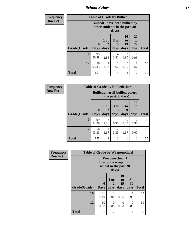*School Safety* **17**

| <b>Frequency</b> | <b>Table of Grade by Bullied</b> |                             |                                                                         |                              |                        |                        |              |  |  |
|------------------|----------------------------------|-----------------------------|-------------------------------------------------------------------------|------------------------------|------------------------|------------------------|--------------|--|--|
| <b>Row Pct</b>   |                                  |                             | <b>Bullied</b> (I have been bullied by<br>other students in the past 30 | days)                        |                        |                        |              |  |  |
|                  | Grade(Grade)                     | $\mathbf{0}$<br><b>Days</b> | 1 or<br>2<br>days                                                       | 3 <sub>to</sub><br>5<br>days | 10<br>to<br>19<br>days | 20<br>to<br>29<br>days | <b>Total</b> |  |  |
|                  | 10                               | 95<br>90.48                 | 3<br>2.86                                                               | $\overline{4}$<br>3.81       | 2<br>1.90              | 0.95                   | 105          |  |  |
|                  | 12                               | 56<br>93.33                 | $\overline{2}$<br>3.33                                                  | 1.67                         | $\Omega$<br>0.00       | 1.67                   | 60           |  |  |
|                  | <b>Total</b>                     | 151                         | 5                                                                       | 5                            | $\overline{2}$         | 2                      | 165          |  |  |

| Frequency      |              |                                                                | <b>Table of Grade by Bulliedothers</b> |                              |                   |                               |              |  |  |
|----------------|--------------|----------------------------------------------------------------|----------------------------------------|------------------------------|-------------------|-------------------------------|--------------|--|--|
| <b>Row Pct</b> |              | <b>Bulliedothers</b> (I bullied others<br>in the past 30 days) |                                        |                              |                   |                               |              |  |  |
|                | Grade(Grade) | $\bf{0}$<br><b>Days</b>                                        | 1 or<br>$\mathbf{2}$<br>days           | 3 <sub>to</sub><br>5<br>days | 6 to<br>9<br>days | <b>10</b><br>to<br>19<br>days | <b>Total</b> |  |  |
|                | 10           | 99<br>94.29                                                    | 3<br>2.86                              | 0.95                         | $\Omega$<br>0.00  | $\mathfrak{D}$<br>1.90        | 105          |  |  |
|                | 12           | 56<br>93.33                                                    | 1.67                                   | 2<br>3.33                    | 1.67              | 0<br>0.00                     | 60           |  |  |
|                | <b>Total</b> | 155                                                            | 4                                      | 3                            |                   | 2                             | 165          |  |  |

| Frequency      | <b>Table of Grade by Weaponschool</b> |                  |                                                                                 |                        |                   |              |  |  |  |  |
|----------------|---------------------------------------|------------------|---------------------------------------------------------------------------------|------------------------|-------------------|--------------|--|--|--|--|
| <b>Row Pct</b> |                                       |                  | <b>Weaponschool</b> (I<br>brought a weapon to<br>school in the past 30<br>days) |                        |                   |              |  |  |  |  |
|                | Grade(Grade)                          | 0<br><b>Days</b> | 1 or<br>2<br>days                                                               | 10<br>to<br>19<br>days | All<br>30<br>days | <b>Total</b> |  |  |  |  |
|                | 10                                    | 101<br>96.19     | $\mathfrak{D}$<br>1.90                                                          | 0.95                   | 0.95              | 105          |  |  |  |  |
|                | 12                                    | 60<br>100.00     | 0<br>0.00                                                                       | 0<br>0.00              | 0<br>0.00         | 60           |  |  |  |  |
|                | <b>Total</b>                          | 161              | $\mathfrak{D}$                                                                  |                        | 1                 | 165          |  |  |  |  |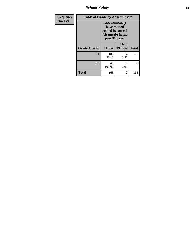*School Safety* **18**

| <b>Frequency</b> | <b>Table of Grade by Absentunsafe</b> |                                                                                           |                                  |              |  |  |  |  |  |
|------------------|---------------------------------------|-------------------------------------------------------------------------------------------|----------------------------------|--------------|--|--|--|--|--|
| <b>Row Pct</b>   |                                       | Absentunsafe(I)<br>have missed<br>school because I<br>felt unsafe in the<br>past 30 days) |                                  |              |  |  |  |  |  |
|                  | Grade(Grade)                          | 0 Days                                                                                    | 10 to<br>19 days                 | <b>Total</b> |  |  |  |  |  |
|                  | 10                                    | 103<br>98.10                                                                              | $\overline{\mathcal{L}}$<br>1.90 | 105          |  |  |  |  |  |
|                  | 12                                    | 60<br>100.00                                                                              | 0<br>0.00                        | 60           |  |  |  |  |  |
|                  | <b>Total</b>                          | 163                                                                                       | 2                                | 165          |  |  |  |  |  |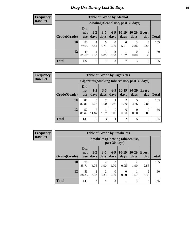### *Drug Use During Last 30 Days* **19**

#### **Frequency Row Pct**

| <b>Table of Grade by Alcohol</b> |                                 |                                    |                 |                  |                 |                  |              |       |  |  |
|----------------------------------|---------------------------------|------------------------------------|-----------------|------------------|-----------------|------------------|--------------|-------|--|--|
|                                  |                                 | Alcohol(Alcohol use, past 30 days) |                 |                  |                 |                  |              |       |  |  |
| Grade(Grade)                     | <b>Did</b><br>not<br><b>use</b> | $1 - 2$<br>days                    | $3 - 5$<br>days | $6-9$<br>days    | $10-19$<br>days | 20-29<br>days    | Every<br>day | Total |  |  |
| 10                               | 83<br>79.05                     | $\overline{4}$<br>3.81             | 6<br>5.71       | $\theta$<br>0.00 | 6<br>5.71       | 3<br>2.86        | 3<br>2.86    | 105   |  |  |
| 12                               | 49<br>81.67                     | $\overline{2}$<br>3.33             | 3<br>5.00       | 3<br>5.00        | 1.67            | $\Omega$<br>0.00 | 2<br>3.33    | 60    |  |  |
| <b>Total</b>                     | 132                             | 6                                  | 9               | 3                | 7               | 3                | 5            | 165   |  |  |

#### **Frequency Row Pct**

| <b>Table of Grade by Cigarettes</b>                                                                                                                            |                                                |            |           |           |                |                  |                  |     |  |  |
|----------------------------------------------------------------------------------------------------------------------------------------------------------------|------------------------------------------------|------------|-----------|-----------|----------------|------------------|------------------|-----|--|--|
|                                                                                                                                                                | Cigarettes (Smoking tobacco use, past 30 days) |            |           |           |                |                  |                  |     |  |  |
| Did<br>$6 - 9$<br>$10-19$<br>$20 - 29$<br>$3 - 5$<br>$1-2$<br><b>Every</b><br>not<br>Grade(Grade)<br>days<br>days<br>days<br>day<br>days<br>days<br><b>use</b> |                                                |            |           |           |                |                  |                  |     |  |  |
| 10                                                                                                                                                             | 87<br>82.86                                    | 5<br>4.76  | 2<br>1.90 | 0.95      | 2<br>1.90      | 4.76             | 3<br>2.86        | 105 |  |  |
| 12                                                                                                                                                             | 52<br>86.67                                    | ℸ<br>11.67 | 1.67      | 0<br>0.00 | 0<br>0.00      | $\Omega$<br>0.00 | $\theta$<br>0.00 | 60  |  |  |
| <b>Total</b>                                                                                                                                                   | 139                                            | 12         | 3         |           | $\overline{2}$ | 5                | 3                | 165 |  |  |

**Frequency Row Pct**

| <b>Table of Grade by Smokeless</b> |                                 |                                                        |                        |                        |                  |                        |                        |              |  |  |
|------------------------------------|---------------------------------|--------------------------------------------------------|------------------------|------------------------|------------------|------------------------|------------------------|--------------|--|--|
|                                    |                                 | <b>Smokeless</b> (Chewing tobaccouse,<br>past 30 days) |                        |                        |                  |                        |                        |              |  |  |
| Grade(Grade)                       | <b>Did</b><br>not<br><b>use</b> | $1 - 2$<br>days                                        | $3 - 5$<br>days        | $6-9$<br>days          | $10-19$<br>days  | $20 - 29$<br>days      | Every<br>day           | <b>Total</b> |  |  |
| 10                                 | 90<br>85.71                     | 5<br>4.76                                              | $\overline{2}$<br>1.90 | $\mathfrak{D}$<br>1.90 | 0.95             | $\mathfrak{D}$<br>1.90 | 3<br>2.86              | 105          |  |  |
| 12                                 | 53<br>88.33                     | $\overline{2}$<br>3.33                                 | $\overline{2}$<br>3.33 | 0<br>0.00              | $\Omega$<br>0.00 | 1.67                   | $\mathfrak{D}$<br>3.33 | 60           |  |  |
| <b>Total</b>                       | 143                             | 7                                                      | 4                      | $\overline{2}$         |                  | 3                      | 5                      | 165          |  |  |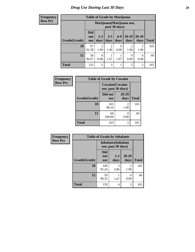| <b>Frequency</b> |  |
|------------------|--|
| <b>Row Pct</b>   |  |

| <b>Table of Grade by Marijuana</b> |                                 |                                                                                             |           |           |                |                |     |  |  |  |
|------------------------------------|---------------------------------|---------------------------------------------------------------------------------------------|-----------|-----------|----------------|----------------|-----|--|--|--|
|                                    |                                 | Marijuana (Marijuana use,<br>past 30 days)                                                  |           |           |                |                |     |  |  |  |
| Grade(Grade)                       | <b>Did</b><br>not<br><b>use</b> | $10-19$<br>$20 - 29$<br>$6-9$<br>$3 - 5$<br>$1 - 2$<br>days<br>days<br>days<br>days<br>days |           |           |                |                |     |  |  |  |
| 10                                 | 97<br>92.38                     | $\overline{2}$<br>1.90                                                                      | 2<br>1.90 | 0<br>0.00 | 2<br>1.90      | 2<br>1.90      | 105 |  |  |  |
| 12                                 | 58<br>96.67                     | $\theta$<br>0.00                                                                            | 1.67      | 1.67      | 0<br>0.00      | 0<br>0.00      | 60  |  |  |  |
| <b>Total</b>                       | 155                             | $\overline{2}$                                                                              | 3         |           | $\overline{2}$ | $\overline{2}$ | 165 |  |  |  |

| Frequency      | <b>Table of Grade by Cocaine</b> |                                               |                        |              |  |
|----------------|----------------------------------|-----------------------------------------------|------------------------|--------------|--|
| <b>Row Pct</b> |                                  | <b>Cocaine</b> (Cocaine<br>use, past 30 days) |                        |              |  |
|                | Grade(Grade)                     | Did not<br><b>use</b>                         | 20-29<br>days          | <b>Total</b> |  |
|                | 10                               | 103<br>98.10                                  | $\mathfrak{D}$<br>1.90 | 105          |  |
|                | 12                               | 60<br>100.00                                  | 0.00                   | 60           |  |
|                | <b>Total</b>                     | 163                                           | 2                      | 165          |  |

| Frequency      | <b>Table of Grade by Inhalants</b> |                                                  |                 |                   |              |
|----------------|------------------------------------|--------------------------------------------------|-----------------|-------------------|--------------|
| <b>Row Pct</b> |                                    | <b>Inhalants</b> (Inhalant<br>use, past 30 days) |                 |                   |              |
|                | Grade(Grade)                       | <b>Did</b><br>not<br><b>use</b>                  | $1 - 2$<br>days | $20 - 29$<br>days | <b>Total</b> |
|                | 10                                 | 100<br>95.24                                     | 3<br>2.86       | 2<br>1.90         | 105          |
|                | 12                                 | 59<br>98.33                                      | 1.67            | 0<br>0.00         | 60           |
|                | <b>Total</b>                       | 159                                              | 4               | 2                 | 165          |

Ŧ.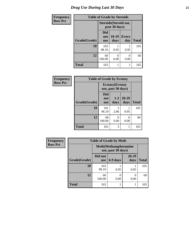### *Drug Use During Last 30 Days* **21**

| <b>Frequency</b> | <b>Table of Grade by Steroids</b> |                          |                                         |                     |              |
|------------------|-----------------------------------|--------------------------|-----------------------------------------|---------------------|--------------|
| <b>Row Pct</b>   |                                   |                          | Steroids (Steroid use,<br>past 30 days) |                     |              |
|                  | Grade(Grade)                      | Did<br>not<br><b>use</b> | $10-19$<br>days                         | <b>Every</b><br>day | <b>Total</b> |
|                  | 10                                | 103<br>98.10             | 0.95                                    | 0.95                | 105          |
|                  | 12                                | 60<br>100.00             | 0.00                                    | 0.00                | 60           |
|                  | <b>Total</b>                      | 163                      |                                         |                     | 165          |

| Frequency      | <b>Table of Grade by Ecstasy</b> |                          |                                               |               |              |
|----------------|----------------------------------|--------------------------|-----------------------------------------------|---------------|--------------|
| <b>Row Pct</b> |                                  |                          | <b>Ecstasy</b> (Ecstasy<br>use, past 30 days) |               |              |
|                | Grade(Grade)                     | Did<br>not<br><b>use</b> | $1 - 2$<br>days                               | 20-29<br>days | <b>Total</b> |
|                | 10                               | 101<br>96.19             | 3<br>2.86                                     | 0.95          | 105          |
|                | 12                               | 60<br>100.00             | 0<br>0.00                                     | 0<br>0.00     | 60           |
|                | <b>Total</b>                     | 161                      | 3                                             |               | 165          |

| Frequency      | <b>Table of Grade by Meth</b> |                                                    |          |                           |              |  |
|----------------|-------------------------------|----------------------------------------------------|----------|---------------------------|--------------|--|
| <b>Row Pct</b> |                               | <b>Meth</b> (Methamphetamine<br>use, past 30 days) |          |                           |              |  |
|                | Grade(Grade)                  | Did not<br><b>use</b>                              | 6-9 days | 20-29<br>days             | <b>Total</b> |  |
|                | 10                            | 103<br>98.10                                       | 0.95     | 0.95                      | 105          |  |
|                | 12                            | 60<br>100.00                                       | 0.00     | $\mathbf{\Omega}$<br>0.00 | 60           |  |
|                | <b>Total</b>                  | 163                                                |          |                           | 165          |  |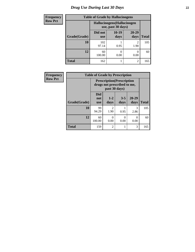### *Drug Use During Last 30 Days* **22**

| <b>Frequency</b> | <b>Table of Grade by Hallucinogens</b> |                                                  |                 |                   |              |  |  |
|------------------|----------------------------------------|--------------------------------------------------|-----------------|-------------------|--------------|--|--|
| <b>Row Pct</b>   |                                        | Hallucinogens(Hallucinogen<br>use, past 30 days) |                 |                   |              |  |  |
|                  | Grade(Grade)                           | Did not<br><b>use</b>                            | $10-19$<br>days | $20 - 29$<br>days | <b>Total</b> |  |  |
|                  | 10                                     | 102<br>97.14                                     | 0.95            | 2<br>1.90         | 105          |  |  |
|                  | 12                                     | 60<br>100.00                                     | 0.00            | 0.00              | 60           |  |  |
|                  | <b>Total</b>                           | 162                                              |                 | $\mathfrak{D}$    | 165          |  |  |

| <b>Frequency</b> | <b>Table of Grade by Prescription</b> |                                                                  |                        |                 |                   |              |  |
|------------------|---------------------------------------|------------------------------------------------------------------|------------------------|-----------------|-------------------|--------------|--|
| <b>Row Pct</b>   |                                       | <b>Prescription</b> (Prescription<br>drugs not prescribed to me, |                        |                 |                   |              |  |
|                  | Grade(Grade)                          | <b>Did</b><br>not<br><b>use</b>                                  | $1 - 2$<br>days        | $3 - 5$<br>days | $20 - 29$<br>days | <b>Total</b> |  |
|                  | 10                                    | 99<br>94.29                                                      | $\mathfrak{D}$<br>1.90 | 0.95            | 3<br>2.86         | 105          |  |
|                  | 12                                    | 60<br>100.00                                                     | 0<br>0.00              | 0<br>0.00       | 0<br>0.00         | 60           |  |
|                  | <b>Total</b>                          | 159                                                              | $\overline{2}$         |                 | 3                 | 165          |  |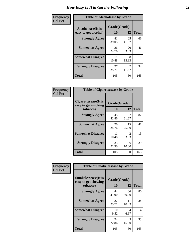| Frequency      | <b>Table of Alcoholease by Grade</b>              |             |                          |     |  |
|----------------|---------------------------------------------------|-------------|--------------------------|-----|--|
| <b>Col Pct</b> | <b>Alcoholease</b> (It is<br>easy to get alcohol) |             | Grade(Grade)<br>10<br>12 |     |  |
|                | <b>Strongly Agree</b>                             | 41<br>39.05 | 25<br>41.67              | 66  |  |
|                | <b>Somewhat Agree</b>                             | 26<br>24.76 | 20<br>33.33              | 46  |  |
|                | <b>Somewhat Disagree</b>                          | 11<br>10.48 | 8<br>13.33               | 19  |  |
|                | <b>Strongly Disagree</b>                          | 27<br>25.71 | 11.67                    | 34  |  |
|                | <b>Total</b>                                      | 105         | 60                       | 165 |  |

| Frequency      | <b>Table of Cigarettesease by Grade</b>                  |                           |                               |              |  |
|----------------|----------------------------------------------------------|---------------------------|-------------------------------|--------------|--|
| <b>Col Pct</b> | Cigarettesease (It is<br>easy to get smoking<br>tobacco) | Grade(Grade)<br><b>10</b> | 12                            | <b>Total</b> |  |
|                | <b>Strongly Agree</b>                                    | 45<br>42.86               | 37<br>61.67                   | 82           |  |
|                | <b>Somewhat Agree</b>                                    | 26<br>24.76               | 15<br>25.00                   | 41           |  |
|                | <b>Somewhat Disagree</b>                                 | 11<br>10.48               | $\mathcal{D}_{\cdot}$<br>3.33 | 13           |  |
|                | <b>Strongly Disagree</b>                                 | 23<br>21.90               | 6<br>10.00                    | 29           |  |
|                | <b>Total</b>                                             | 105                       | 60                            | 165          |  |

| Frequency      | <b>Table of Smokelessease by Grade</b>                         |                                 |             |              |  |  |
|----------------|----------------------------------------------------------------|---------------------------------|-------------|--------------|--|--|
| <b>Col Pct</b> | <b>Smokelessease</b> (It is<br>easy to get chewing<br>tobacco) | Grade(Grade)<br>12<br><b>10</b> |             | <b>Total</b> |  |  |
|                | <b>Strongly Agree</b>                                          | 44<br>41.90                     | 36<br>60.00 | 80           |  |  |
|                | <b>Somewhat Agree</b>                                          | 27<br>25.71                     | 11<br>18.33 | 38           |  |  |
|                | <b>Somewhat Disagree</b>                                       | 10<br>9.52                      | 4<br>6.67   | 14           |  |  |
|                | <b>Strongly Disagree</b>                                       | 24<br>22.86                     | 9<br>15.00  | 33           |  |  |
|                | Total                                                          | 105                             | 60          | 165          |  |  |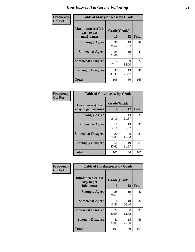| Frequency      | <b>Table of Marijuanaease by Grade</b>           |                    |             |              |  |
|----------------|--------------------------------------------------|--------------------|-------------|--------------|--|
| <b>Col Pct</b> | Marijuanaease(It is<br>easy to get<br>marijuana) | Grade(Grade)<br>10 | 12          | <b>Total</b> |  |
|                | <b>Strongly Agree</b>                            | 30<br>28.57        | 19<br>31.67 | 49           |  |
|                | <b>Somewhat Agree</b>                            | 24<br>22.86        | 19<br>31.67 | 43           |  |
|                | <b>Somewhat Disagree</b>                         | 18<br>17.14        | 9<br>15.00  | 27           |  |
|                | <b>Strongly Disagree</b>                         | 33<br>31.43        | 13<br>21.67 | 46           |  |
|                | <b>Total</b>                                     | 105                | 60          | 165          |  |

| <b>Table of Cocaineease by Grade</b>              |                    |              |     |  |  |  |
|---------------------------------------------------|--------------------|--------------|-----|--|--|--|
| <b>Cocaineease</b> (It is<br>easy to get cocaine) | Grade(Grade)<br>10 | <b>Total</b> |     |  |  |  |
| <b>Strongly Agree</b>                             | 17<br>16.19        | 13<br>21.67  | 30  |  |  |  |
| <b>Somewhat Agree</b>                             | 18<br>17.14        | 19<br>31.67  | 37  |  |  |  |
| <b>Somewhat Disagree</b>                          | 20<br>19.05        | Q<br>15.00   | 29  |  |  |  |
| <b>Strongly Disagree</b>                          | 50<br>47.62        | 19<br>31.67  | 69  |  |  |  |
| <b>Total</b>                                      | 105                | 60           | 165 |  |  |  |

| Frequency      | <b>Table of Inhalantsease by Grade</b>     |              |             |              |
|----------------|--------------------------------------------|--------------|-------------|--------------|
| <b>Col Pct</b> | <b>Inhalantsease</b> (It is<br>easy to get | Grade(Grade) |             |              |
|                | inhalants)                                 | 10           | 12          | <b>Total</b> |
|                | <b>Strongly Agree</b>                      | 28<br>26.67  | 19<br>31.67 | 47           |
|                | <b>Somewhat Agree</b>                      | 14<br>13.33  | 18<br>30.00 | 32           |
|                | <b>Somewhat Disagree</b>                   | 22<br>20.95  | 8<br>13.33  | 30           |
|                | <b>Strongly Disagree</b>                   | 41<br>39.05  | 15<br>25.00 | 56           |
|                | <b>Total</b>                               | 105          | 60          | 165          |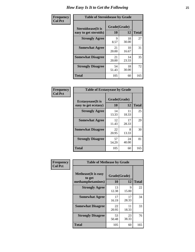| Frequency      | <b>Table of Steroidsease by Grade</b>               |                    |              |     |  |  |  |  |  |  |
|----------------|-----------------------------------------------------|--------------------|--------------|-----|--|--|--|--|--|--|
| <b>Col Pct</b> | <b>Steroidsease</b> (It is<br>easy to get steroids) | Grade(Grade)<br>10 | <b>Total</b> |     |  |  |  |  |  |  |
|                | <b>Strongly Agree</b>                               | 9<br>8.57          | 18<br>30.00  | 27  |  |  |  |  |  |  |
|                | <b>Somewhat Agree</b>                               | 21<br>20.00        | 10<br>16.67  | 31  |  |  |  |  |  |  |
|                | <b>Somewhat Disagree</b>                            | 21<br>20.00        | 14<br>23.33  | 35  |  |  |  |  |  |  |
|                | <b>Strongly Disagree</b>                            | 54<br>51.43        | 18<br>30.00  | 72  |  |  |  |  |  |  |
|                | <b>Total</b>                                        | 105                | 60           | 165 |  |  |  |  |  |  |

| Frequency      | <b>Table of Ecstasyease by Grade</b>              |                    |              |     |
|----------------|---------------------------------------------------|--------------------|--------------|-----|
| <b>Col Pct</b> | <b>Ecstasyease</b> (It is<br>easy to get ecstasy) | Grade(Grade)<br>10 | <b>Total</b> |     |
|                | <b>Strongly Agree</b>                             | 14<br>13.33        | 11<br>18.33  | 25  |
|                | <b>Somewhat Agree</b>                             | 12<br>11.43        | 17<br>28.33  | 29  |
|                | <b>Somewhat Disagree</b>                          | 22<br>20.95        | 8<br>13.33   | 30  |
|                | <b>Strongly Disagree</b>                          | 57<br>54.29        | 24<br>40.00  | 81  |
|                | <b>Total</b>                                      | 105                | 60           | 165 |

| Frequency      | <b>Table of Methease by Grade</b>     |              |             |              |
|----------------|---------------------------------------|--------------|-------------|--------------|
| <b>Col Pct</b> | <b>Methease</b> (It is easy<br>to get | Grade(Grade) |             |              |
|                | methamphetamines)                     | 10           | 12          | <b>Total</b> |
|                | <b>Strongly Agree</b>                 | 13<br>12.38  | 9<br>15.00  | 22           |
|                | <b>Somewhat Agree</b>                 | 17<br>16.19  | 17<br>28.33 | 34           |
|                | <b>Somewhat Disagree</b>              | 22<br>20.95  | 11<br>18.33 | 33           |
|                | <b>Strongly Disagree</b>              | 53<br>50.48  | 23<br>38.33 | 76           |
|                | Total                                 | 105          | 60          | 165          |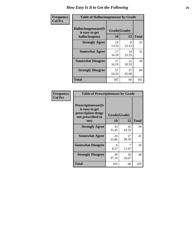| <b>Frequency</b> |                                                          | <b>Table of Hallucinogensease by Grade</b> |              |     |  |  |  |  |  |  |  |
|------------------|----------------------------------------------------------|--------------------------------------------|--------------|-----|--|--|--|--|--|--|--|
| <b>Col Pct</b>   | Hallucinogensease(It<br>is easy to get<br>hallucinogens) | Grade(Grade)<br>10                         | <b>Total</b> |     |  |  |  |  |  |  |  |
|                  | <b>Strongly Agree</b>                                    | 14<br>13.33                                | 8<br>13.33   | 22  |  |  |  |  |  |  |  |
|                  | <b>Somewhat Agree</b>                                    | 17<br>16.19                                | 14<br>23.33  | 31  |  |  |  |  |  |  |  |
|                  | <b>Somewhat Disagree</b>                                 | 17<br>16.19                                | 11<br>18.33  | 28  |  |  |  |  |  |  |  |
|                  | <b>Strongly Disagree</b>                                 | 57<br>54.29                                | 27<br>45.00  | 84  |  |  |  |  |  |  |  |
|                  | <b>Total</b>                                             | 105                                        | 60           | 165 |  |  |  |  |  |  |  |

|                                                                                          | <b>Table of Prescriptionease by Grade</b> |             |              |  |  |  |  |  |  |  |  |  |
|------------------------------------------------------------------------------------------|-------------------------------------------|-------------|--------------|--|--|--|--|--|--|--|--|--|
| <b>Prescriptionease</b> (It<br>is easy to get<br>prescription drugs<br>not prescribed to | Grade(Grade)                              |             |              |  |  |  |  |  |  |  |  |  |
| me)                                                                                      | 10                                        | 12          | <b>Total</b> |  |  |  |  |  |  |  |  |  |
| <b>Strongly Agree</b>                                                                    | 33<br>31.43                               | 26<br>43.33 | 59           |  |  |  |  |  |  |  |  |  |
| <b>Somewhat Agree</b>                                                                    | 24<br>22.86                               | 17<br>28.33 | 41           |  |  |  |  |  |  |  |  |  |
| <b>Somewhat Disagree</b>                                                                 | Q<br>8.57                                 | 11.67       | 16           |  |  |  |  |  |  |  |  |  |
| <b>Strongly Disagree</b>                                                                 | 39<br>37.14                               | 10<br>16.67 | 49           |  |  |  |  |  |  |  |  |  |
| <b>Total</b>                                                                             | 105                                       | 60          | 165          |  |  |  |  |  |  |  |  |  |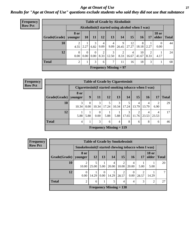#### *Age at Onset of Use* **27** *Results for "Age at Onset of Use" questions exclude students who said they did not use that substance*

| <b>Frequency</b> |                        |                  |                  |                  |           |            | <b>Table of Grade by Alcoholinit</b>             |             |             |           |                       |              |
|------------------|------------------------|------------------|------------------|------------------|-----------|------------|--------------------------------------------------|-------------|-------------|-----------|-----------------------|--------------|
| <b>Row Pct</b>   |                        |                  |                  |                  |           |            | Alcoholinit (I started using alcohol when I was) |             |             |           |                       |              |
|                  | Grade(Grade)   younger | <b>8 or</b>      | 10 <sup>1</sup>  | 11               | 12        | 13         | 14                                               | 15          | <b>16</b>   | 17        | <b>18 or</b><br>older | <b>Total</b> |
|                  | 10                     | 2<br>4.55        | 2.27             | 3<br>6.82        | 4<br>9.09 | 4<br>9.09  | 9<br>20.45                                       | 12<br>27.27 | 8<br>18.18  | 2.27      | $\Omega$<br>0.00      | 44           |
|                  | 12                     | $\theta$<br>0.00 | $\Omega$<br>0.00 | $\Omega$<br>0.00 | 2<br>8.33 | 3<br>12.50 | റ<br>8.33                                        | 4<br>16.67  | 10<br>41.67 | 2<br>8.33 | 4.17                  | 24           |
|                  | <b>Total</b>           | $\overline{c}$   |                  | 3                | 6         | 7          | 11                                               | 16          | 18          | 3         |                       | 68           |
|                  |                        |                  |                  |                  |           |            | <b>Frequency Missing = 97</b>                    |             |             |           |                       |              |

| Frequency      |              |                        |                  | <b>Table of Grade by Cigarettesinit</b> |       |                |            |            |                                                      |                        |              |
|----------------|--------------|------------------------|------------------|-----------------------------------------|-------|----------------|------------|------------|------------------------------------------------------|------------------------|--------------|
| <b>Row Pct</b> |              |                        |                  |                                         |       |                |            |            | Cigarettesinit(I started smoking tobacco when I was) |                        |              |
|                | Grade(Grade) | <b>8 or</b><br>younger | 9                | 11                                      | 12    | 13             | 14         | 15         | <b>16</b>                                            | 17                     | <b>Total</b> |
|                | 10           | 3<br>10.34             | $\Omega$<br>0.00 | 3<br>10.34                              | 17.24 | 3<br>10.34     | 17.24      | 4<br>13.79 | 13.79                                                | $\overline{c}$<br>6.90 | 29           |
|                | 12           | 5.88                   | 5.88             | $\theta$<br>$0.00\,$                    | 5.88  | 5.88           | 3<br>17.65 | 2          | $11.76 \mid 23.53$                                   | 4<br>23.53             | 17           |
|                | <b>Total</b> | 4                      |                  | 3                                       | 6     | $\overline{4}$ | 8          | 6          | 8                                                    | 6                      | 46           |
|                |              |                        |                  | Frequency Missing $= 119$               |       |                |            |            |                                                      |                        |              |

| <b>Frequency</b> |              |                                                      |            | <b>Table of Grade by Smokelessinit</b> |                           |            |            |       |                       |              |
|------------------|--------------|------------------------------------------------------|------------|----------------------------------------|---------------------------|------------|------------|-------|-----------------------|--------------|
| <b>Row Pct</b>   |              | Smokelessinit (I started chewing tobacco when I was) |            |                                        |                           |            |            |       |                       |              |
|                  | Grade(Grade) | 8 or<br>younger                                      | 12         | 13                                     | <b>14</b>                 | 15         | 16         | 17    | <b>18 or</b><br>older | <b>Total</b> |
|                  | 10           | 2<br>10.00                                           | 5<br>25.00 | 5.00                                   | 4<br>20.00                | ↑<br>10.00 | 4<br>20.00 | 5.00  | 5.00                  | 20           |
|                  | 12           | 0<br>0.00                                            | 14.29      | $\Omega$<br>$0.00\,$                   | 14.29                     | ∍<br>28.57 | 0<br>0.00  | 28.57 | 14.29                 | 7            |
|                  | <b>Total</b> | $\overline{2}$                                       | 6          |                                        | 5                         | 4          | 4          | 3     | 2                     | 27           |
|                  |              |                                                      |            |                                        | Frequency Missing $= 138$ |            |            |       |                       |              |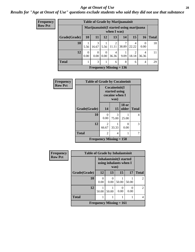#### *Age at Onset of Use* **28**

### *Results for "Age at Onset of Use" questions exclude students who said they did not use that substance*

| Frequency      |              |           |            |                  | <b>Table of Grade by Marijuanainit</b> |       |                                          |            |              |
|----------------|--------------|-----------|------------|------------------|----------------------------------------|-------|------------------------------------------|------------|--------------|
| <b>Row Pct</b> |              |           |            |                  | when I was)                            |       | Marijuanainit (I started using marijuana |            |              |
|                | Grade(Grade) | <b>10</b> | 11         | 12               | 13                                     | 14    | 15                                       | 16         | <b>Total</b> |
|                | 10           | 5.56      | 3<br>16.67 | 5.56             | $\overline{2}$<br>11.11                | 38.89 | 4<br>22.22                               | 0.00       | 18           |
|                | 12           | 0.00      | 0.00       | $\theta$<br>0.00 | 4<br>36.36                             | 9.09  | 18.18                                    | 4<br>36.36 | 11           |
|                | <b>Total</b> |           | 3          |                  | 6                                      | 8     | 6                                        | 4          | 29           |
|                |              |           |            |                  | Frequency Missing $= 136$              |       |                                          |            |              |

| Frequency      | <b>Table of Grade by Cocaineinit</b>        |                  |                                                          |                       |              |  |  |
|----------------|---------------------------------------------|------------------|----------------------------------------------------------|-----------------------|--------------|--|--|
| <b>Row Pct</b> |                                             |                  | Cocaineinit(I<br>started using<br>cocaine when I<br>was) |                       |              |  |  |
|                | Grade(Grade)                                | 14               | 15                                                       | <b>18 or</b><br>older | <b>Total</b> |  |  |
|                | 10                                          | $\Omega$<br>0.00 | 3<br>75.00                                               | 25.00                 | 4            |  |  |
|                | 12                                          | 2<br>66.67       | 33.33                                                    | 0.00                  | 3            |  |  |
|                | <b>Total</b>                                | $\overline{c}$   | 4                                                        |                       | 7            |  |  |
|                | <b>Frequency Missing <math>= 158</math></b> |                  |                                                          |                       |              |  |  |

| <b>Frequency</b> | <b>Table of Grade by Inhalantsinit</b> |                           |                                                                  |           |       |                |
|------------------|----------------------------------------|---------------------------|------------------------------------------------------------------|-----------|-------|----------------|
| <b>Row Pct</b>   |                                        |                           | <b>Inhalantsinit(I started</b><br>using inhalants when I<br>was) |           |       |                |
|                  | Grade(Grade)                           | 12                        | 13                                                               | 15        | 17    | <b>Total</b>   |
|                  | 10                                     | 0.00                      | 0<br>0.00                                                        | 50.00     | 50.00 | $\overline{2}$ |
|                  | 12                                     | 50.00                     | 50.00                                                            | 0<br>0.00 | 0.00  | $\overline{2}$ |
|                  | <b>Total</b>                           |                           |                                                                  |           |       | 4              |
|                  |                                        | Frequency Missing $= 161$ |                                                                  |           |       |                |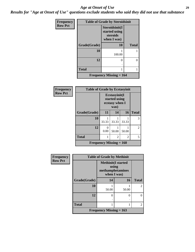#### *Age at Onset of Use* **29**

*Results for "Age at Onset of Use" questions exclude students who said they did not use that substance*

| Frequency      | <b>Table of Grade by Steroidsinit</b> |                                                            |              |  |  |
|----------------|---------------------------------------|------------------------------------------------------------|--------------|--|--|
| <b>Row Pct</b> |                                       | Steroidsinit(I<br>started using<br>steroids<br>when I was) |              |  |  |
|                | Grade(Grade)                          | 10                                                         | <b>Total</b> |  |  |
|                | 10                                    | 100.00                                                     |              |  |  |
|                | 12                                    | 0                                                          | ∩            |  |  |
|                | <b>Total</b>                          | 1                                                          |              |  |  |
|                |                                       | <b>Frequency Missing <math>= 164</math></b>                |              |  |  |

| <b>Frequency</b> | <b>Table of Grade by Ecstasyinit</b> |                                                          |       |       |                |
|------------------|--------------------------------------|----------------------------------------------------------|-------|-------|----------------|
| <b>Row Pct</b>   |                                      | Ecstasyinit(I<br>started using<br>ecstasy when I<br>was) |       |       |                |
|                  | Grade(Grade)                         | 11                                                       | 14    | 16    | <b>Total</b>   |
|                  | 10                                   | 33.33                                                    | 33.33 | 33.33 | 3              |
|                  | 12                                   | 0<br>0.00                                                | 50.00 | 50.00 | $\overline{2}$ |
|                  | <b>Total</b>                         |                                                          | 2     | 2     | 5              |
|                  | <b>Frequency Missing = 160</b>       |                                                          |       |       |                |

| <b>Frequency</b> | <b>Table of Grade by Methinit</b> |                                                                       |       |                             |  |
|------------------|-----------------------------------|-----------------------------------------------------------------------|-------|-----------------------------|--|
| <b>Row Pct</b>   |                                   | <b>Methinit(I started</b><br>using<br>methamphetamines<br>when I was) |       |                             |  |
|                  | Grade(Grade)                      | 14                                                                    | 16    | <b>Total</b>                |  |
|                  | 10                                | 50.00                                                                 | 50.00 | $\overline{2}$              |  |
|                  | 12                                | 0                                                                     | ∩     | $\Omega$                    |  |
|                  | <b>Total</b>                      |                                                                       |       | $\mathcal{D}_{\mathcal{L}}$ |  |
|                  |                                   | Frequency Missing $= 163$                                             |       |                             |  |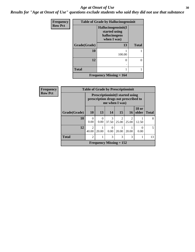#### Age at Onset of Use **30**

*Results for "Age at Onset of Use" questions exclude students who said they did not use that substance*

| Frequency      |              | <b>Table of Grade by Hallucinogensinit</b>                           |              |
|----------------|--------------|----------------------------------------------------------------------|--------------|
| <b>Row Pct</b> |              | Hallucinogensinit(I<br>started using<br>hallucinogens<br>when I was) |              |
|                | Grade(Grade) | 13                                                                   | <b>Total</b> |
|                | 10           | 100.00                                                               |              |
|                | 12           | 0                                                                    | 0            |
|                | <b>Total</b> |                                                                      |              |
|                |              | <b>Frequency Missing = 164</b>                                       |              |

| Frequency      | <b>Table of Grade by Prescriptioninit</b> |                                                                                                   |                  |            |                           |                         |                       |              |
|----------------|-------------------------------------------|---------------------------------------------------------------------------------------------------|------------------|------------|---------------------------|-------------------------|-----------------------|--------------|
| <b>Row Pct</b> |                                           | <b>Prescriptioninit(I started using</b><br>prescription drugs not prescribed to<br>me when I was) |                  |            |                           |                         |                       |              |
|                | Grade(Grade)                              | <b>10</b>                                                                                         | 13               | 14         | 15                        | 16                      | <b>18 or</b><br>older | <b>Total</b> |
|                | 10                                        | $\Omega$<br>0.00                                                                                  | $\Omega$<br>0.00 | 3<br>37.50 | $\mathfrak{D}$<br>25.00   | $\mathfrak{D}$<br>25.00 | 12.50                 | 8            |
|                | 12                                        | ာ<br>40.00                                                                                        | 20.00            | 0<br>0.00  | 20.00                     | 20.00                   | 0<br>0.00             | 5            |
|                | <b>Total</b>                              | $\mathfrak{D}$                                                                                    |                  | 3          | 3                         | 3                       |                       | 13           |
|                |                                           |                                                                                                   |                  |            | Frequency Missing $= 152$ |                         |                       |              |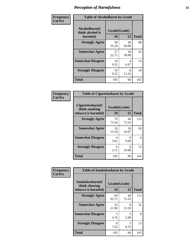| Frequency      | <b>Table of Alcoholharm by Grade</b>          |                    |             |              |
|----------------|-----------------------------------------------|--------------------|-------------|--------------|
| <b>Col Pct</b> | Alcoholharm(I<br>think alcohol is<br>harmful) | Grade(Grade)<br>10 | 12          | <b>Total</b> |
|                | <b>Strongly Agree</b>                         | 58<br>55.24        | 30<br>50.00 | 88           |
|                | <b>Somewhat Agree</b>                         | 27<br>25.71        | 18<br>30.00 | 45           |
|                | <b>Somewhat Disagree</b>                      | 10<br>9.52         | 4<br>6.67   | 14           |
|                | <b>Strongly Disagree</b>                      | 10<br>9.52         | 8<br>13.33  | 18           |
|                | <b>Total</b>                                  | 105                | 60          | 165          |

| <b>Table of Cigarettesharm by Grade</b>                  |                    |                           |              |  |  |
|----------------------------------------------------------|--------------------|---------------------------|--------------|--|--|
| Cigarettesharm(I<br>think smoking<br>tobacco is harmful) | Grade(Grade)<br>10 | 12                        | <b>Total</b> |  |  |
| <b>Strongly Agree</b>                                    | 79<br>75.24        | 44<br>73.33               | 123          |  |  |
| <b>Somewhat Agree</b>                                    | 16<br>15.24        | 10<br>16.67               | 26           |  |  |
| <b>Somewhat Disagree</b>                                 | 4<br>3.81          | $\mathbf{\Omega}$<br>0.00 | 4            |  |  |
| <b>Strongly Disagree</b>                                 | 6<br>5.71          | 6<br>10.00                | 12           |  |  |
| <b>Total</b>                                             | 105                | 60                        | 165          |  |  |

| Frequency      | <b>Table of Smokelessharm by Grade</b>                  |                           |             |              |
|----------------|---------------------------------------------------------|---------------------------|-------------|--------------|
| <b>Col Pct</b> | Smokelessharm(I<br>think chewing<br>tobacco is harmful) | Grade(Grade)<br><b>10</b> | 12          | <b>Total</b> |
|                | <b>Strongly Agree</b>                                   | 69<br>65.71               | 44<br>73.33 | 113          |
|                | <b>Somewhat Agree</b>                                   | 23<br>21.90               | 8<br>13.33  | 31           |
|                | <b>Somewhat Disagree</b>                                | 5<br>4.76                 | 3<br>5.00   | 8            |
|                | <b>Strongly Disagree</b>                                | 8<br>7.62                 | 5<br>8.33   | 13           |
|                | <b>Total</b>                                            | 105                       | 60          | 165          |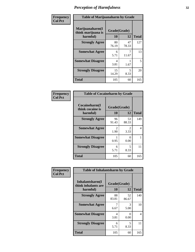| Frequency      | <b>Table of Marijuanaharm by Grade</b>            |                    |             |              |
|----------------|---------------------------------------------------|--------------------|-------------|--------------|
| <b>Col Pct</b> | Marijuanaharm(I<br>think marijuana is<br>harmful) | Grade(Grade)<br>10 | 12          | <b>Total</b> |
|                | <b>Strongly Agree</b>                             | 80<br>76.19        | 47<br>78.33 | 127          |
|                | <b>Somewhat Agree</b>                             | 6<br>5.71          | 11.67       | 13           |
|                | <b>Somewhat Disagree</b>                          | 4<br>3.81          | 1.67        | 5            |
|                | <b>Strongly Disagree</b>                          | 15<br>14.29        | 5<br>8.33   | 20           |
|                | <b>Total</b>                                      | 105                | 60          | 165          |

| <b>Table of Cocaineharm by Grade</b>          |                    |             |              |  |  |
|-----------------------------------------------|--------------------|-------------|--------------|--|--|
| Cocaineharm(I<br>think cocaine is<br>harmful) | Grade(Grade)<br>10 | 12          | <b>Total</b> |  |  |
| <b>Strongly Agree</b>                         | 96<br>91.43        | 53<br>88.33 | 149          |  |  |
| <b>Somewhat Agree</b>                         | 2<br>1.90          | 2<br>3.33   | 4            |  |  |
| <b>Somewhat Disagree</b>                      | 0.95               | 0<br>0.00   | 1            |  |  |
| <b>Strongly Disagree</b>                      | 6<br>5.71          | 5<br>8.33   | 11           |  |  |
| <b>Total</b>                                  | 105                | 60          | 165          |  |  |

| Frequency      | <b>Table of Inhalantsharm by Grade</b>  |                                  |             |                |  |
|----------------|-----------------------------------------|----------------------------------|-------------|----------------|--|
| <b>Col Pct</b> | Inhalantsharm(I)<br>think inhalants are | Grade(Grade)                     |             |                |  |
|                | harmful)                                | 10                               | 12          | <b>Total</b>   |  |
|                | <b>Strongly Agree</b>                   | 88<br>83.81                      | 52<br>86.67 | 140            |  |
|                | <b>Somewhat Agree</b>                   | 6.67                             | 3<br>5.00   | 10             |  |
|                | <b>Somewhat Disagree</b>                | $\overline{\mathcal{A}}$<br>3.81 | 0<br>0.00   | $\overline{4}$ |  |
|                | <b>Strongly Disagree</b>                | 6<br>5.71                        | 5<br>8.33   | 11             |  |
|                | Total                                   | 105                              | 60          | 165            |  |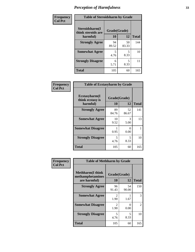| Frequency      | <b>Table of Steroidsharm by Grade</b> |              |             |              |
|----------------|---------------------------------------|--------------|-------------|--------------|
| <b>Col Pct</b> | Steroidsharm(I<br>think steroids are  | Grade(Grade) |             |              |
|                | harmful)                              | 10           | 12          | <b>Total</b> |
|                | <b>Strongly Agree</b>                 | 94<br>89.52  | 50<br>83.33 | 144          |
|                | <b>Somewhat Agree</b>                 | 5<br>4.76    | 5<br>8.33   | 10           |
|                | <b>Strongly Disagree</b>              | 6<br>5.71    | 5<br>8.33   | 11           |
|                | <b>Total</b>                          | 105          | 60          | 165          |

| Frequency      | <b>Table of Ecstasyharm by Grade</b>          |                    |             |              |
|----------------|-----------------------------------------------|--------------------|-------------|--------------|
| <b>Col Pct</b> | Ecstasyharm(I<br>think ecstasy is<br>harmful) | Grade(Grade)<br>10 | 12          | <b>Total</b> |
|                | <b>Strongly Agree</b>                         | 89<br>84.76        | 52<br>86.67 | 141          |
|                | <b>Somewhat Agree</b>                         | 10<br>9.52         | 3<br>5.00   | 13           |
|                | <b>Somewhat Disagree</b>                      | 0.95               | 0<br>0.00   |              |
|                | <b>Strongly Disagree</b>                      | 5<br>4.76          | 5<br>8.33   | 10           |
|                | <b>Total</b>                                  | 105                | 60          | 165          |

| Frequency      | <b>Table of Methharm by Grade</b>                            |                        |                           |                |
|----------------|--------------------------------------------------------------|------------------------|---------------------------|----------------|
| <b>Col Pct</b> | <b>Methharm</b> (I think<br>methamphetamines<br>are harmful) | Grade(Grade)<br>10     | 12                        | <b>Total</b>   |
|                | <b>Strongly Agree</b>                                        | 96<br>91.43            | 54<br>90.00               | 150            |
|                | <b>Somewhat Agree</b>                                        | $\mathfrak{D}$<br>1.90 | 1.67                      | 3              |
|                | <b>Somewhat Disagree</b>                                     | 2<br>1.90              | $\mathbf{\Omega}$<br>0.00 | $\overline{2}$ |
|                | <b>Strongly Disagree</b>                                     | 5<br>4.76              | 5<br>8.33                 | 10             |
|                | <b>Total</b>                                                 | 105                    | 60                        | 165            |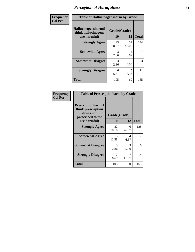| Frequency      | <b>Table of Hallucinogensharm by Grade</b>                 |                    |             |              |
|----------------|------------------------------------------------------------|--------------------|-------------|--------------|
| <b>Col Pct</b> | Hallucinogensharm(I<br>think hallucinogens<br>are harmful) | Grade(Grade)<br>10 | 12          | <b>Total</b> |
|                | <b>Strongly Agree</b>                                      | 93<br>88.57        | 51<br>85.00 | 144          |
|                | <b>Somewhat Agree</b>                                      | 3<br>2.86          | 4<br>6.67   | 7            |
|                | <b>Somewhat Disagree</b>                                   | 3<br>2.86          | 0<br>0.00   | 3            |
|                | <b>Strongly Disagree</b>                                   | 6<br>5.71          | 5<br>8.33   | 11           |
|                | <b>Total</b>                                               | 105                | 60          | 165          |

| <b>Table of Prescriptionharm by Grade</b>                                         |              |             |              |  |  |
|-----------------------------------------------------------------------------------|--------------|-------------|--------------|--|--|
| <b>Prescriptionharm(I)</b><br>think prescription<br>drugs not<br>prescribed to me | Grade(Grade) |             |              |  |  |
| are harmful)                                                                      | 10           | 12          | <b>Total</b> |  |  |
| <b>Strongly Agree</b>                                                             | 82<br>78.10  | 46<br>76.67 | 128          |  |  |
| <b>Somewhat Agree</b>                                                             | 13<br>12.38  | 4<br>6.67   | 17           |  |  |
| <b>Somewhat Disagree</b>                                                          | 3<br>2.86    | 3<br>5.00   | 6            |  |  |
| <b>Strongly Disagree</b>                                                          | 7<br>6.67    | 7<br>11.67  | 14           |  |  |
| <b>Total</b>                                                                      | 105          | 60          | 165          |  |  |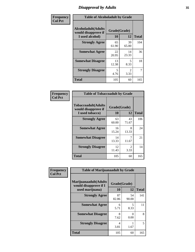### *Disapproval by Adults* **35**

| Frequency      | <b>Table of Alcoholadult by Grade</b>                                 |             |                        |              |
|----------------|-----------------------------------------------------------------------|-------------|------------------------|--------------|
| <b>Col Pct</b> | <b>Alcoholadult</b> (Adults<br>would disapprove if<br>I used alcohol) | 10          | Grade(Grade)<br>12     | <b>Total</b> |
|                | <b>Strongly Agree</b>                                                 | 65<br>61.90 | 39<br>65.00            | 104          |
|                | <b>Somewhat Agree</b>                                                 | 22<br>20.95 | 14<br>23.33            | 36           |
|                | <b>Somewhat Disagree</b>                                              | 13<br>12.38 | 5<br>8.33              | 18           |
|                | <b>Strongly Disagree</b>                                              | 5<br>4.76   | $\mathfrak{D}$<br>3.33 | 7            |
|                | <b>Total</b>                                                          | 105         | 60                     | 165          |

| <b>Table of Tobaccoadult by Grade</b>                                 |              |                       |     |  |  |
|-----------------------------------------------------------------------|--------------|-----------------------|-----|--|--|
| <b>Tobaccoadult</b> (Adults<br>would disapprove if<br>I used tobacco) | <b>Total</b> |                       |     |  |  |
| <b>Strongly Agree</b>                                                 | 63<br>60.00  | 43<br>71.67           | 106 |  |  |
| <b>Somewhat Agree</b>                                                 | 16<br>15.24  | 8<br>13.33            | 24  |  |  |
| <b>Somewhat Disagree</b>                                              | 14<br>13.33  | 11.67                 | 21  |  |  |
| <b>Strongly Disagree</b>                                              | 12<br>11.43  | $\mathcal{L}$<br>3.33 | 14  |  |  |
| <b>Total</b>                                                          | 105          | 60                    | 165 |  |  |

| Frequency      | <b>Table of Marijuanaadult by Grade</b>                           |                    |             |              |
|----------------|-------------------------------------------------------------------|--------------------|-------------|--------------|
| <b>Col Pct</b> | Marijuanaadult(Adults<br>would disapprove if I<br>used marijuana) | Grade(Grade)<br>10 | 12          | <b>Total</b> |
|                | <b>Strongly Agree</b>                                             | 87<br>82.86        | 54<br>90.00 | 141          |
|                | <b>Somewhat Agree</b>                                             | 6<br>5.71          | 5<br>8.33   | 11           |
|                | <b>Somewhat Disagree</b>                                          | 8<br>7.62          | 0<br>0.00   | 8            |
|                | <b>Strongly Disagree</b>                                          | 4<br>3.81          | 1.67        | 5            |
|                | <b>Total</b>                                                      | 105                | 60          | 165          |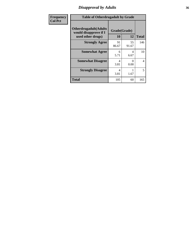### *Disapproval by Adults* **36**

| <b>Frequency</b> | <b>Table of Otherdrugadult by Grade</b>                                     |                    |                  |              |
|------------------|-----------------------------------------------------------------------------|--------------------|------------------|--------------|
| <b>Col Pct</b>   | <b>Otherdrugadult</b> (Adults<br>would disapprove if I<br>used other drugs) | Grade(Grade)<br>10 | 12               | <b>Total</b> |
|                  | <b>Strongly Agree</b>                                                       | 91<br>86.67        | 55<br>91.67      | 146          |
|                  | <b>Somewhat Agree</b>                                                       | 6<br>5.71          | 4<br>6.67        | 10           |
|                  | <b>Somewhat Disagree</b>                                                    | 4<br>3.81          | $\Omega$<br>0.00 | 4            |
|                  | <b>Strongly Disagree</b>                                                    | 4<br>3.81          | 1.67             | 5            |
|                  | <b>Total</b>                                                                | 105                | 60               | 165          |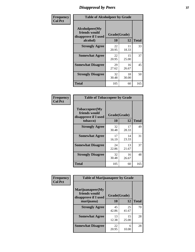# *Disapproval by Peers* **37**

| Frequency      | <b>Table of Alcoholpeer by Grade</b>                    |              |             |              |  |
|----------------|---------------------------------------------------------|--------------|-------------|--------------|--|
| <b>Col Pct</b> | Alcoholpeer(My<br>friends would<br>disapprove if I used | Grade(Grade) |             |              |  |
|                | alcohol)                                                | 10           | 12          | <b>Total</b> |  |
|                | <b>Strongly Agree</b>                                   | 22<br>20.95  | 11<br>18.33 | 33           |  |
|                | <b>Somewhat Agree</b>                                   | 22<br>20.95  | 15<br>25.00 | 37           |  |
|                | <b>Somewhat Disagree</b>                                | 29<br>27.62  | 16<br>26.67 | 45           |  |
|                | <b>Strongly Disagree</b>                                | 32<br>30.48  | 18<br>30.00 | 50           |  |
|                | Total                                                   | 105          | 60          | 165          |  |

| Frequency      | <b>Table of Tobaccopeer by Grade</b>                                |                           |             |              |
|----------------|---------------------------------------------------------------------|---------------------------|-------------|--------------|
| <b>Col Pct</b> | Tobaccopeer(My<br>friends would<br>disapprove if I used<br>tobacco) | Grade(Grade)<br><b>10</b> | 12          | <b>Total</b> |
|                | <b>Strongly Agree</b>                                               | 32<br>30.48               | 17<br>28.33 | 49           |
|                | <b>Somewhat Agree</b>                                               | 17<br>16.19               | 14<br>23.33 | 31           |
|                | <b>Somewhat Disagree</b>                                            | 24<br>22.86               | 13<br>21.67 | 37           |
|                | <b>Strongly Disagree</b>                                            | 32<br>30.48               | 16<br>26.67 | 48           |
|                | Total                                                               | 105                       | 60          | 165          |

| Frequency      | <b>Table of Marijuanapeer by Grade</b>                    |              |             |              |
|----------------|-----------------------------------------------------------|--------------|-------------|--------------|
| <b>Col Pct</b> | Marijuanapeer(My<br>friends would<br>disapprove if I used | Grade(Grade) |             |              |
|                | marijuana)                                                | 10           | 12          | <b>Total</b> |
|                | <b>Strongly Agree</b>                                     | 45<br>42.86  | 25<br>41.67 | 70           |
|                | <b>Somewhat Agree</b>                                     | 13<br>12.38  | 15<br>25.00 | 28           |
|                | <b>Somewhat Disagree</b>                                  | 22<br>20.95  | 6<br>10.00  | 28           |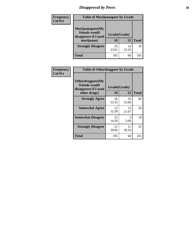# *Disapproval by Peers* **38**

| Frequency<br><b>Col Pct</b> | <b>Table of Marijuanapeer by Grade</b>                                  |                    |             |              |
|-----------------------------|-------------------------------------------------------------------------|--------------------|-------------|--------------|
|                             | Marijuanapeer(My<br>friends would<br>disapprove if I used<br>marijuana) | Grade(Grade)<br>10 | 12          | <b>Total</b> |
|                             | <b>Strongly Disagree</b>                                                | 25<br>23.81        | 14<br>23.33 | 39           |
|                             | Total                                                                   | 105                | 60          | 165          |

| Frequency      | <b>Table of Otherdrugpeer by Grade</b>                                    |                    |             |              |
|----------------|---------------------------------------------------------------------------|--------------------|-------------|--------------|
| <b>Col Pct</b> | Otherdrugpeer(My<br>friends would<br>disapprove if I used<br>other drugs) | Grade(Grade)<br>10 | 12          | <b>Total</b> |
|                | <b>Strongly Agree</b>                                                     | 56<br>53.33        | 33<br>55.00 | 89           |
|                | <b>Somewhat Agree</b>                                                     | 13<br>12.38        | 13<br>21.67 | 26           |
|                | <b>Somewhat Disagree</b>                                                  | 15<br>14.29        | 3<br>5.00   | 18           |
|                | <b>Strongly Disagree</b>                                                  | 21<br>20.00        | 11<br>18.33 | 32           |
|                | Total                                                                     | 105                | 60          | 165          |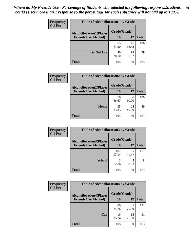| Frequency      | <b>Table of Alcohollocation1 by Grade</b> |              |             |              |
|----------------|-------------------------------------------|--------------|-------------|--------------|
| <b>Col Pct</b> | <b>Alcohollocation1(Places</b>            | Grade(Grade) |             |              |
|                | <b>Friends Use Alcohol)</b>               | 10           | 12          | <b>Total</b> |
|                |                                           | 65<br>61.90  | 41<br>68.33 | 106          |
|                | Do Not Use                                | 40<br>38.10  | 19<br>31.67 | 59           |
|                | <b>Total</b>                              | 105          | 60          | 165          |

| Frequency      | <b>Table of Alcohollocation2 by Grade</b>                     |                    |             |              |
|----------------|---------------------------------------------------------------|--------------------|-------------|--------------|
| <b>Col Pct</b> | <b>Alcohollocation2(Places</b><br><b>Friends Use Alcohol)</b> | Grade(Grade)<br>10 | <b>12</b>   | <b>Total</b> |
|                |                                                               | 70<br>66.67        | 36<br>60.00 | 106          |
|                | Home                                                          | 35<br>33.33        | 24<br>40.00 | 59           |
|                | <b>Total</b>                                                  | 105                | 60          | 165          |

| Frequency<br><b>Col Pct</b> | <b>Table of Alcohollocation 3 by Grade</b>                    |                    |             |              |
|-----------------------------|---------------------------------------------------------------|--------------------|-------------|--------------|
|                             | <b>Alcohollocation3(Places</b><br><b>Friends Use Alcohol)</b> | Grade(Grade)<br>10 | 12          | <b>Total</b> |
|                             |                                                               | 102<br>97.14       | 55<br>91.67 | 157          |
|                             | <b>School</b>                                                 | 3<br>2.86          | 5<br>8.33   | 8            |
|                             | <b>Total</b>                                                  | 105                | 60          | 165          |

| <b>Frequency</b> | <b>Table of Alcohollocation4 by Grade</b> |              |             |              |
|------------------|-------------------------------------------|--------------|-------------|--------------|
| <b>Col Pct</b>   | <b>Alcohollocation4(Places</b>            | Grade(Grade) |             |              |
|                  | <b>Friends Use Alcohol)</b>               | 10           | 12          | <b>Total</b> |
|                  |                                           | 89<br>84.76  | 45<br>75.00 | 134          |
|                  | Car                                       | 16<br>15.24  | 15<br>25.00 | 31           |
|                  | <b>Total</b>                              | 105          | 60          | 165          |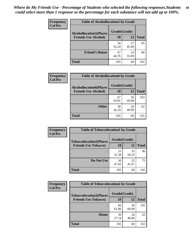| Frequency<br><b>Col Pct</b> | <b>Table of Alcohollocation5 by Grade</b> |              |             |              |
|-----------------------------|-------------------------------------------|--------------|-------------|--------------|
|                             | <b>Alcohollocation5(Places</b>            | Grade(Grade) |             |              |
|                             | <b>Friends Use Alcohol)</b>               | 10           | 12          | <b>Total</b> |
|                             |                                           | 58<br>55.24  | 27<br>45.00 | 85           |
|                             | <b>Friend's House</b>                     | 47<br>44.76  | 33<br>55.00 | 80           |
|                             | <b>Total</b>                              | 105          | 60          | 165          |

| <b>Frequency</b>            | <b>Table of Alcohollocation6 by Grade</b> |              |              |     |
|-----------------------------|-------------------------------------------|--------------|--------------|-----|
| <b>Col Pct</b>              | <b>Alcohollocation6(Places</b>            | Grade(Grade) |              |     |
| <b>Friends Use Alcohol)</b> | 10                                        | 12           | <b>Total</b> |     |
|                             |                                           | 67<br>63.81  | 36<br>60.00  | 103 |
|                             | <b>Other</b>                              | 38<br>36.19  | 24<br>40.00  | 62  |
|                             | <b>Total</b>                              | 105          | 60           | 165 |

| Frequency      | <b>Table of Tobaccolocation1 by Grade</b> |              |             |              |
|----------------|-------------------------------------------|--------------|-------------|--------------|
| <b>Col Pct</b> | <b>Tobaccolocation1(Places</b>            | Grade(Grade) |             |              |
|                | <b>Friends Use Tobacco)</b>               | 10           | 12          | <b>Total</b> |
|                |                                           | 55<br>52.38  | 35<br>58.33 | 90           |
|                | Do Not Use                                | 50<br>47.62  | 25<br>41.67 | 75           |
|                | <b>Total</b>                              | 105          | 60          | 165          |

| <b>Frequency</b> | <b>Table of Tobaccolocation2 by Grade</b> |              |             |              |  |
|------------------|-------------------------------------------|--------------|-------------|--------------|--|
| <b>Col Pct</b>   | <b>Tobaccolocation2(Places</b>            | Grade(Grade) |             |              |  |
|                  | <b>Friends Use Tobacco)</b>               | 10           | 12          | <b>Total</b> |  |
|                  |                                           | 66<br>62.86  | 36<br>60.00 | 102          |  |
|                  | Home                                      | 39<br>37.14  | 24<br>40.00 | 63           |  |
|                  | <b>Total</b>                              | 105          | 60          | 165          |  |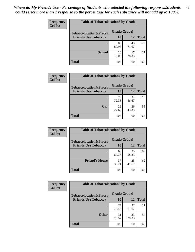| Frequency      | <b>Table of Tobaccolocation 3 by Grade</b> |              |             |              |  |
|----------------|--------------------------------------------|--------------|-------------|--------------|--|
| <b>Col Pct</b> | <b>Tobaccolocation3(Places</b>             | Grade(Grade) |             |              |  |
|                | <b>Friends Use Tobacco)</b>                | 10           | 12          | <b>Total</b> |  |
|                | ٠                                          | 85<br>80.95  | 43<br>71.67 | 128          |  |
|                | <b>School</b>                              | 20<br>19.05  | 17<br>28.33 | 37           |  |
|                | <b>Total</b>                               | 105          | 60          | 165          |  |

| Frequency      | <b>Table of Tobaccolocation4 by Grade</b> |              |             |              |
|----------------|-------------------------------------------|--------------|-------------|--------------|
| <b>Col Pct</b> | <b>Tobaccolocation4(Places</b>            | Grade(Grade) |             |              |
|                | <b>Friends Use Tobacco)</b>               | 10           | 12          | <b>Total</b> |
|                |                                           | 76<br>72.38  | 34<br>56.67 | 110          |
|                | Car                                       | 29<br>27.62  | 26<br>43.33 | 55           |
|                | <b>Total</b>                              | 105          | 60          | 165          |

| Frequency      | <b>Table of Tobaccolocation5 by Grade</b> |              |             |              |  |
|----------------|-------------------------------------------|--------------|-------------|--------------|--|
| <b>Col Pct</b> | <b>Tobaccolocation5(Places</b>            | Grade(Grade) |             |              |  |
|                | <b>Friends Use Tobacco)</b>               | 10           | <b>12</b>   | <b>Total</b> |  |
|                |                                           | 68<br>64.76  | 35<br>58.33 | 103          |  |
|                | <b>Friend's House</b>                     | 37<br>35.24  | 25<br>41.67 | 62           |  |
|                | <b>Total</b>                              | 105          | 60          | 165          |  |

| <b>Frequency</b> | <b>Table of Tobaccolocation6 by Grade</b> |              |             |              |  |
|------------------|-------------------------------------------|--------------|-------------|--------------|--|
| <b>Col Pct</b>   | <b>Tobaccolocation6(Places</b>            | Grade(Grade) |             |              |  |
|                  | <b>Friends Use Tobacco)</b>               | 10           | 12          | <b>Total</b> |  |
|                  |                                           | 74<br>70.48  | 37<br>61.67 | 111          |  |
|                  | <b>Other</b>                              | 31<br>29.52  | 23<br>38.33 | 54           |  |
|                  | <b>Total</b>                              | 105          | 60          | 165          |  |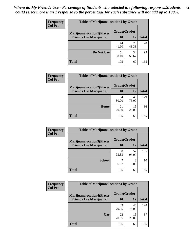| <b>Frequency</b> | <b>Table of Marijuanalocation1 by Grade</b> |              |             |              |
|------------------|---------------------------------------------|--------------|-------------|--------------|
| <b>Col Pct</b>   | <b>Marijuanalocation1(Places</b>            | Grade(Grade) |             |              |
|                  | <b>Friends Use Marijuana</b> )              | 10           | 12          | <b>Total</b> |
|                  |                                             | 44<br>41.90  | 26<br>43.33 | 70           |
|                  | Do Not Use                                  | 61<br>58.10  | 34<br>56.67 | 95           |
|                  | <b>Total</b>                                | 105          | 60          | 165          |

| <b>Frequency</b> | <b>Table of Marijuanalocation2 by Grade</b>                        |                    |             |              |
|------------------|--------------------------------------------------------------------|--------------------|-------------|--------------|
| <b>Col Pct</b>   | <b>Marijuanalocation2(Places</b><br><b>Friends Use Marijuana</b> ) | Grade(Grade)<br>10 | 12          | <b>Total</b> |
|                  |                                                                    | 84<br>80.00        | 45<br>75.00 | 129          |
|                  | <b>Home</b>                                                        | 21<br>20.00        | 15<br>25.00 | 36           |
|                  | <b>Total</b>                                                       | 105                | 60          | 165          |

| Frequency<br><b>Col Pct</b> | <b>Table of Marijuanalocation3 by Grade</b> |              |             |              |
|-----------------------------|---------------------------------------------|--------------|-------------|--------------|
|                             | <b>Marijuanalocation3</b> (Places           | Grade(Grade) |             |              |
|                             | <b>Friends Use Marijuana</b> )              | 10           | 12          | <b>Total</b> |
|                             |                                             | 98<br>93.33  | 57<br>95.00 | 155          |
|                             | <b>School</b>                               | 6.67         | 3<br>5.00   | 10           |
|                             | <b>Total</b>                                | 105          | 60          | 165          |

| <b>Frequency</b> | <b>Table of Marijuanalocation4 by Grade</b> |              |             |              |  |
|------------------|---------------------------------------------|--------------|-------------|--------------|--|
| <b>Col Pct</b>   | <b>Marijuanalocation4(Places</b>            | Grade(Grade) |             |              |  |
|                  | <b>Friends Use Marijuana</b> )              | <b>10</b>    | 12          | <b>Total</b> |  |
|                  |                                             | 83<br>79.05  | 45<br>75.00 | 128          |  |
|                  | Car                                         | 22<br>20.95  | 15<br>25.00 | 37           |  |
|                  | <b>Total</b>                                | 105          | 60          | 165          |  |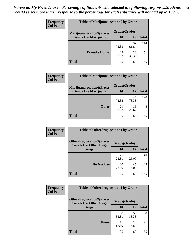| <b>Frequency</b> | <b>Table of Marijuanalocation5 by Grade</b> |              |             |              |
|------------------|---------------------------------------------|--------------|-------------|--------------|
| <b>Col Pct</b>   | <b>Marijuanalocation5</b> (Places           | Grade(Grade) |             |              |
|                  | <b>Friends Use Marijuana</b> )              | 10           | 12          | <b>Total</b> |
|                  |                                             | 77<br>73.33  | 37<br>61.67 | 114          |
|                  | <b>Friend's House</b>                       | 28<br>26.67  | 23<br>38.33 | 51           |
|                  | <b>Total</b>                                | 105          | 60          | 165          |

| <b>Frequency</b> | <b>Table of Marijuanalocation6 by Grade</b>                        |                    |             |              |
|------------------|--------------------------------------------------------------------|--------------------|-------------|--------------|
| <b>Col Pct</b>   | <b>Marijuanalocation6(Places</b><br><b>Friends Use Marijuana</b> ) | Grade(Grade)<br>10 | 12          | <b>Total</b> |
|                  |                                                                    | 76<br>72.38        | 44<br>73.33 | 120          |
|                  | <b>Other</b>                                                       | 29<br>27.62        | 16<br>26.67 | 45           |
|                  | <b>Total</b>                                                       | 105                | 60          | 165          |

| <b>Frequency</b> | <b>Table of Otherdruglocation1 by Grade</b> |              |             |              |
|------------------|---------------------------------------------|--------------|-------------|--------------|
| <b>Col Pct</b>   | <b>Otherdruglocation1(Places</b>            | Grade(Grade) |             |              |
|                  | <b>Friends Use Other Illegal</b><br>Drugs)  | 10           | 12          | <b>Total</b> |
|                  |                                             | 25<br>23.81  | 15<br>25.00 | 40           |
|                  | Do Not Use                                  | 80<br>76.19  | 45<br>75.00 | 125          |
|                  | <b>Total</b>                                | 105          | 60          | 165          |

| Frequency      | <b>Table of Otherdruglocation2 by Grade</b>                          |              |             |              |
|----------------|----------------------------------------------------------------------|--------------|-------------|--------------|
| <b>Col Pct</b> | <b>Otherdruglocation2(Places</b><br><b>Friends Use Other Illegal</b> | Grade(Grade) |             |              |
|                | Drugs)                                                               | 10           | 12          | <b>Total</b> |
|                |                                                                      | 88<br>83.81  | 50<br>83.33 | 138          |
|                | Home                                                                 | 17<br>16.19  | 10<br>16.67 | 27           |
|                | <b>Total</b>                                                         | 105          | 60          | 165          |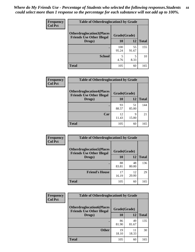| <b>Frequency</b> | <b>Table of Otherdruglocation3 by Grade</b>                          |              |             |              |
|------------------|----------------------------------------------------------------------|--------------|-------------|--------------|
| <b>Col Pct</b>   | <b>Otherdruglocation3(Places</b><br><b>Friends Use Other Illegal</b> | Grade(Grade) |             |              |
|                  | Drugs)                                                               | 10           | 12          | <b>Total</b> |
|                  |                                                                      | 100<br>95.24 | 55<br>91.67 | 155          |
|                  | <b>School</b>                                                        | 5<br>4.76    | 8.33        | 10           |
|                  | <b>Total</b>                                                         | 105          | 60          | 165          |

| <b>Frequency</b> | <b>Table of Otherdruglocation4 by Grade</b>                          |              |             |              |  |
|------------------|----------------------------------------------------------------------|--------------|-------------|--------------|--|
| <b>Col Pct</b>   | <b>Otherdruglocation4(Places</b><br><b>Friends Use Other Illegal</b> | Grade(Grade) |             |              |  |
|                  | Drugs)                                                               | 10           | 12          | <b>Total</b> |  |
|                  |                                                                      | 93<br>88.57  | 51<br>85.00 | 144          |  |
|                  | Car                                                                  | 12<br>11.43  | 9<br>15.00  | 21           |  |
|                  | <b>Total</b>                                                         | 105          | 60          | 165          |  |

| Frequency      | <b>Table of Otherdruglocation5 by Grade</b>                          |              |             |              |
|----------------|----------------------------------------------------------------------|--------------|-------------|--------------|
| <b>Col Pct</b> | <b>Otherdruglocation5(Places</b><br><b>Friends Use Other Illegal</b> | Grade(Grade) |             |              |
|                | Drugs)                                                               | 10           | 12          | <b>Total</b> |
|                |                                                                      | 88<br>83.81  | 48<br>80.00 | 136          |
|                | <b>Friend's House</b>                                                | 17<br>16.19  | 12<br>20.00 | 29           |
|                | <b>Total</b>                                                         | 105          | 60          | 165          |

| <b>Frequency</b> | <b>Table of Otherdruglocation6 by Grade</b>                          |             |              |              |
|------------------|----------------------------------------------------------------------|-------------|--------------|--------------|
| <b>Col Pct</b>   | <b>Otherdruglocation6(Places</b><br><b>Friends Use Other Illegal</b> |             | Grade(Grade) |              |
|                  | Drugs)                                                               | 10          | 12           | <b>Total</b> |
|                  |                                                                      | 86<br>81.90 | 49<br>81.67  | 135          |
|                  | <b>Other</b>                                                         | 19<br>18.10 | 11<br>18.33  | 30           |
|                  | <b>Total</b>                                                         | 105         | 60           | 165          |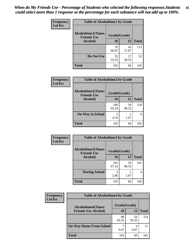| Frequency      | <b>Table of Alcoholtime1 by Grade</b> |              |             |              |
|----------------|---------------------------------------|--------------|-------------|--------------|
| <b>Col Pct</b> | <b>Alcoholtime1(Times</b>             | Grade(Grade) |             |              |
|                | <b>Friends Use</b><br>Alcohol)        | 10           | 12          | <b>Total</b> |
|                |                                       | 70<br>66.67  | 43<br>71.67 | 113          |
|                | Do Not Use                            | 35<br>33.33  | 17<br>28.33 | 52           |
|                | <b>Total</b>                          | 105          | 60          | 165          |

| Frequency      | <b>Table of Alcoholtime2 by Grade</b>           |              |             |              |
|----------------|-------------------------------------------------|--------------|-------------|--------------|
| <b>Col Pct</b> | <b>Alcoholtime2(Times</b><br><b>Friends Use</b> | Grade(Grade) |             |              |
|                | Alcohol)                                        | 10           | 12          | <b>Total</b> |
|                |                                                 | 100<br>95.24 | 59<br>98.33 | 159          |
|                | <b>On Way to School</b>                         | 5<br>4.76    | 1.67        | 6            |
|                | <b>Total</b>                                    | 105          | 60          | 165          |

| Frequency      | <b>Table of Alcoholtime3 by Grade</b>                           |              |             |              |
|----------------|-----------------------------------------------------------------|--------------|-------------|--------------|
| <b>Col Pct</b> | <b>Alcoholtime3(Times</b><br>Grade(Grade)<br><b>Friends Use</b> |              |             |              |
|                | <b>Alcohol</b> )                                                | 10           | 12          | <b>Total</b> |
|                |                                                                 | 102<br>97.14 | 59<br>98.33 | 161          |
|                | <b>During School</b>                                            | 3<br>2.86    | 1.67        | 4            |
|                | <b>Total</b>                                                    | 105          | 60          | 165          |

| <b>Frequency</b> | <b>Table of Alcoholtime4 by Grade</b> |              |             |              |  |
|------------------|---------------------------------------|--------------|-------------|--------------|--|
| <b>Col Pct</b>   | <b>Alcoholtime4(Times</b>             | Grade(Grade) |             |              |  |
|                  | <b>Friends Use Alcohol)</b>           | 10           | 12          | <b>Total</b> |  |
|                  | ٠                                     | 98<br>93.33  | 56<br>93.33 | 154          |  |
|                  | <b>On Way Home From School</b>        | 6.67         | 6.67        | 11           |  |
|                  | <b>Total</b>                          | 105          | 60          | 165          |  |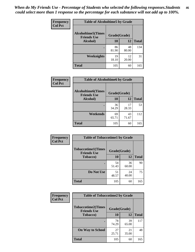*When do My Friends Use - Percentage of Students who selected the following responses.Students could select more than 1 response so the percentage for each substance will not add up to 100%.* **46**

| <b>Frequency</b> | <b>Table of Alcoholtime5 by Grade</b>           |              |             |              |
|------------------|-------------------------------------------------|--------------|-------------|--------------|
| <b>Col Pct</b>   | <b>Alcoholtime5(Times</b><br><b>Friends Use</b> | Grade(Grade) |             |              |
|                  | Alcohol)                                        | 10           | 12          | <b>Total</b> |
|                  |                                                 | 86<br>81.90  | 48<br>80.00 | 134          |
|                  | Weeknights                                      | 19<br>18.10  | 12<br>20.00 | 31           |
|                  | <b>Total</b>                                    | 105          | 60          | 165          |

| Frequency      | <b>Table of Alcoholtime6 by Grade</b>           |              |             |              |
|----------------|-------------------------------------------------|--------------|-------------|--------------|
| <b>Col Pct</b> | <b>Alcoholtime6(Times</b><br><b>Friends Use</b> | Grade(Grade) |             |              |
|                | Alcohol)                                        | 10           | 12          | <b>Total</b> |
|                |                                                 | 36<br>34.29  | 17<br>28.33 | 53           |
|                | Weekends                                        | 69<br>65.71  | 43<br>71.67 | 112          |
|                | <b>Total</b>                                    | 105          | 60          | 165          |

| Frequency      | <b>Table of Tobaccotime1 by Grade</b>                           |             |             |              |
|----------------|-----------------------------------------------------------------|-------------|-------------|--------------|
| <b>Col Pct</b> | <b>Tobaccotime1(Times</b><br>Grade(Grade)<br><b>Friends Use</b> |             |             |              |
|                | <b>Tobacco</b> )                                                | 10          | 12          | <b>Total</b> |
|                |                                                                 | 54<br>51.43 | 36<br>60.00 | 90           |
|                | Do Not Use                                                      | 51<br>48.57 | 24<br>40.00 | 75           |
|                | <b>Total</b>                                                    | 105         | 60          | 165          |

| <b>Frequency</b> | <b>Table of Tobaccotime2 by Grade</b>           |              |             |              |  |
|------------------|-------------------------------------------------|--------------|-------------|--------------|--|
| <b>Col Pct</b>   | <b>Tobaccotime2(Times</b><br><b>Friends Use</b> | Grade(Grade) |             |              |  |
|                  | <b>Tobacco</b> )                                | 10           | 12          | <b>Total</b> |  |
|                  | ٠                                               | 78<br>74.29  | 39<br>65.00 | 117          |  |
|                  | <b>On Way to School</b>                         | 27<br>25.71  | 21<br>35.00 | 48           |  |
|                  | <b>Total</b>                                    | 105          | 60          | 165          |  |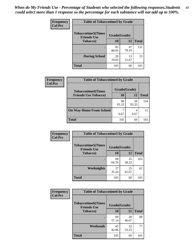| Frequency<br><b>Col Pct</b> | <b>Table of Tobaccotime3 by Grade</b>           |              |             |              |  |
|-----------------------------|-------------------------------------------------|--------------|-------------|--------------|--|
|                             | <b>Tobaccotime3(Times</b><br><b>Friends Use</b> | Grade(Grade) |             |              |  |
|                             | <b>Tobacco</b> )                                | 10           | 12          | <b>Total</b> |  |
|                             | $\bullet$                                       | 85<br>80.95  | 47<br>78.33 | 132          |  |
|                             | <b>During School</b>                            | 20<br>19.05  | 13<br>21.67 | 33           |  |
|                             | <b>Total</b>                                    | 105          | 60          | 165          |  |

| <b>Frequency</b> | <b>Table of Tobaccotime4 by Grade</b> |              |             |              |
|------------------|---------------------------------------|--------------|-------------|--------------|
| <b>Col Pct</b>   | <b>Tobaccotime4(Times</b>             | Grade(Grade) |             |              |
|                  | <b>Friends Use Tobacco)</b>           | 10           | 12          | <b>Total</b> |
|                  |                                       | 98<br>93.33  | 56<br>93.33 | 154          |
|                  | <b>On Way Home From School</b>        | 6.67         | 4<br>6.67   |              |
|                  | <b>Total</b>                          | 105          | 60          | 165          |

| <b>Frequency</b> | <b>Table of Tobaccotime5 by Grade</b>           |              |             |              |
|------------------|-------------------------------------------------|--------------|-------------|--------------|
| <b>Col Pct</b>   | <b>Tobaccotime5(Times</b><br><b>Friends Use</b> | Grade(Grade) |             |              |
|                  | <b>Tobacco</b> )                                | 10           | 12          | <b>Total</b> |
|                  |                                                 | 68<br>64.76  | 35<br>58.33 | 103          |
|                  | Weeknights                                      | 37<br>35.24  | 25<br>41.67 | 62           |
|                  | <b>Total</b>                                    | 105          | 60          | 165          |

| Frequency<br><b>Col Pct</b> | <b>Table of Tobaccotime6 by Grade</b>           |              |             |              |  |
|-----------------------------|-------------------------------------------------|--------------|-------------|--------------|--|
|                             | <b>Tobaccotime6(Times</b><br><b>Friends Use</b> | Grade(Grade) |             |              |  |
|                             | <b>Tobacco</b> )                                | 10           | 12          | <b>Total</b> |  |
|                             | $\bullet$                                       | 60<br>57.14  | 28<br>46.67 | 88           |  |
|                             | Weekends                                        | 45<br>42.86  | 32<br>53.33 | 77           |  |
|                             | <b>Total</b>                                    | 105          | 60          | 165          |  |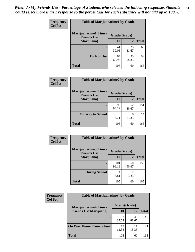| Frequency      | <b>Table of Marijuanatime1 by Grade</b>           |              |             |              |
|----------------|---------------------------------------------------|--------------|-------------|--------------|
| <b>Col Pct</b> | <b>Marijuanatime1(Times</b><br><b>Friends Use</b> | Grade(Grade) |             |              |
|                | Marijuana)                                        | 10           | 12          | <b>Total</b> |
|                |                                                   | 41<br>39.05  | 25<br>41.67 | 66           |
|                | Do Not Use                                        | 64<br>60.95  | 35<br>58.33 | 99           |
|                | <b>Total</b>                                      | 105          | 60          | 165          |

| <b>Frequency</b> | <b>Table of Marijuanatime2 by Grade</b>           |              |             |              |
|------------------|---------------------------------------------------|--------------|-------------|--------------|
| <b>Col Pct</b>   | <b>Marijuanatime2(Times</b><br><b>Friends Use</b> | Grade(Grade) |             |              |
|                  | Marijuana)                                        | 10           | 12          | <b>Total</b> |
|                  |                                                   | 99<br>94.29  | 52<br>86.67 | 151          |
|                  | <b>On Way to School</b>                           | 6<br>5.71    | 8<br>13.33  | 14           |
|                  | <b>Total</b>                                      | 105          | 60          | 165          |

| Frequency      | <b>Table of Marijuanatime3 by Grade</b>    |              |                        |              |
|----------------|--------------------------------------------|--------------|------------------------|--------------|
| <b>Col Pct</b> | Marijuanatime3(Times<br><b>Friends Use</b> | Grade(Grade) |                        |              |
|                | Marijuana)                                 | 10           | 12                     | <b>Total</b> |
|                |                                            | 101<br>96.19 | 58<br>96.67            | 159          |
|                | <b>During School</b>                       | 4<br>3.81    | $\mathfrak{D}$<br>3.33 | 6            |
|                | <b>Total</b>                               | 105          | 60                     | 165          |

| <b>Frequency</b> | <b>Table of Marijuanatime4 by Grade</b> |              |             |              |
|------------------|-----------------------------------------|--------------|-------------|--------------|
| <b>Col Pct</b>   | <b>Marijuanatime4(Times</b>             | Grade(Grade) |             |              |
|                  | <b>Friends Use Marijuana</b> )          | 10           | 12          | <b>Total</b> |
|                  | ٠                                       | 92<br>87.62  | 49<br>81.67 | 141          |
|                  | <b>On Way Home From School</b>          | 13<br>12.38  | 11<br>18.33 | 24           |
|                  | <b>Total</b>                            | 105          | 60          | 165          |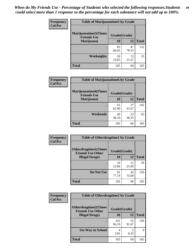| Frequency      | <b>Table of Marijuanatime5 by Grade</b>            |              |             |              |
|----------------|----------------------------------------------------|--------------|-------------|--------------|
| <b>Col Pct</b> | <b>Marijuanatime5</b> (Times<br><b>Friends Use</b> | Grade(Grade) |             |              |
|                | Marijuana)                                         | 10           | 12          | <b>Total</b> |
|                |                                                    | 85<br>80.95  | 47<br>78.33 | 132          |
|                | Weeknights                                         | 20<br>19.05  | 13<br>21.67 | 33           |
|                | <b>Total</b>                                       | 105          | 60          | 165          |

| <b>Frequency</b><br><b>Col Pct</b> | <b>Table of Marijuanatime6 by Grade</b>            |              |             |              |
|------------------------------------|----------------------------------------------------|--------------|-------------|--------------|
|                                    | <b>Marijuanatime6</b> (Times<br><b>Friends Use</b> | Grade(Grade) |             |              |
|                                    | Marijuana)                                         | 10           | 12          | <b>Total</b> |
|                                    | $\bullet$                                          | 65<br>61.90  | 37<br>61.67 | 102          |
|                                    | Weekends                                           | 40<br>38.10  | 23<br>38.33 | 63           |
|                                    | <b>Total</b>                                       | 105          | 60          | 165          |

| Frequency      | <b>Table of Otherdrugtime1 by Grade</b>                 |              |             |              |
|----------------|---------------------------------------------------------|--------------|-------------|--------------|
| <b>Col Pct</b> | <b>Otherdrugtime1(Times</b><br><b>Friends Use Other</b> | Grade(Grade) |             |              |
|                | <b>Illegal Drugs</b> )                                  | 10           | 12          | <b>Total</b> |
|                |                                                         | 24<br>22.86  | 15<br>25.00 | 39           |
|                | Do Not Use                                              | 81<br>77.14  | 45<br>75.00 | 126          |
|                | Total                                                   | 105          | 60          | 165          |

| <b>Frequency</b> | <b>Table of Otherdrugtime2 by Grade</b>                                 |              |             |              |  |  |
|------------------|-------------------------------------------------------------------------|--------------|-------------|--------------|--|--|
| <b>Col Pct</b>   | <b>Otherdrugtime2(Times</b><br>Grade(Grade)<br><b>Friends Use Other</b> |              |             |              |  |  |
|                  | <b>Illegal Drugs</b> )                                                  | 10           | 12          | <b>Total</b> |  |  |
|                  |                                                                         | 101<br>96.19 | 55<br>91.67 | 156          |  |  |
|                  | <b>On Way to School</b>                                                 | 4<br>3.81    | 5<br>8.33   | 9            |  |  |
|                  | Total                                                                   | 105          | 60          | 165          |  |  |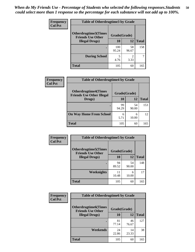| <b>Frequency</b> | <b>Table of Otherdrugtime3 by Grade</b>                 |              |                        |              |  |  |
|------------------|---------------------------------------------------------|--------------|------------------------|--------------|--|--|
| <b>Col Pct</b>   | <b>Otherdrugtime3(Times</b><br><b>Friends Use Other</b> | Grade(Grade) |                        |              |  |  |
|                  | <b>Illegal Drugs</b> )                                  | 10           | 12                     | <b>Total</b> |  |  |
|                  |                                                         | 100<br>95.24 | 58<br>96.67            | 158          |  |  |
|                  | <b>During School</b>                                    | 5<br>4.76    | $\mathfrak{D}$<br>3.33 |              |  |  |
|                  | <b>Total</b>                                            | 105          | 60                     | 165          |  |  |

| Frequency      | <b>Table of Otherdrugtime4 by Grade</b>                         |              |             |              |  |  |  |
|----------------|-----------------------------------------------------------------|--------------|-------------|--------------|--|--|--|
| <b>Col Pct</b> | <b>Otherdrugtime4(Times</b><br><b>Friends Use Other Illegal</b> | Grade(Grade) |             |              |  |  |  |
|                | Drugs)                                                          | 10           | 12          | <b>Total</b> |  |  |  |
|                |                                                                 | 99<br>94.29  | 54<br>90.00 | 153          |  |  |  |
|                | <b>On Way Home From School</b>                                  | 6<br>5.71    | 6<br>10.00  | 12           |  |  |  |
|                | <b>Total</b>                                                    | 105          | 60          | 165          |  |  |  |

| <b>Frequency</b> | <b>Table of Otherdrugtime5 by Grade</b>                  |              |             |              |  |  |  |
|------------------|----------------------------------------------------------|--------------|-------------|--------------|--|--|--|
| <b>Col Pct</b>   | <b>Otherdrugtime5</b> (Times<br><b>Friends Use Other</b> | Grade(Grade) |             |              |  |  |  |
|                  | <b>Illegal Drugs</b> )                                   | 10           | 12          | <b>Total</b> |  |  |  |
|                  |                                                          | 94<br>89.52  | 54<br>90.00 | 148          |  |  |  |
|                  | Weeknights                                               | 11<br>10.48  | 6<br>10.00  | 17           |  |  |  |
|                  | Total                                                    | 105          | 60          | 165          |  |  |  |

| <b>Frequency</b> | <b>Table of Otherdrugtime6 by Grade</b>                  |              |             |              |  |  |  |
|------------------|----------------------------------------------------------|--------------|-------------|--------------|--|--|--|
| <b>Col Pct</b>   | <b>Otherdrugtime6</b> (Times<br><b>Friends Use Other</b> | Grade(Grade) |             |              |  |  |  |
|                  | <b>Illegal Drugs</b> )                                   | 10           | 12          | <b>Total</b> |  |  |  |
|                  |                                                          | 81<br>77.14  | 46<br>76.67 | 127          |  |  |  |
|                  | Weekends                                                 | 24<br>22.86  | 14<br>23.33 | 38           |  |  |  |
|                  | <b>Total</b>                                             | 105          | 60          | 165          |  |  |  |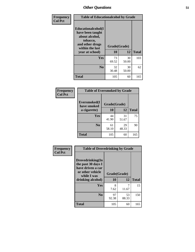| Frequency      | <b>Table of Educationalcohol by Grade</b>                                                                  |              |             |              |  |  |
|----------------|------------------------------------------------------------------------------------------------------------|--------------|-------------|--------------|--|--|
| <b>Col Pct</b> | Educationalcohol(I<br>have been taught<br>about alcohol,<br>tobacco,<br>and other drugs<br>within the last | Grade(Grade) |             |              |  |  |
|                | year at school)                                                                                            | 10           | 12          | <b>Total</b> |  |  |
|                | Yes                                                                                                        | 73<br>69.52  | 30<br>50.00 | 103          |  |  |
|                | N <sub>0</sub>                                                                                             | 32<br>30.48  | 30<br>50.00 | 62           |  |  |
|                | <b>Total</b>                                                                                               | 105          | 60          | 165          |  |  |

| Frequency      | <b>Table of Eversmoked by Grade</b> |              |             |              |  |  |
|----------------|-------------------------------------|--------------|-------------|--------------|--|--|
| <b>Col Pct</b> | Eversmoked(I<br>have smoked         | Grade(Grade) |             |              |  |  |
|                | a cigarette)                        | 10           | 12          | <b>Total</b> |  |  |
|                | Yes                                 | 44<br>41.90  | 31<br>51.67 | 75           |  |  |
|                | N <sub>0</sub>                      | 61<br>58.10  | 29<br>48.33 | 90           |  |  |
|                | <b>Total</b>                        | 105          | 60          | 165          |  |  |

| Frequency<br><b>Col Pct</b> | <b>Table of Drovedrinking by Grade</b>                                                         |                          |             |              |  |  |  |
|-----------------------------|------------------------------------------------------------------------------------------------|--------------------------|-------------|--------------|--|--|--|
|                             | Drovedrinking(In<br>the past 30 days I<br>have driven a car<br>or other vehicle<br>while I was | Grade(Grade)<br>10<br>12 |             |              |  |  |  |
|                             | drinking alcohol)                                                                              |                          |             | <b>Total</b> |  |  |  |
|                             | <b>Yes</b>                                                                                     | 8                        |             | 15           |  |  |  |
|                             |                                                                                                | 7.62                     | 11.67       |              |  |  |  |
|                             | N <sub>0</sub>                                                                                 | 97<br>92.38              | 53<br>88.33 | 150          |  |  |  |
|                             | <b>Total</b>                                                                                   | 105                      | 60          | 165          |  |  |  |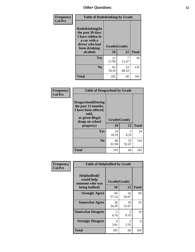| Frequency<br><b>Col Pct</b> | <b>Table of Rodedrinking by Grade</b>                                                                      |              |             |              |  |  |  |
|-----------------------------|------------------------------------------------------------------------------------------------------------|--------------|-------------|--------------|--|--|--|
|                             | Rodedrinking(In<br>the past 30 days<br>I have ridden in<br>a car with a<br>driver who had<br>been drinking | Grade(Grade) |             |              |  |  |  |
|                             | alcohol)                                                                                                   | 10           | 12          | <b>Total</b> |  |  |  |
|                             | <b>Yes</b>                                                                                                 | 23<br>21.90  | 7<br>11.67  | 30           |  |  |  |
|                             | N <sub>0</sub>                                                                                             | 82<br>78.10  | 53<br>88.33 | 135          |  |  |  |
|                             | <b>Total</b>                                                                                               | 105          | 60          | 165          |  |  |  |

#### **Frequency Col Pct**

| <b>Table of Drugsschool by Grade</b>                                                                                      |              |             |              |  |  |  |  |
|---------------------------------------------------------------------------------------------------------------------------|--------------|-------------|--------------|--|--|--|--|
| <b>Drugsschool</b> (During<br>the past 12 months,<br>I have been offered,<br>sold,<br>or given illegal<br>drugs on school | Grade(Grade) |             |              |  |  |  |  |
| property)                                                                                                                 | 10           | 12          | <b>Total</b> |  |  |  |  |
| Yes                                                                                                                       | 19<br>18.10  | 5<br>8.33   | 24           |  |  |  |  |
| $\bf No$                                                                                                                  | 86<br>81.90  | 55<br>91.67 | 141          |  |  |  |  |
| <b>Total</b>                                                                                                              | 105          | 60          | 165          |  |  |  |  |

| Frequency      | <b>Table of Helpbullied by Grade</b>                                   |                          |                        |              |  |  |  |
|----------------|------------------------------------------------------------------------|--------------------------|------------------------|--------------|--|--|--|
| <b>Col Pct</b> | $Helpb$ ullied $(I$<br>would help<br>someone who was<br>being bullied) | Grade(Grade)<br>10<br>12 |                        | <b>Total</b> |  |  |  |
|                |                                                                        |                          |                        |              |  |  |  |
|                | <b>Strongly Agree</b>                                                  | 60<br>57.14              | 34<br>56.67            | 94           |  |  |  |
|                | <b>Somewhat Agree</b>                                                  | 36<br>34.29              | 19<br>31.67            | 55           |  |  |  |
|                | <b>Somewhat Disagree</b>                                               | 5<br>4.76                | 5<br>8.33              | 10           |  |  |  |
|                | <b>Strongly Disagree</b>                                               | 4<br>3.81                | $\mathfrak{D}$<br>3.33 | 6            |  |  |  |
|                | <b>Total</b>                                                           | 105                      | 60                     | 165          |  |  |  |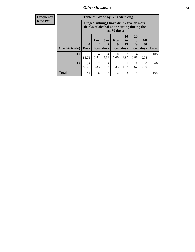| <b>Frequency</b><br><b>Row Pct</b> |                           | <b>Table of Grade by Bingedrinking</b><br>Bingedrinking(I have drunk five or more<br>drinks of alcohol at one sitting during the<br>last 30 days) |                                |                              |                             |                                   |                        |                   |              |
|------------------------------------|---------------------------|---------------------------------------------------------------------------------------------------------------------------------------------------|--------------------------------|------------------------------|-----------------------------|-----------------------------------|------------------------|-------------------|--------------|
|                                    | <b>Grade</b> (Grade) Days | $\mathbf{0}$                                                                                                                                      | 1 or<br>$\overline{2}$<br>days | 3 <sub>to</sub><br>5<br>days | $6 \text{ to}$<br>9<br>days | 10<br>$\mathbf{to}$<br>19<br>days | 20<br>to<br>29<br>days | All<br>30<br>days | <b>Total</b> |
|                                    | 10                        | 90<br>85.71                                                                                                                                       | $\overline{4}$<br>3.81         | 4<br>3.81                    | $\Omega$<br>0.00            | $\mathfrak{D}$<br>1.90            | 4<br>3.81              | 0.95              | 105          |
|                                    | 12                        | 52<br>86.67                                                                                                                                       | $\overline{2}$<br>3.33         | $\overline{2}$<br>3.33       | 2<br>3.33                   | 1.67                              | 1.67                   | $\Omega$<br>0.00  | 60           |
|                                    | <b>Total</b>              | 142                                                                                                                                               | 6                              | 6                            | 2                           | 3                                 | 5                      |                   | 165          |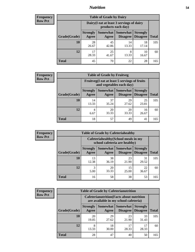### *Nutrition* **54**

| <b>Frequency</b> |
|------------------|
| <b>Row Pct</b>   |

| <b>Table of Grade by Dairy</b> |                                                                                                                                           |                                                                 |             |             |     |  |  |  |
|--------------------------------|-------------------------------------------------------------------------------------------------------------------------------------------|-----------------------------------------------------------------|-------------|-------------|-----|--|--|--|
|                                |                                                                                                                                           | Dairy (I eat at least 3 servings of dairy<br>products each day) |             |             |     |  |  |  |
| Grade(Grade)                   | Somewhat<br><b>Somewhat</b><br><b>Strongly</b><br><b>Strongly</b><br><b>Disagree</b><br><b>Disagree</b><br><b>Total</b><br>Agree<br>Agree |                                                                 |             |             |     |  |  |  |
| 10                             | 28<br>26.67                                                                                                                               | 45<br>42.86                                                     | 14<br>13.33 | 18<br>17.14 | 105 |  |  |  |
| 12                             | 17<br>28.33                                                                                                                               | 25<br>41.67                                                     | 8<br>13.33  | 10<br>16.67 | 60  |  |  |  |
| <b>Total</b>                   | 45                                                                                                                                        | 70                                                              | 22          | 28          | 165 |  |  |  |

| <b>Frequency</b> |  |
|------------------|--|
| <b>Row Pct</b>   |  |

| y | <b>Table of Grade by Fruitveg</b> |                          |                                                                                     |             |             |     |  |  |
|---|-----------------------------------|--------------------------|-------------------------------------------------------------------------------------|-------------|-------------|-----|--|--|
|   |                                   |                          | Fruitveg(I eat at least 5 servings of fruits<br>and vegetables each day)            |             |             |     |  |  |
|   | Grade(Grade)                      | <b>Strongly</b><br>Agree | Somewhat Somewhat<br><b>Strongly</b><br><b>Disagree</b><br><b>Disagree</b><br>Agree |             |             |     |  |  |
|   | 10                                | 14<br>13.33              | 37<br>35.24                                                                         | 29<br>27.62 | 25<br>23.81 | 105 |  |  |
|   | 12                                | 4<br>6.67                | 20<br>33.33                                                                         | 20<br>33.33 | 16<br>26.67 | 60  |  |  |
|   | <b>Total</b>                      | 18                       | 57                                                                                  | 49          | 41          | 165 |  |  |

| <b>Frequency</b> | <b>Table of Grade by Cafeteriahealthy</b> |                                                                       |                     |                             |                                    |              |
|------------------|-------------------------------------------|-----------------------------------------------------------------------|---------------------|-----------------------------|------------------------------------|--------------|
| <b>Row Pct</b>   |                                           | Cafeteriahealthy (School meals in my<br>school cafeteria are healthy) |                     |                             |                                    |              |
|                  | Grade(Grade)                              | <b>Strongly</b><br>Agree                                              | Somewhat  <br>Agree | Somewhat<br><b>Disagree</b> | <b>Strongly</b><br><b>Disagree</b> | <b>Total</b> |
|                  | 10                                        | 13<br>12.38                                                           | 38<br>36.19         | 23<br>21.90                 | 31<br>29.52                        | 105          |
|                  | 12                                        | 3<br>5.00                                                             | 20<br>33.33         | 15<br>25.00                 | 22<br>36.67                        | 60           |
|                  | Total                                     | 16                                                                    | 58                  | 38                          | 53                                 | 165          |

| <b>Frequency</b> |
|------------------|
| <b>Row Pct</b>   |

| <b>Table of Grade by Cafeterianutrition</b>                                               |                          |                   |                             |                                    |              |  |  |
|-------------------------------------------------------------------------------------------|--------------------------|-------------------|-----------------------------|------------------------------------|--------------|--|--|
| <b>Cafeterianutrition</b> (Facts about nutrition<br>are available in my school cafeteria) |                          |                   |                             |                                    |              |  |  |
| Grade(Grade)                                                                              | <b>Strongly</b><br>Agree | Somewhat<br>Agree | <b>Somewhat</b><br>Disagree | <b>Strongly</b><br><b>Disagree</b> | <b>Total</b> |  |  |
| 10                                                                                        | 20<br>19.05              | 29<br>27.62       | 23<br>21.90                 | 33<br>31.43                        | 105          |  |  |
| 12                                                                                        | 8<br>13.33               | 18<br>30.00       | 17<br>28.33                 | 17<br>28.33                        | 60           |  |  |
| <b>Total</b>                                                                              | 28                       | 47                | 40                          | 50                                 | 165          |  |  |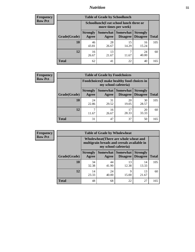### *Nutrition* **55**

| Frequency |
|-----------|
| Row Pct   |

| <b>Table of Grade by Schoollunch</b> |                          |                                                                                                |             |             |     |  |  |  |
|--------------------------------------|--------------------------|------------------------------------------------------------------------------------------------|-------------|-------------|-----|--|--|--|
|                                      |                          | Schoollunch(I eat school lunch three or<br>more times per week)                                |             |             |     |  |  |  |
| Grade(Grade)                         | <b>Strongly</b><br>Agree | Somewhat   Somewhat<br><b>Strongly</b><br><b>Disagree</b><br>Disagree<br><b>Total</b><br>Agree |             |             |     |  |  |  |
| 10                                   | 46<br>43.81              | 28<br>26.67                                                                                    | 15<br>14.29 | 16<br>15.24 | 105 |  |  |  |
| 12                                   | 16<br>26.67              | 13<br>21.67                                                                                    | ℸ<br>11.67  | 24<br>40.00 | 60  |  |  |  |
| <b>Total</b>                         | 62                       | 41                                                                                             | 22          | 40          | 165 |  |  |  |

| <b>Frequency</b> |  |
|------------------|--|
| <b>Row Pct</b>   |  |

| <b>Table of Grade by Foodchoices</b> |                                                                            |             |                                          |                                    |              |  |  |
|--------------------------------------|----------------------------------------------------------------------------|-------------|------------------------------------------|------------------------------------|--------------|--|--|
|                                      | <b>Foodchoices</b> (I make healthy food choices in<br>my school cafeteria) |             |                                          |                                    |              |  |  |
| Grade(Grade)                         | <b>Strongly</b><br>Agree                                                   | Agree       | Somewhat   Somewhat  <br><b>Disagree</b> | <b>Strongly</b><br><b>Disagree</b> | <b>Total</b> |  |  |
| 10                                   | 24<br>22.86                                                                | 31<br>29.52 | 20<br>19.05                              | 30<br>28.57                        | 105          |  |  |
| 12                                   | 11.67                                                                      | 16<br>26.67 | 17<br>28.33                              | 20<br>33.33                        | 60           |  |  |
| <b>Total</b>                         | 31                                                                         | 47          | 37                                       | 50                                 | 165          |  |  |

| Frequency      | <b>Table of Grade by Wholewheat</b> |                                                                                                             |             |                                   |                                    |              |  |  |
|----------------|-------------------------------------|-------------------------------------------------------------------------------------------------------------|-------------|-----------------------------------|------------------------------------|--------------|--|--|
| <b>Row Pct</b> |                                     | Wholewheat (There are whole wheat and<br>multigrain breads and cereals available in<br>my school cafeteria) |             |                                   |                                    |              |  |  |
|                | Grade(Grade)                        | <b>Strongly</b><br>Agree                                                                                    | Agree       | Somewhat   Somewhat  <br>Disagree | <b>Strongly</b><br><b>Disagree</b> | <b>Total</b> |  |  |
|                | 10                                  | 34<br>32.38                                                                                                 | 44<br>41.90 | 13<br>12.38                       | 14<br>13.33                        | 105          |  |  |
|                | 12                                  | 14<br>23.33                                                                                                 | 24<br>40.00 | Q<br>15.00                        | 13<br>21.67                        | 60           |  |  |
|                | <b>Total</b>                        | 48                                                                                                          | 68          | 22                                | 27                                 | 165          |  |  |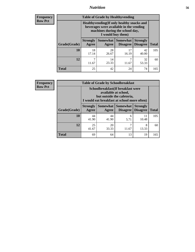### *Nutrition* **56**

**Frequency Row Pct**

| <b>Table of Grade by Healthyvending</b> |                                                                                                                                               |                          |                                    |                                    |              |  |
|-----------------------------------------|-----------------------------------------------------------------------------------------------------------------------------------------------|--------------------------|------------------------------------|------------------------------------|--------------|--|
|                                         | Healthyvending (If only healthy snacks and<br>beverages were available in the vending<br>machines during the school day,<br>I would buy them) |                          |                                    |                                    |              |  |
| Grade(Grade)                            | <b>Strongly</b><br>Agree                                                                                                                      | <b>Somewhat</b><br>Agree | <b>Somewhat</b><br><b>Disagree</b> | <b>Strongly</b><br><b>Disagree</b> | <b>Total</b> |  |
| 10                                      | 18<br>17.14                                                                                                                                   | 28<br>26.67              | 17<br>16.19                        | 42<br>40.00                        | 105          |  |
| 12                                      | 7<br>11.67                                                                                                                                    | 14<br>23.33              | 7<br>11.67                         | 32<br>53.33                        | 60           |  |
| <b>Total</b>                            | 25                                                                                                                                            | 42                       | 24                                 | 74                                 | 165          |  |

**Frequency Row Pct**

| <b>Table of Grade by Schoolbreakfast</b> |                                                                                                                                         |             |                                 |                                    |              |  |
|------------------------------------------|-----------------------------------------------------------------------------------------------------------------------------------------|-------------|---------------------------------|------------------------------------|--------------|--|
|                                          | Schoolbreakfast (If breakfast were<br>available at school,<br>but outside the cafeteria,<br>I would eat breakfast at school more often) |             |                                 |                                    |              |  |
| Grade(Grade)                             | <b>Strongly</b><br>Agree                                                                                                                | Agree       | Somewhat   Somewhat<br>Disagree | <b>Strongly</b><br><b>Disagree</b> | <b>Total</b> |  |
| 10                                       | 44<br>41.90                                                                                                                             | 44<br>41.90 | 6<br>5.71                       | 11<br>10.48                        | 105          |  |
| 12                                       | 25<br>41.67                                                                                                                             | 20<br>33.33 | 7<br>11.67                      | 8<br>13.33                         | 60           |  |
| <b>Total</b>                             | 69                                                                                                                                      | 64          | 13                              | 19                                 | 165          |  |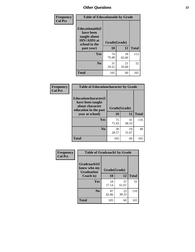| Frequency<br><b>Col Pct</b> | <b>Table of Educationaids by Grade</b>                                                                    |                    |             |              |
|-----------------------------|-----------------------------------------------------------------------------------------------------------|--------------------|-------------|--------------|
|                             | <b>Educationaids</b> (I<br>have been<br>taught about<br><b>HIV/AIDS</b> at<br>school in the<br>past year) | Grade(Grade)<br>10 | 12          | <b>Total</b> |
|                             | Yes                                                                                                       | 74<br>70.48        | 39<br>65.00 | 113          |
|                             | N <sub>0</sub>                                                                                            | 31<br>29.52        | 21<br>35.00 | 52           |
|                             | <b>Total</b>                                                                                              | 105                | 60          | 165          |

| Frequency      | <b>Table of Educationcharacter by Grade</b>                 |              |             |              |
|----------------|-------------------------------------------------------------|--------------|-------------|--------------|
| <b>Col Pct</b> | Educationcharacter(I<br>have been taught<br>about character | Grade(Grade) |             |              |
|                | education in the past<br>year at school)                    | 10           | 12          | <b>Total</b> |
|                | Yes                                                         | 75<br>71.43  | 41<br>68.33 | 116          |
|                | N <sub>0</sub>                                              | 30<br>28.57  | 19<br>31.67 | 49           |
|                | <b>Total</b>                                                | 105          | 60          | 165          |

| Frequency      | <b>Table of Gradcoach1 by Grade</b> |              |             |              |
|----------------|-------------------------------------|--------------|-------------|--------------|
| <b>Col Pct</b> | Gradcoach1(I<br>know who my         | Grade(Grade) |             |              |
|                | <b>Graduation</b><br>Coach is)      | 10           | 12          | <b>Total</b> |
|                | <b>Yes</b>                          | 18<br>17.14  | 37<br>61.67 | 55           |
|                | N <sub>0</sub>                      | 87<br>82.86  | 23<br>38.33 | 110          |
|                | <b>Total</b>                        | 105          | 60          | 165          |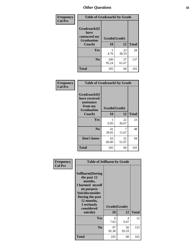| Frequency      | <b>Table of Gradcoach2 by Grade</b>  |              |             |              |
|----------------|--------------------------------------|--------------|-------------|--------------|
| <b>Col Pct</b> | Gradcoach2(I<br>have<br>contacted my |              |             |              |
|                | <b>Graduation</b>                    | Grade(Grade) |             |              |
|                | Coach)                               | 10           | 12          | <b>Total</b> |
|                | Yes                                  | 5<br>4.76    | 23<br>38.33 | 28           |
|                | N <sub>0</sub>                       | 100<br>95.24 | 37<br>61.67 | 137          |
|                | <b>Total</b>                         | 105          | 60          | 165          |

| <b>Frequency</b><br><b>Col Pct</b> | <b>Table of Gradcoach3 by Grade</b>                                         |              |             |              |
|------------------------------------|-----------------------------------------------------------------------------|--------------|-------------|--------------|
|                                    | Gradcoach3(I<br>have received<br>assistance<br>from my<br><b>Graduation</b> | Grade(Grade) |             |              |
|                                    | Coach)                                                                      | 10           | 12          | <b>Total</b> |
|                                    | Yes                                                                         | 0.95         | 22<br>36.67 | 23           |
|                                    | N <sub>0</sub>                                                              | 41<br>39.05  | 7<br>11.67  | 48           |
|                                    | Don't know                                                                  | 63<br>60.00  | 31<br>51.67 | 94           |
|                                    | <b>Total</b>                                                                | 105          | 60          | 165          |

| Frequency      | <b>Table of Selfharm by Grade</b>                                                                                                                                                      |                    |             |              |
|----------------|----------------------------------------------------------------------------------------------------------------------------------------------------------------------------------------|--------------------|-------------|--------------|
| <b>Col Pct</b> | <b>Selfharm</b> (During<br>the past 12<br>months,<br>I harmed myself<br>on purpose<br><b>Suicideconsider</b><br>During the past<br>12 months,<br>I seriously<br>considered<br>suicide) | Grade(Grade)<br>10 | 12          | <b>Total</b> |
|                | Yes                                                                                                                                                                                    | 8<br>7.62          | 4<br>6.67   | 12           |
|                | N <sub>0</sub>                                                                                                                                                                         | 97<br>92.38        | 56<br>93.33 | 153          |
|                | <b>Total</b>                                                                                                                                                                           | 105                | 60          | 165          |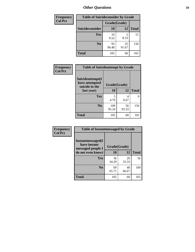| <b>Frequency</b> | <b>Table of Suicideconsider by Grade</b> |              |             |              |
|------------------|------------------------------------------|--------------|-------------|--------------|
| <b>Col Pct</b>   |                                          | Grade(Grade) |             |              |
|                  | Suicideconsider                          | <b>10</b>    | 12          | <b>Total</b> |
|                  | Yes                                      | 10<br>9.52   | 8.33        | 15           |
|                  | N <sub>0</sub>                           | 95<br>90.48  | 55<br>91.67 | 150          |
|                  | Total                                    | 105          | 60          | 165          |

| Frequency      | <b>Table of Suicideattempt by Grade</b>              |              |       |              |
|----------------|------------------------------------------------------|--------------|-------|--------------|
| <b>Col Pct</b> | Suicideattempt(I<br>have attempted<br>suicide in the | Grade(Grade) |       |              |
|                | last year)                                           | 10           | 12    | <b>Total</b> |
|                | Yes                                                  | 5            |       | 9            |
|                |                                                      | 4.76         | 6.67  |              |
|                | $\bf No$                                             | 100          | 56    | 156          |
|                |                                                      | 95.24        | 93.33 |              |
|                | <b>Total</b>                                         | 105          | 60    | 165          |

| Frequency      | <b>Table of Instantmessaged by Grade</b>               |              |             |              |
|----------------|--------------------------------------------------------|--------------|-------------|--------------|
| <b>Col Pct</b> | Instantmessaged(I<br>have instant<br>messaged people I | Grade(Grade) |             |              |
|                | do not even know)                                      | 10           | 12          | <b>Total</b> |
|                | Yes                                                    | 36<br>34.29  | 20<br>33.33 | 56           |
|                | N <sub>0</sub>                                         | 69<br>65.71  | 40<br>66.67 | 109          |
|                | <b>Total</b>                                           | 105          | 60          | 165          |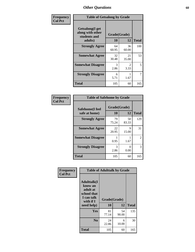| Frequency      | <b>Table of Getsalong by Grade</b>                          |              |             |              |
|----------------|-------------------------------------------------------------|--------------|-------------|--------------|
| <b>Col Pct</b> | <b>Getsalong</b> (I get<br>along with other<br>students and | Grade(Grade) |             |              |
|                | adults)                                                     | 10           | 12          | <b>Total</b> |
|                | <b>Strongly Agree</b>                                       | 64<br>60.95  | 36<br>60.00 | 100          |
|                | <b>Somewhat Agree</b>                                       | 32<br>30.48  | 21<br>35.00 | 53           |
|                | <b>Somewhat Disagree</b>                                    | 3<br>2.86    | 2<br>3.33   | 5            |
|                | <b>Strongly Disagree</b>                                    | 6<br>5.71    | 1.67        | 7            |
|                | <b>Total</b>                                                | 105          | 60          | 165          |

| Frequency      | <b>Table of Safehome by Grade</b> |                           |             |                |
|----------------|-----------------------------------|---------------------------|-------------|----------------|
| <b>Col Pct</b> | Safehome(I feel<br>safe at home)  | Grade(Grade)<br><b>10</b> | 12          | <b>Total</b>   |
|                | <b>Strongly Agree</b>             | 79<br>75.24               | 50<br>83.33 | 129            |
|                | <b>Somewhat Agree</b>             | 22<br>20.95               | 9<br>15.00  | 31             |
|                | <b>Somewhat Disagree</b>          | 0.95                      | 1.67        | $\overline{2}$ |
|                | <b>Strongly Disagree</b>          | 3<br>2.86                 | 0<br>0.00   | 3              |
|                | <b>Total</b>                      | 105                       | 60          | 165            |

| Frequency      |                                                                                                   |                    | <b>Table of Adulttalk by Grade</b> |              |
|----------------|---------------------------------------------------------------------------------------------------|--------------------|------------------------------------|--------------|
| <b>Col Pct</b> | <b>Adulttalk(I</b><br>know an<br>adult at<br>school that<br>I can talk<br>with if I<br>need help) | Grade(Grade)<br>10 | 12                                 | <b>Total</b> |
|                | <b>Yes</b>                                                                                        | 81<br>77.14        | 54<br>90.00                        | 135          |
|                | N <sub>0</sub>                                                                                    | 24<br>22.86        | 6<br>10.00                         | 30           |
|                | <b>Total</b>                                                                                      | 105                | 60                                 | 165          |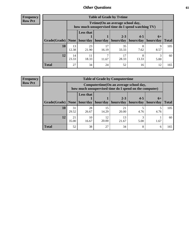**Frequency Row Pct**

| <b>Table of Grade by Tvtime</b> |             |                                                                                        |                     |             |            |           |              |  |  |
|---------------------------------|-------------|----------------------------------------------------------------------------------------|---------------------|-------------|------------|-----------|--------------|--|--|
|                                 |             | Tvtime(On an average school day,<br>how much unsupervised time do I spend watching TV) |                     |             |            |           |              |  |  |
|                                 |             | <b>Less that</b><br>$2 - 3$<br>$4 - 5$<br>$6+$                                         |                     |             |            |           |              |  |  |
| Grade(Grade)   None             |             |                                                                                        | hour/day   hour/day | hours/day   | hours/day  | hours/day | <b>Total</b> |  |  |
| 10                              | 13<br>12.38 | 23<br>21.90                                                                            | 17<br>16.19         | 35<br>33.33 | 7.62       | 9<br>8.57 | 105          |  |  |
| 12                              | 14<br>23.33 | 11<br>18.33                                                                            | 11.67               | 17<br>28.33 | 8<br>13.33 | 5.00      | 60           |  |  |
| <b>Total</b>                    | 27          | 34                                                                                     | 24                  | 52          | 16         | 12        | 165          |  |  |

**Frequency Row Pct**

| <b>Table of Grade by Computertime</b> |             |                                                                                                   |                     |                      |                      |                   |              |  |  |
|---------------------------------------|-------------|---------------------------------------------------------------------------------------------------|---------------------|----------------------|----------------------|-------------------|--------------|--|--|
|                                       |             | Computertime (On an average school day,<br>how much unsupervised time do I spend on the computer) |                     |                      |                      |                   |              |  |  |
| Grade(Grade)                          | None $ $    | <b>Less that</b>                                                                                  | hour/day   hour/day | $2 - 3$<br>hours/day | $4 - 5$<br>hours/day | $6+$<br>hours/day | <b>Total</b> |  |  |
| 10                                    | 31<br>29.52 | 28<br>26.67                                                                                       | 15<br>14.29         | 21<br>20.00          | 4.76                 | 4.76              | 105          |  |  |
| 12                                    | 21<br>35.00 | 10<br>12<br>13<br>20.00<br>16.67<br>21.67<br>5.00<br>1.67                                         |                     |                      |                      |                   |              |  |  |
| <b>Total</b>                          | 52          | 38                                                                                                | 27                  | 34                   | 8                    | 6                 | 165          |  |  |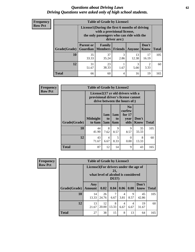#### *Questions about Driving Laws* **62** *Driving Questions were asked only of high school students.*

| <b>Frequency</b> |
|------------------|
| <b>Row Pct</b>   |

| <b>Table of Grade by License1</b> |                                                                           |                                                                                                                                           |                |             |               |              |  |  |  |
|-----------------------------------|---------------------------------------------------------------------------|-------------------------------------------------------------------------------------------------------------------------------------------|----------------|-------------|---------------|--------------|--|--|--|
|                                   |                                                                           | License1(During the first 6 months of driving<br>with a provisional license,<br>the only passengers who can ride with the<br>driver are:) |                |             |               |              |  |  |  |
| Grade(Grade)                      | <b>Parent or</b><br>Guardian                                              | Family<br>  Members                                                                                                                       | <b>Friends</b> | Anyone      | Don't<br>Know | <b>Total</b> |  |  |  |
| 10                                | 35<br>33.33                                                               | 37<br>35.24                                                                                                                               | 3<br>2.86      | 13<br>12.38 | 17<br>16.19   | 105          |  |  |  |
| 12                                | 3<br>23<br>$\overline{2}$<br>31<br>3.33<br>38.33<br>51.67<br>1.67<br>5.00 |                                                                                                                                           |                |             |               |              |  |  |  |
| <b>Total</b>                      | 66                                                                        | 60                                                                                                                                        | 4              | 16          | 19            | 165          |  |  |  |

| <b>Frequency</b> | <b>Table of Grade by License2</b> |                           |                                                                                                          |                              |                                                      |                      |              |  |
|------------------|-----------------------------------|---------------------------|----------------------------------------------------------------------------------------------------------|------------------------------|------------------------------------------------------|----------------------|--------------|--|
| <b>Row Pct</b>   |                                   |                           | License2(17 yr old drivers with a<br>provisional driver's license cannot<br>drive between the hours of:) |                              |                                                      |                      |              |  |
|                  | <b>Grade(Grade)</b>               | <b>Midnight</b><br>to 6am | 1am<br>t <sub>0</sub><br>5am                                                                             | 1am<br>t <sub>0</sub><br>6am | N <sub>0</sub><br>curfew<br>for $17$<br>year<br>olds | Don't<br><b>Know</b> | <b>Total</b> |  |
|                  | 10                                | 44<br>41.90               | 8<br>7.62                                                                                                | 9<br>8.57                    | 9<br>8.57                                            | 35<br>33.33          | 105          |  |
|                  | 12                                | 43<br>71.67               | 4<br>6.67                                                                                                | 5<br>8.33                    | $\theta$<br>0.00                                     | 8<br>13.33           | 60           |  |
|                  | <b>Total</b>                      | 87                        | 12                                                                                                       | 14                           | 9                                                    | 43                   | 165          |  |

| Frequency      |              | <b>Table of Grade by License3</b>     |             |                                                        |           |           |               |              |  |
|----------------|--------------|---------------------------------------|-------------|--------------------------------------------------------|-----------|-----------|---------------|--------------|--|
| <b>Row Pct</b> |              | License3(For drivers under the age of |             | 21,<br>what level of alcohol is considered<br>$DUI$ ?) |           |           |               |              |  |
|                | Grade(Grade) | Any<br><b>Amount</b>                  | 0.02        | 0.04                                                   | 0.06      | 0.08      | Don't<br>know | <b>Total</b> |  |
|                | 10           | 14<br>13.33                           | 26<br>24.76 | 7<br>6.67                                              | 4<br>3.81 | 9<br>8.57 | 45<br>42.86   | 105          |  |
|                | 12           | 13<br>21.67                           | 12<br>20.00 | 8<br>13.33                                             | 4<br>6.67 | 4<br>6.67 | 19<br>31.67   | 60           |  |
|                | <b>Total</b> | 27                                    | 38          | 15                                                     | 8         | 13        | 64            | 165          |  |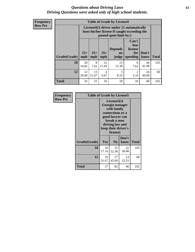#### *Questions about Driving Laws* **63** *Driving Questions were asked only of high school students.*

**Frequency Row Pct**

| <b>Table of Grade by License4</b> |              |                                                                                                                                               |                        |             |                        |             |     |  |
|-----------------------------------|--------------|-----------------------------------------------------------------------------------------------------------------------------------------------|------------------------|-------------|------------------------|-------------|-----|--|
|                                   |              | License4(A driver under 21 automatically<br>loses his/her license if caught exceeding the<br>posted speet limit by:)                          |                        |             |                        |             |     |  |
| <b>Grade(Grade)</b>               | $15+$<br>mph | Can't<br>lose<br><b>Depends</b><br>license<br>$25+$<br>$35+$<br>Don't<br>for<br>on<br><b>Total</b><br>mph<br>speeding<br>know<br>mph<br>judge |                        |             |                        |             |     |  |
| 10                                | 20<br>19.05  | 8<br>7.62                                                                                                                                     | 12<br>11.43            | 13<br>12.38 | 8<br>7.62              | 44<br>41.90 | 105 |  |
| 12                                | 12<br>20.00  | 13<br>21.67                                                                                                                                   | $\overline{4}$<br>6.67 | 5<br>8.33   | $\mathfrak{D}$<br>3.33 | 24<br>40.00 | 60  |  |
| <b>Total</b>                      | 32           | 21                                                                                                                                            | 16                     | 18          | 10                     | 68          | 165 |  |

| Frequency      | <b>Table of Grade by License5</b> |                                                                                                                                                             |                |               |       |
|----------------|-----------------------------------|-------------------------------------------------------------------------------------------------------------------------------------------------------------|----------------|---------------|-------|
| <b>Row Pct</b> |                                   | License5(A)<br>Georgia teenager<br>with family<br>connections or a<br>good lawyer can<br>break a teen<br>driving law and<br>keep their driver's<br>license) |                |               |       |
|                | Grade(Grade)                      | <b>Yes</b>                                                                                                                                                  | N <sub>0</sub> | Don't<br>know | Total |
|                | 10                                | 18<br>17.14                                                                                                                                                 | 55<br>52.38    | 32<br>30.48   | 105   |
|                | 12                                | 19<br>31.67                                                                                                                                                 | 27<br>45.00    | 14<br>23.33   | 60    |
|                | Total                             | 37                                                                                                                                                          | 82             | 46            | 165   |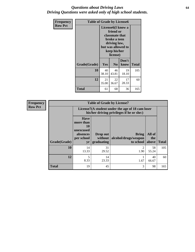#### *Questions about Driving Laws* **64** *Driving Questions were asked only of high school students.*

| <b>Frequency</b> | <b>Table of Grade by License6</b> |             |                                                                                                                           |                    |              |  |
|------------------|-----------------------------------|-------------|---------------------------------------------------------------------------------------------------------------------------|--------------------|--------------|--|
| <b>Row Pct</b>   |                                   |             | License <sub>6</sub> (I know a<br>friend or<br>classmate that<br>broke a teen<br>driving law,<br>keep his/her<br>license) | but was allowed to |              |  |
|                  | Grade(Grade)                      | Yes         | N <sub>0</sub>                                                                                                            | Don't<br>know      | <b>Total</b> |  |
|                  | 10                                | 40<br>38.10 | 46<br>43.81                                                                                                               | 19<br>18.10        | 105          |  |
|                  | 12                                | 21<br>35.00 | 22<br>36.67                                                                                                               | 17<br>28.33        | 60           |  |
|                  | <b>Total</b>                      | 61          | 68                                                                                                                        | 36                 | 165          |  |

| <b>Frequency</b> | <b>Table of Grade by License7</b> |                                                                             |                                     |                                                                                               |                        |              |  |  |
|------------------|-----------------------------------|-----------------------------------------------------------------------------|-------------------------------------|-----------------------------------------------------------------------------------------------|------------------------|--------------|--|--|
| <b>Row Pct</b>   |                                   |                                                                             |                                     | License7(A student under the age of 18 cam loser<br>his/her driving privileges if he or she:) |                        |              |  |  |
|                  | Grade(Grade)                      | <b>Have</b><br>more than<br>10<br>unexcused<br>absences<br>per school<br>yr | Drop out<br>without  <br>graduating | <b>Bring</b><br>alcohol/drugs/weapon<br>to school                                             | All of<br>the<br>above | <b>Total</b> |  |  |
|                  | 10                                | 14<br>13.33                                                                 | 31<br>29.52                         | $\overline{c}$<br>1.90                                                                        | 58<br>55.24            | 105          |  |  |
|                  | 12                                | 5<br>8.33                                                                   | 14<br>23.33                         | 1.67                                                                                          | 40<br>66.67            | 60           |  |  |
|                  | <b>Total</b>                      | 19                                                                          | 45                                  | 3                                                                                             | 98                     | 165          |  |  |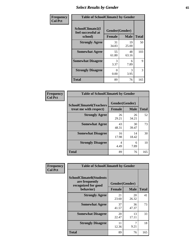# *Select Results by Gender* **65**

| Frequency      | <b>Table of SchoolClimate2 by Gender</b>          |                                 |             |              |
|----------------|---------------------------------------------------|---------------------------------|-------------|--------------|
| <b>Col Pct</b> | SchoolClimate2(I<br>feel successful at<br>school) | Gender(Gender)<br><b>Female</b> | <b>Male</b> | <b>Total</b> |
|                | <b>Strongly Agree</b>                             | 31<br>34.83                     | 19<br>25.00 | 50           |
|                | <b>Somewhat Agree</b>                             | 55<br>61.80                     | 48<br>63.16 | 103          |
|                | <b>Somewhat Disagree</b>                          | 3<br>3.37                       | 6<br>7.89   | 9            |
|                | <b>Strongly Disagree</b>                          | 0<br>0.00                       | 3<br>3.95   | 3            |
|                | <b>Total</b>                                      | 89                              | 76          | 165          |

| Frequency      | <b>Table of SchoolClimate6 by Gender</b>                 |               |                               |              |  |
|----------------|----------------------------------------------------------|---------------|-------------------------------|--------------|--|
| <b>Col Pct</b> | <b>SchoolClimate6(Teachers</b><br>treat me with respect) | <b>Female</b> | Gender(Gender)<br><b>Male</b> | <b>Total</b> |  |
|                | <b>Strongly Agree</b>                                    | 26<br>29.21   | 26<br>34.21                   | 52           |  |
|                | <b>Somewhat Agree</b>                                    | 43<br>48.31   | 30<br>39.47                   | 73           |  |
|                | <b>Somewhat Disagree</b>                                 | 16<br>17.98   | 14<br>18.42                   | 30           |  |
|                | <b>Strongly Disagree</b>                                 | 4<br>4.49     | 6<br>7.89                     | 10           |  |
|                | <b>Total</b>                                             | 89            | 76                            | 165          |  |

| Frequency      | <b>Table of SchoolClimate8 by Gender</b>                                             |                                 |             |              |
|----------------|--------------------------------------------------------------------------------------|---------------------------------|-------------|--------------|
| <b>Col Pct</b> | <b>SchoolClimate8(Students</b><br>are frequently<br>recognized for good<br>behavior) | Gender(Gender)<br><b>Female</b> | <b>Male</b> | <b>Total</b> |
|                | <b>Strongly Agree</b>                                                                | 21<br>23.60                     | 20<br>26.32 | 41           |
|                | <b>Somewhat Agree</b>                                                                | 37<br>41.57                     | 36<br>47.37 | 73           |
|                | <b>Somewhat Disagree</b>                                                             | 20<br>22.47                     | 13<br>17.11 | 33           |
|                | <b>Strongly Disagree</b>                                                             | 11<br>12.36                     | 9.21        | 18           |
|                | Total                                                                                | 89                              | 76          | 165          |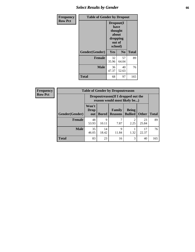# *Select Results by Gender* **66**

| Frequency      | <b>Table of Gender by Dropout</b> |                                                                        |                |              |
|----------------|-----------------------------------|------------------------------------------------------------------------|----------------|--------------|
| <b>Row Pct</b> |                                   | Dropout(I<br>have<br>thought<br>about<br>dropping<br>out of<br>school) |                |              |
|                | Gender(Gender)                    | Yes                                                                    | N <sub>0</sub> | <b>Total</b> |
|                | <b>Female</b>                     | 32<br>35.96                                                            | 57<br>64.04    | 89           |
|                | <b>Male</b>                       | 36<br>47.37                                                            | 40<br>52.63    | 76           |
|                | <b>Total</b>                      | 68                                                                     | 97             | 165          |

| <b>Frequency</b> | <b>Table of Gender by Dropoutreason</b> |                                                                     |              |                                 |                                |              |              |
|------------------|-----------------------------------------|---------------------------------------------------------------------|--------------|---------------------------------|--------------------------------|--------------|--------------|
| <b>Row Pct</b>   |                                         | Dropoutreason (If I dropped out the<br>reason would most likely be) |              |                                 |                                |              |              |
|                  | Gender(Gender)                          | Won't<br><b>Drop</b><br>out                                         | <b>Bored</b> | <b>Family</b><br><b>Reasons</b> | <b>Being</b><br><b>Bullied</b> | <b>Other</b> | <b>Total</b> |
|                  | <b>Female</b>                           | 48<br>53.93                                                         | 9<br>10.11   | ┑<br>7.87                       | $\mathfrak{D}$<br>2.25         | 23<br>25.84  | 89           |
|                  | <b>Male</b>                             | 35<br>46.05                                                         | 14<br>18.42  | $\mathbf Q$<br>11.84            | 1.32                           | 17<br>22.37  | 76           |
|                  | <b>Total</b>                            | 83                                                                  | 23           | 16                              | 3                              | 40           | 165          |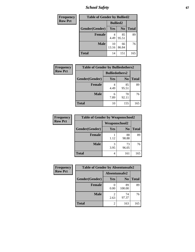*School Safety* **67**

| Frequency      |                | <b>Table of Gender by Bullied2</b> |                |              |
|----------------|----------------|------------------------------------|----------------|--------------|
| <b>Row Pct</b> |                | <b>Bullied2</b>                    |                |              |
|                | Gender(Gender) | Yes                                | N <sub>0</sub> | <b>Total</b> |
|                | <b>Female</b>  | 4.49                               | 85<br>95.51    | 89           |
|                | <b>Male</b>    | 10<br>13.16                        | 66<br>86.84    | 76           |
|                | <b>Total</b>   | 14                                 | 151            | 165          |

| Frequency      | <b>Table of Gender by Bulliedothers2</b> |                       |                |              |
|----------------|------------------------------------------|-----------------------|----------------|--------------|
| <b>Row Pct</b> |                                          | <b>Bulliedothers2</b> |                |              |
|                | Gender(Gender)                           | Yes                   | N <sub>0</sub> | <b>Total</b> |
|                | <b>Female</b>                            | 4.49                  | 85<br>95.51    | 89           |
|                | Male                                     | 6<br>7.89             | 70<br>92.11    | 76           |
|                | <b>Total</b>                             | 10                    | 155            | 165          |

| Frequency      | <b>Table of Gender by Weaponschool2</b> |                      |                |              |
|----------------|-----------------------------------------|----------------------|----------------|--------------|
| <b>Row Pct</b> |                                         | <b>Weaponschool2</b> |                |              |
|                | Gender(Gender)                          | Yes                  | N <sub>0</sub> | <b>Total</b> |
|                | <b>Female</b>                           | 1.12                 | 88<br>98.88    | 89           |
|                | <b>Male</b>                             | 3<br>3.95            | 73<br>96.05    | 76           |
|                | <b>Total</b>                            | 4                    | 161            | 165          |

| Frequency      | <b>Table of Gender by Absentunsafe2</b> |               |                |              |
|----------------|-----------------------------------------|---------------|----------------|--------------|
| <b>Row Pct</b> |                                         | Absentunsafe2 |                |              |
|                | Gender(Gender)                          | Yes           | N <sub>0</sub> | <b>Total</b> |
|                | <b>Female</b>                           | 0.00          | 89<br>100.00   | 89           |
|                | <b>Male</b>                             | 2.63          | 74<br>97.37    | 76           |
|                | <b>Total</b>                            | 2             | 163            | 165          |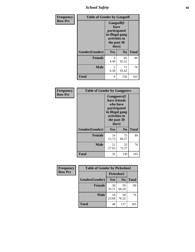*School Safety* **68**

| Frequency      | <b>Table of Gender by Gangself</b> |                                                                                                |                |              |
|----------------|------------------------------------|------------------------------------------------------------------------------------------------|----------------|--------------|
| <b>Row Pct</b> |                                    | Gangself(I<br>have<br>participated<br>in illegal gang<br>activities in<br>the past 30<br>days) |                |              |
|                | Gender(Gender)                     | Yes                                                                                            | N <sub>0</sub> | <b>Total</b> |
|                | <b>Female</b>                      | 4<br>4.49                                                                                      | 85<br>95.51    | 89           |
|                | <b>Male</b>                        | 5<br>6.58                                                                                      | 71<br>93.42    | 76           |
|                | <b>Total</b>                       | 9                                                                                              | 156            | 165          |

| Frequency      | <b>Table of Gender by Gangpeers</b> |                                                                                                                             |                |              |
|----------------|-------------------------------------|-----------------------------------------------------------------------------------------------------------------------------|----------------|--------------|
| <b>Row Pct</b> |                                     | <b>Gangpeers</b> (I<br>have friends<br>who have<br>participated<br>in illegal gang<br>activities in<br>the past 30<br>days) |                |              |
|                | Gender(Gender)                      | <b>Yes</b>                                                                                                                  | N <sub>0</sub> | <b>Total</b> |
|                | <b>Female</b>                       | 14<br>15.73                                                                                                                 | 75<br>84.27    | 89           |
|                | <b>Male</b>                         | 21<br>27.63                                                                                                                 | 55<br>72.37    | 76           |
|                | Total                               | 35                                                                                                                          | 130            | 165          |

| <b>Frequency</b> | <b>Table of Gender by Pickedon2</b> |             |                |              |
|------------------|-------------------------------------|-------------|----------------|--------------|
| <b>Row Pct</b>   |                                     | Pickedon2   |                |              |
|                  | Gender(Gender)                      | Yes         | N <sub>o</sub> | <b>Total</b> |
|                  | <b>Female</b>                       | 30<br>33.71 | 59<br>66.29    | 89           |
|                  | <b>Male</b>                         | 18<br>23.68 | 58<br>76.32    | 76           |
|                  | <b>Total</b>                        | 48          | 117            | 165          |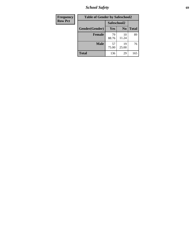*School Safety* **69**

| Frequency      | <b>Table of Gender by Safeschool2</b> |             |                |              |  |
|----------------|---------------------------------------|-------------|----------------|--------------|--|
| <b>Row Pct</b> |                                       | Safeschool2 |                |              |  |
|                | Gender(Gender)                        | Yes         | N <sub>0</sub> | <b>Total</b> |  |
|                | <b>Female</b>                         | 79<br>88.76 | 10<br>11.24    | 89           |  |
|                | <b>Male</b>                           | 57<br>75.00 | 19<br>25.00    | 76           |  |
|                | <b>Total</b>                          | 136         | 29             | 165          |  |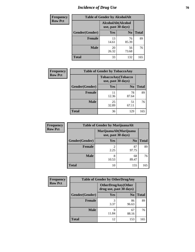# *Incidence of Drug Use* **70**

| <b>Frequency</b> | <b>Table of Gender by AlcoholAlt</b> |                    |                    |              |  |
|------------------|--------------------------------------|--------------------|--------------------|--------------|--|
| <b>Row Pct</b>   |                                      | use, past 30 days) | AlcoholAlt(Alcohol |              |  |
|                  | Gender(Gender)                       | <b>Yes</b>         | N <sub>0</sub>     | <b>Total</b> |  |
|                  | <b>Female</b>                        | 13<br>14.61        | 76<br>85.39        | 89           |  |
|                  | <b>Male</b>                          | 20<br>26.32        | 56<br>73.68        | 76           |  |
|                  | <b>Total</b>                         | 33                 | 132                | 165          |  |

| Frequency      | <b>Table of Gender by TobaccoAny</b> |                                          |                |              |  |
|----------------|--------------------------------------|------------------------------------------|----------------|--------------|--|
| <b>Row Pct</b> |                                      | TobaccoAny(Tobacco<br>use, past 30 days) |                |              |  |
|                | Gender(Gender)                       | Yes                                      | N <sub>0</sub> | <b>Total</b> |  |
|                | <b>Female</b>                        | 11<br>12.36                              | 78<br>87.64    | 89           |  |
|                | <b>Male</b>                          | 25<br>32.89                              | 51<br>67.11    | 76           |  |
|                | <b>Total</b>                         | 36                                       | 129            | 165          |  |

| <b>Frequency</b> | <b>Table of Gender by MarijuanaAlt</b>       |            |                |              |  |
|------------------|----------------------------------------------|------------|----------------|--------------|--|
| <b>Row Pct</b>   | MarijuanaAlt(Marijuana<br>use, past 30 days) |            |                |              |  |
|                  | Gender(Gender)                               | <b>Yes</b> | N <sub>0</sub> | <b>Total</b> |  |
|                  | <b>Female</b>                                | 2<br>2.25  | 87<br>97.75    | 89           |  |
|                  | <b>Male</b>                                  | 8<br>10.53 | 68<br>89.47    | 76           |  |
|                  | <b>Total</b>                                 | 10         | 155            | 165          |  |

| <b>Frequency</b> | <b>Table of Gender by OtherDrugAny</b> |                                                       |                |              |  |
|------------------|----------------------------------------|-------------------------------------------------------|----------------|--------------|--|
| <b>Row Pct</b>   |                                        | <b>OtherDrugAny</b> (Other<br>drug use, past 30 days) |                |              |  |
|                  | Gender(Gender)                         | <b>Yes</b>                                            | N <sub>0</sub> | <b>Total</b> |  |
|                  | <b>Female</b>                          | 3<br>3.37                                             | 86<br>96.63    | 89           |  |
|                  | <b>Male</b>                            | q<br>11.84                                            | 67<br>88.16    | 76           |  |
|                  | <b>Total</b>                           | 12                                                    | 153            | 165          |  |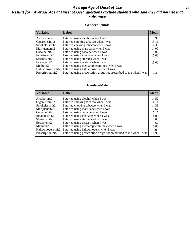#### *Average Age at Onset of Use* **71** *Results for "Average Age at Onset of Use" questions exclude students who said they did not use that substance*

#### **Gender=Female**

| <b>Variable</b>                 | <b>Label</b>                                                       | <b>Mean</b> |
|---------------------------------|--------------------------------------------------------------------|-------------|
| Alcoholinit2                    | I started using alcohol when I was                                 | 13.96       |
| Cigarettesinit2                 | I started smoking tobacco when I was                               | 13.11       |
| Smokelessinit2                  | I started chewing tobacco when I was                               | 12.33       |
| Marijuanainit2                  | I started using marijuana when I was                               | 14.00       |
| Cocaineinit2                    | I started using cocaine when I was                                 | 15.00       |
| Inhalantsinit2                  | I started using inhalants when I was                               | 15.00       |
| Steroidsinit2                   | I started using steroids when I was                                |             |
| Ecstasyinit2                    | I started using ecstasy when I was                                 | 15.00       |
| Methinit2                       | I started using methamphetamines when I was                        |             |
| Hallucinogensinit2              | I started using hallucinogens when I was                           |             |
| Prescription in it <sub>2</sub> | I started using prescription drugs not prescribed to me when I was | 12.33       |

#### **Gender=Male**

| <b>Variable</b>    | Label                                                              | <b>Mean</b> |
|--------------------|--------------------------------------------------------------------|-------------|
| Alcoholinit2       | I started using alcohol when I was                                 | 14.52       |
| Cigarettesinit2    | I started smoking tobacco when I was                               | 14.11       |
| Smokelessinit2     | I started chewing tobacco when I was                               | 14.38       |
| Marijuanainit2     | I started using marijuana when I was                               | 13.67       |
| Cocaineinit2       | I started using cocaine when I was                                 | 15.17       |
| Inhalantsinit2     | I started using inhalants when I was                               | 14.00       |
| Steroidsinit2      | I started using steroids when I was                                | 10.00       |
| Ecstasyinit2       | I started using ecstasy when I was                                 | 13.67       |
| Methinit2          | I started using methamphetamines when I was                        | 15.00       |
| Hallucinogensinit2 | I started using hallucinogens when I was                           | 13.00       |
| Prescriptioninit2  | I started using prescription drugs not prescribed to me when I was | 14.90       |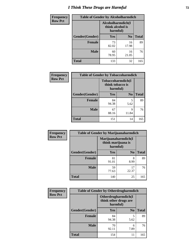# *I Think These Drugs are Harmful* **72**

| <b>Frequency</b> | <b>Table of Gender by Alcoholharmdich</b> |                                                   |                |              |
|------------------|-------------------------------------------|---------------------------------------------------|----------------|--------------|
| <b>Row Pct</b>   |                                           | Alcoholharmdich(I<br>think alcohol is<br>harmful) |                |              |
|                  | Gender(Gender)                            | <b>Yes</b>                                        | N <sub>0</sub> | <b>Total</b> |
|                  | <b>Female</b>                             | 73<br>82.02                                       | 16<br>17.98    | 89           |
|                  | <b>Male</b>                               | 60<br>78.95                                       | 16<br>21.05    | 76           |
|                  | <b>Total</b>                              | 133                                               | 32             | 165          |

| Frequency      | <b>Table of Gender by Tobaccoharmdich</b> |                              |                   |              |  |
|----------------|-------------------------------------------|------------------------------|-------------------|--------------|--|
| <b>Row Pct</b> |                                           | think tobacco is<br>harmful) | Tobaccoharmdich(I |              |  |
|                | Gender(Gender)                            | Yes                          | N <sub>0</sub>    | <b>Total</b> |  |
|                | <b>Female</b>                             | 84<br>94.38                  | 5<br>5.62         | 89           |  |
|                | <b>Male</b>                               | 67<br>88.16                  | 9<br>11.84        | 76           |  |
|                | <b>Total</b>                              | 151                          | 14                | 165          |  |

| Frequency      | <b>Table of Gender by Marijuanaharmdich</b> |                                                       |                |              |  |
|----------------|---------------------------------------------|-------------------------------------------------------|----------------|--------------|--|
| <b>Row Pct</b> |                                             | Marijuanaharmdich(I<br>think marijuana is<br>harmful) |                |              |  |
|                | Gender(Gender)                              | <b>Yes</b>                                            | N <sub>0</sub> | <b>Total</b> |  |
|                | <b>Female</b>                               | 81<br>91.01                                           | 8<br>8.99      | 89           |  |
|                | <b>Male</b>                                 | 59<br>77.63                                           | 17<br>22.37    | 76           |  |
|                | <b>Total</b>                                | 140                                                   | 25             | 165          |  |

| <b>Frequency</b> | <b>Table of Gender by Otherdrugharmdich</b> |                                                          |                |              |  |
|------------------|---------------------------------------------|----------------------------------------------------------|----------------|--------------|--|
| <b>Row Pct</b>   |                                             | Otherdrugharmdich(I<br>think other drugs are<br>harmful) |                |              |  |
|                  | Gender(Gender)                              | <b>Yes</b>                                               | N <sub>0</sub> | <b>Total</b> |  |
|                  | <b>Female</b>                               | 84<br>94.38                                              | 5<br>5.62      | 89           |  |
|                  | <b>Male</b>                                 | 70<br>92.11                                              | 6<br>7.89      | 76           |  |
|                  | <b>Total</b>                                | 154                                                      | 11             | 165          |  |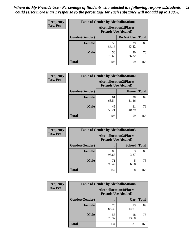| <b>Frequency</b> | <b>Table of Gender by Alcohollocation1</b> |                                                               |             |              |
|------------------|--------------------------------------------|---------------------------------------------------------------|-------------|--------------|
| <b>Row Pct</b>   |                                            | <b>Alcohollocation1(Places</b><br><b>Friends Use Alcohol)</b> |             |              |
|                  | Gender(Gender)                             |                                                               | Do Not Use  | <b>Total</b> |
|                  | <b>Female</b>                              | 50<br>56.18                                                   | 39<br>43.82 | 89           |
|                  | <b>Male</b>                                | 56<br>73.68                                                   | 20<br>26.32 | 76           |
|                  | <b>Total</b>                               | 106                                                           | 59          | 165          |

| <b>Frequency</b> | <b>Table of Gender by Alcohollocation2</b> |                                                               |             |              |
|------------------|--------------------------------------------|---------------------------------------------------------------|-------------|--------------|
| <b>Row Pct</b>   |                                            | <b>Alcohollocation2(Places</b><br><b>Friends Use Alcohol)</b> |             |              |
|                  | Gender(Gender)                             |                                                               | Home        | <b>Total</b> |
|                  | <b>Female</b>                              | 61<br>68.54                                                   | 28<br>31.46 | 89           |
|                  | <b>Male</b>                                | 45<br>59.21                                                   | 31<br>40.79 | 76           |
|                  | <b>Total</b>                               | 106                                                           | 59          | 165          |

| Frequency      | <b>Table of Gender by Alcohollocation3</b> |                                                               |               |              |
|----------------|--------------------------------------------|---------------------------------------------------------------|---------------|--------------|
| <b>Row Pct</b> |                                            | <b>Alcohollocation3(Places</b><br><b>Friends Use Alcohol)</b> |               |              |
|                | Gender(Gender)                             |                                                               | <b>School</b> | <b>Total</b> |
|                | <b>Female</b>                              | 86<br>96.63                                                   | 3.37          | 89           |
|                | <b>Male</b>                                | 71<br>93.42                                                   | 6.58          | 76           |
|                | <b>Total</b>                               | 157                                                           | 8             | 165          |

| Frequency      | <b>Table of Gender by Alcohollocation4</b> |                                                               |             |              |
|----------------|--------------------------------------------|---------------------------------------------------------------|-------------|--------------|
| <b>Row Pct</b> |                                            | <b>Alcohollocation4(Places</b><br><b>Friends Use Alcohol)</b> |             |              |
|                | Gender(Gender)                             |                                                               | Car         | <b>Total</b> |
|                | <b>Female</b>                              | 76<br>85.39                                                   | 13<br>14.61 | 89           |
|                | <b>Male</b>                                | 58<br>76.32                                                   | 18<br>23.68 | 76           |
|                | <b>Total</b>                               | 134                                                           | 31          | 165          |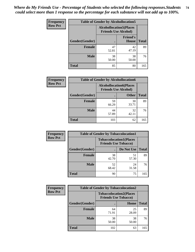| <b>Frequency</b> | <b>Table of Gender by Alcohollocation5</b> |                                                                |                          |              |
|------------------|--------------------------------------------|----------------------------------------------------------------|--------------------------|--------------|
| <b>Row Pct</b>   |                                            | <b>Alcohollocation5</b> (Places<br><b>Friends Use Alcohol)</b> |                          |              |
|                  | Gender(Gender)                             | $\bullet$                                                      | <b>Friend's</b><br>House | <b>Total</b> |
|                  | <b>Female</b>                              | 47<br>52.81                                                    | 42<br>47.19              | 89           |
|                  | <b>Male</b>                                | 38<br>50.00                                                    | 38<br>50.00              | 76           |
|                  | <b>Total</b>                               | 85                                                             | 80                       | 165          |

| Frequency      | <b>Table of Gender by Alcohollocation6</b> |                                                               |              |              |
|----------------|--------------------------------------------|---------------------------------------------------------------|--------------|--------------|
| <b>Row Pct</b> |                                            | <b>Alcohollocation6(Places</b><br><b>Friends Use Alcohol)</b> |              |              |
|                | <b>Gender</b> (Gender)                     |                                                               | <b>Other</b> | <b>Total</b> |
|                | Female                                     | 59<br>66.29                                                   | 30<br>33.71  | 89           |
|                | <b>Male</b>                                | 44<br>57.89                                                   | 32<br>42.11  | 76           |
|                | <b>Total</b>                               | 103                                                           | 62           | 165          |

| Frequency      | <b>Table of Gender by Tobaccolocation1</b> |                                                               |             |              |
|----------------|--------------------------------------------|---------------------------------------------------------------|-------------|--------------|
| <b>Row Pct</b> |                                            | <b>Tobaccolocation1(Places</b><br><b>Friends Use Tobacco)</b> |             |              |
|                | Gender(Gender)                             |                                                               | Do Not Use  | <b>Total</b> |
|                | Female                                     | 38<br>42.70                                                   | 51<br>57.30 | 89           |
|                | <b>Male</b>                                | 52<br>68.42                                                   | 24<br>31.58 | 76           |
|                | <b>Total</b>                               | 90                                                            | 75          | 165          |

| <b>Frequency</b> | <b>Table of Gender by Tobaccolocation2</b> |                             |                                |              |  |
|------------------|--------------------------------------------|-----------------------------|--------------------------------|--------------|--|
| <b>Row Pct</b>   |                                            | <b>Friends Use Tobacco)</b> | <b>Tobaccolocation2(Places</b> |              |  |
|                  | Gender(Gender)                             |                             | Home                           | <b>Total</b> |  |
|                  | Female                                     | 64<br>71.91                 | 25<br>28.09                    | 89           |  |
|                  | <b>Male</b>                                | 38<br>50.00                 | 38<br>50.00                    | 76           |  |
|                  | <b>Total</b>                               | 102                         | 63                             | 165          |  |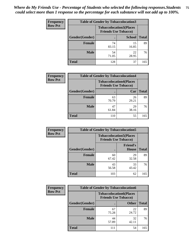| <b>Frequency</b> | <b>Table of Gender by Tobaccolocation3</b> |                                                               |               |              |
|------------------|--------------------------------------------|---------------------------------------------------------------|---------------|--------------|
| <b>Row Pct</b>   |                                            | <b>Tobaccolocation3(Places</b><br><b>Friends Use Tobacco)</b> |               |              |
|                  | Gender(Gender)                             |                                                               | <b>School</b> | <b>Total</b> |
|                  | <b>Female</b>                              | 74<br>83.15                                                   | 15<br>16.85   | 89           |
|                  | <b>Male</b>                                | 54<br>71.05                                                   | 22<br>28.95   | 76           |
|                  | Total                                      | 128                                                           | 37            | 165          |

| <b>Frequency</b> | <b>Table of Gender by Tobaccolocation4</b> |                             |                                |              |
|------------------|--------------------------------------------|-----------------------------|--------------------------------|--------------|
| <b>Row Pct</b>   |                                            | <b>Friends Use Tobacco)</b> | <b>Tobaccolocation4(Places</b> |              |
|                  | Gender(Gender)                             |                             | Car                            | <b>Total</b> |
|                  | <b>Female</b>                              | 63<br>70.79                 | 26<br>29.21                    | 89           |
|                  | <b>Male</b>                                | 47<br>61.84                 | 29<br>38.16                    | 76           |
|                  | <b>Total</b>                               | 110                         | 55                             | 165          |

| <b>Frequency</b> | <b>Table of Gender by Tobaccolocation5</b> |                                                               |                          |              |
|------------------|--------------------------------------------|---------------------------------------------------------------|--------------------------|--------------|
| <b>Row Pct</b>   |                                            | <b>Tobaccolocation5(Places</b><br><b>Friends Use Tobacco)</b> |                          |              |
|                  | Gender(Gender)                             |                                                               | <b>Friend's</b><br>House | <b>Total</b> |
|                  | Female                                     | 60<br>67.42                                                   | 29<br>32.58              | 89           |
|                  | <b>Male</b>                                | 43<br>56.58                                                   | 33<br>43.42              | 76           |
|                  | <b>Total</b>                               | 103                                                           | 62                       | 165          |

| <b>Frequency</b> | <b>Table of Gender by Tobaccolocation6</b> |                             |                                |              |
|------------------|--------------------------------------------|-----------------------------|--------------------------------|--------------|
| <b>Row Pct</b>   |                                            | <b>Friends Use Tobacco)</b> | <b>Tobaccolocation6(Places</b> |              |
|                  | Gender(Gender)                             |                             | <b>Other</b>                   | <b>Total</b> |
|                  | Female                                     | 67<br>75.28                 | 22<br>24.72                    | 89           |
|                  | <b>Male</b>                                | 44<br>57.89                 | 32<br>42.11                    | 76           |
|                  | <b>Total</b>                               | 111                         | 54                             | 165          |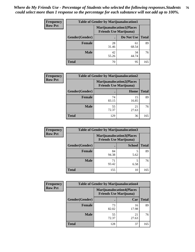| <b>Frequency</b> | <b>Table of Gender by Marijuanalocation1</b> |                                                                    |             |              |
|------------------|----------------------------------------------|--------------------------------------------------------------------|-------------|--------------|
| <b>Row Pct</b>   |                                              | <b>Marijuanalocation1(Places</b><br><b>Friends Use Marijuana</b> ) |             |              |
|                  | Gender(Gender)                               |                                                                    | Do Not Use  | <b>Total</b> |
|                  | <b>Female</b>                                | 28<br>31.46                                                        | 61<br>68.54 | 89           |
|                  | <b>Male</b>                                  | 42<br>55.26                                                        | 34<br>44.74 | 76           |
|                  | <b>Total</b>                                 | 70                                                                 | 95          | 165          |

| <b>Frequency</b> | <b>Table of Gender by Marijuanalocation2</b> |             |                                                                    |              |
|------------------|----------------------------------------------|-------------|--------------------------------------------------------------------|--------------|
| <b>Row Pct</b>   |                                              |             | <b>Marijuanalocation2(Places</b><br><b>Friends Use Marijuana</b> ) |              |
|                  | Gender(Gender)                               |             | Home                                                               | <b>Total</b> |
|                  | <b>Female</b>                                | 74<br>83.15 | 15<br>16.85                                                        | 89           |
|                  | <b>Male</b>                                  | 55<br>72.37 | 21<br>27.63                                                        | 76           |
|                  | <b>Total</b>                                 | 129         | 36                                                                 | 165          |

| Frequency      | <b>Table of Gender by Marijuanalocation3</b> |                                                                    |               |              |
|----------------|----------------------------------------------|--------------------------------------------------------------------|---------------|--------------|
| <b>Row Pct</b> |                                              | <b>Marijuanalocation3(Places</b><br><b>Friends Use Marijuana</b> ) |               |              |
|                | Gender(Gender)                               |                                                                    | <b>School</b> | <b>Total</b> |
|                | <b>Female</b>                                | 84<br>94.38                                                        | 5<br>5.62     | 89           |
|                | <b>Male</b>                                  | 71<br>93.42                                                        | 5<br>6.58     | 76           |
|                | <b>Total</b>                                 | 155                                                                | 10            | 165          |

| <b>Frequency</b> |                | <b>Table of Gender by Marijuanalocation4</b>                       |             |              |
|------------------|----------------|--------------------------------------------------------------------|-------------|--------------|
| <b>Row Pct</b>   |                | <b>Marijuanalocation4(Places</b><br><b>Friends Use Marijuana</b> ) |             |              |
|                  | Gender(Gender) |                                                                    | Car         | <b>Total</b> |
|                  | Female         | 73<br>82.02                                                        | 16<br>17.98 | 89           |
|                  | <b>Male</b>    | 55<br>72.37                                                        | 21<br>27.63 | 76           |
|                  | <b>Total</b>   | 128                                                                | 37          | 165          |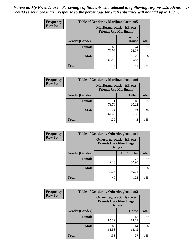| Frequency      | <b>Table of Gender by Marijuanalocation5</b> |                                                                    |                          |              |
|----------------|----------------------------------------------|--------------------------------------------------------------------|--------------------------|--------------|
| <b>Row Pct</b> |                                              | <b>Marijuanalocation5(Places</b><br><b>Friends Use Marijuana</b> ) |                          |              |
|                | Gender(Gender)                               |                                                                    | <b>Friend's</b><br>House | <b>Total</b> |
|                | <b>Female</b>                                | 65<br>73.03                                                        | 24<br>26.97              | 89           |
|                | <b>Male</b>                                  | 49<br>64.47                                                        | 27<br>35.53              | 76           |
|                | <b>Total</b>                                 | 114                                                                | 51                       | 165          |

| <b>Frequency</b> | <b>Table of Gender by Marijuanalocation6</b> |                                                                    |              |              |  |
|------------------|----------------------------------------------|--------------------------------------------------------------------|--------------|--------------|--|
| <b>Row Pct</b>   |                                              | <b>Marijuanalocation6(Places</b><br><b>Friends Use Marijuana</b> ) |              |              |  |
|                  | <b>Gender</b> (Gender)                       |                                                                    | <b>Other</b> | <b>Total</b> |  |
|                  | <b>Female</b>                                | 71<br>79.78                                                        | 18<br>20.22  | 89           |  |
|                  | <b>Male</b>                                  | 49<br>64.47                                                        | 27<br>35.53  | 76           |  |
|                  | <b>Total</b>                                 | 120                                                                | 45           | 165          |  |

| <b>Frequency</b> | <b>Table of Gender by Otherdruglocation1</b> |                                                                                |             |              |
|------------------|----------------------------------------------|--------------------------------------------------------------------------------|-------------|--------------|
| <b>Row Pct</b>   |                                              | <b>Otherdruglocation1(Places</b><br><b>Friends Use Other Illegal</b><br>Drugs) |             |              |
|                  | <b>Gender</b> (Gender)                       |                                                                                | Do Not Use  | <b>Total</b> |
|                  | <b>Female</b>                                | 17<br>19.10                                                                    | 72<br>80.90 | 89           |
|                  | <b>Male</b>                                  | 23<br>30.26                                                                    | 53<br>69.74 | 76           |
|                  | <b>Total</b>                                 | 40                                                                             | 125         | 165          |

| Frequency      | <b>Table of Gender by Otherdruglocation2</b> |                                                                                |             |              |
|----------------|----------------------------------------------|--------------------------------------------------------------------------------|-------------|--------------|
| <b>Row Pct</b> |                                              | <b>Otherdruglocation2(Places</b><br><b>Friends Use Other Illegal</b><br>Drugs) |             |              |
|                | Gender(Gender)                               |                                                                                | Home        | <b>Total</b> |
|                | <b>Female</b>                                | 76<br>85.39                                                                    | 13<br>14.61 | 89           |
|                | <b>Male</b>                                  | 62<br>81.58                                                                    | 14<br>18.42 | 76           |
|                | <b>Total</b>                                 | 138                                                                            | 27          | 165          |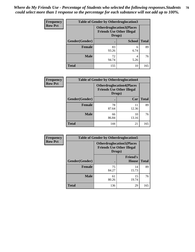| Frequency      | <b>Table of Gender by Otherdruglocation3</b> |                                                                                |               |              |
|----------------|----------------------------------------------|--------------------------------------------------------------------------------|---------------|--------------|
| <b>Row Pct</b> |                                              | <b>Otherdruglocation3(Places</b><br><b>Friends Use Other Illegal</b><br>Drugs) |               |              |
|                | Gender(Gender)                               |                                                                                | <b>School</b> | <b>Total</b> |
|                | Female                                       | 83<br>93.26                                                                    | 6<br>6.74     | 89           |
|                | <b>Male</b>                                  | 72<br>94.74                                                                    | 4<br>5.26     | 76           |
|                | <b>Total</b>                                 | 155                                                                            | 10            | 165          |

| <b>Frequency</b> | <b>Table of Gender by Otherdruglocation4</b> |                                                                                |             |              |
|------------------|----------------------------------------------|--------------------------------------------------------------------------------|-------------|--------------|
| <b>Row Pct</b>   |                                              | <b>Otherdruglocation4(Places</b><br><b>Friends Use Other Illegal</b><br>Drugs) |             |              |
|                  | Gender(Gender)                               |                                                                                | Car         | <b>Total</b> |
|                  | Female                                       | 78<br>87.64                                                                    | 11<br>12.36 | 89           |
|                  | <b>Male</b>                                  | 66<br>86.84                                                                    | 10<br>13.16 | 76           |
|                  | <b>Total</b>                                 | 144                                                                            | 21          | 165          |

| <b>Frequency</b> | <b>Table of Gender by Otherdruglocation5</b> |             |                                                                      |              |
|------------------|----------------------------------------------|-------------|----------------------------------------------------------------------|--------------|
| <b>Row Pct</b>   |                                              | Drugs)      | <b>Otherdruglocation5(Places</b><br><b>Friends Use Other Illegal</b> |              |
|                  | Gender(Gender)                               |             | <b>Friend's</b><br>House                                             | <b>Total</b> |
|                  | <b>Female</b>                                | 75<br>84.27 | 14<br>15.73                                                          | 89           |
|                  | <b>Male</b>                                  | 61<br>80.26 | 15<br>19.74                                                          | 76           |
|                  | <b>Total</b>                                 | 136         | 29                                                                   | 165          |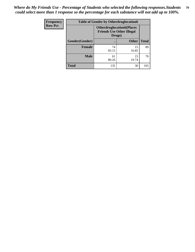| <b>Frequency</b> | <b>Table of Gender by Otherdruglocation6</b> |                                                                                |              |              |
|------------------|----------------------------------------------|--------------------------------------------------------------------------------|--------------|--------------|
| <b>Row Pct</b>   |                                              | <b>Otherdruglocation6(Places</b><br><b>Friends Use Other Illegal</b><br>Drugs) |              |              |
|                  | Gender(Gender)                               |                                                                                | <b>Other</b> | <b>Total</b> |
|                  | Female                                       | 74<br>83.15                                                                    | 15<br>16.85  | 89           |
|                  | <b>Male</b>                                  | 61<br>80.26                                                                    | 15<br>19.74  | 76           |
|                  | <b>Total</b>                                 | 135                                                                            | 30           | 165          |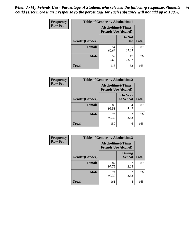| <b>Frequency</b> | <b>Table of Gender by Alcoholtime1</b> |                                                          |                      |              |
|------------------|----------------------------------------|----------------------------------------------------------|----------------------|--------------|
| <b>Row Pct</b>   |                                        | <b>Alcoholtime1(Times</b><br><b>Friends Use Alcohol)</b> |                      |              |
|                  | Gender(Gender)                         | $\bullet$                                                | Do Not<br><b>Use</b> | <b>Total</b> |
|                  | <b>Female</b>                          | 54<br>60.67                                              | 35<br>39.33          | 89           |
|                  | <b>Male</b>                            | 59<br>77.63                                              | 17<br>22.37          | 76           |
|                  | <b>Total</b>                           | 113                                                      | 52                   | 165          |

| Frequency      | <b>Table of Gender by Alcoholtime2</b> |                                                          |                            |              |
|----------------|----------------------------------------|----------------------------------------------------------|----------------------------|--------------|
| <b>Row Pct</b> |                                        | <b>Alcoholtime2(Times</b><br><b>Friends Use Alcohol)</b> |                            |              |
|                | Gender(Gender)                         |                                                          | <b>On Way</b><br>to School | <b>Total</b> |
|                | <b>Female</b>                          | 85<br>95.51                                              | 4<br>4.49                  | 89           |
|                | <b>Male</b>                            | 74<br>97.37                                              | 2<br>2.63                  | 76           |
|                | <b>Total</b>                           | 159                                                      | 6                          | 165          |

| Frequency      | <b>Table of Gender by Alcoholtime3</b> |                                                          |                                  |              |
|----------------|----------------------------------------|----------------------------------------------------------|----------------------------------|--------------|
| <b>Row Pct</b> |                                        | <b>Alcoholtime3(Times</b><br><b>Friends Use Alcohol)</b> |                                  |              |
|                | Gender(Gender)                         |                                                          | <b>During</b><br>School          | <b>Total</b> |
|                | <b>Female</b>                          | 87<br>97.75                                              | 2<br>2.25                        | 89           |
|                | <b>Male</b>                            | 74<br>97.37                                              | $\overline{\mathcal{L}}$<br>2.63 | 76           |
|                | <b>Total</b>                           | 161                                                      | 4                                | 165          |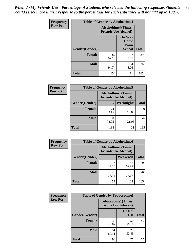*When do My Friends Use - Percentage of Students who selected the following responses.Students could select more than 1 response so the percentage for each substance will not add up to 100%.* **81**

| Frequency      | <b>Table of Gender by Alcoholtime4</b> |                                                          |                                                |              |
|----------------|----------------------------------------|----------------------------------------------------------|------------------------------------------------|--------------|
| <b>Row Pct</b> |                                        | <b>Alcoholtime4(Times</b><br><b>Friends Use Alcohol)</b> |                                                |              |
|                | Gender(Gender)                         | $\bullet$                                                | <b>On Way</b><br>Home<br><b>From</b><br>School | <b>Total</b> |
|                | <b>Female</b>                          | 82<br>92.13                                              | 7.87                                           | 89           |
|                | <b>Male</b>                            | 72<br>94.74                                              | 4<br>5.26                                      | 76           |
|                | <b>Total</b>                           | 154                                                      | 11                                             | 165          |

| <b>Frequency</b> | <b>Table of Gender by Alcoholtime5</b> |                                                           |             |              |
|------------------|----------------------------------------|-----------------------------------------------------------|-------------|--------------|
| <b>Row Pct</b>   |                                        | <b>Alcoholtime5</b> (Times<br><b>Friends Use Alcohol)</b> |             |              |
|                  | Gender(Gender)                         |                                                           | Weeknights  | <b>Total</b> |
|                  | <b>Female</b>                          | 74<br>83.15                                               | 15<br>16.85 | 89           |
|                  | <b>Male</b>                            | 60<br>78.95                                               | 16<br>21.05 | 76           |
|                  | <b>Total</b>                           | 134                                                       | 31          | 165          |

| <b>Frequency</b> | <b>Table of Gender by Alcoholtime6</b> |             |                                                          |              |  |
|------------------|----------------------------------------|-------------|----------------------------------------------------------|--------------|--|
| <b>Row Pct</b>   |                                        |             | <b>Alcoholtime6(Times</b><br><b>Friends Use Alcohol)</b> |              |  |
|                  | Gender(Gender)                         |             | Weekends                                                 | <b>Total</b> |  |
|                  | Female                                 | 33<br>37.08 | 56<br>62.92                                              | 89           |  |
|                  | <b>Male</b>                            | 20<br>26.32 | 56<br>73.68                                              | 76           |  |
|                  | <b>Total</b>                           | 53          | 112                                                      | 165          |  |

| Frequency      | <b>Table of Gender by Tobaccotime1</b> |                                                          |                      |              |
|----------------|----------------------------------------|----------------------------------------------------------|----------------------|--------------|
| <b>Row Pct</b> |                                        | <b>Tobaccotime1(Times</b><br><b>Friends Use Tobacco)</b> |                      |              |
|                | Gender(Gender)                         |                                                          | Do Not<br><b>Use</b> | <b>Total</b> |
|                | <b>Female</b>                          | 39<br>43.82                                              | 50<br>56.18          | 89           |
|                | <b>Male</b>                            | 51<br>67.11                                              | 25<br>32.89          | 76           |
|                | <b>Total</b>                           | 90                                                       | 75                   | 165          |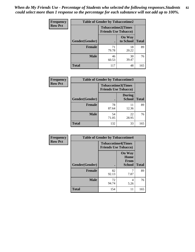| <b>Frequency</b> | <b>Table of Gender by Tobaccotime2</b> |                                                          |                            |              |
|------------------|----------------------------------------|----------------------------------------------------------|----------------------------|--------------|
| <b>Row Pct</b>   |                                        | <b>Tobaccotime2(Times</b><br><b>Friends Use Tobacco)</b> |                            |              |
|                  | Gender(Gender)                         | $\bullet$                                                | <b>On Way</b><br>to School | <b>Total</b> |
|                  | Female                                 | 71<br>79.78                                              | 18<br>20.22                | 89           |
|                  | <b>Male</b>                            | 46<br>60.53                                              | 30<br>39.47                | 76           |
|                  | <b>Total</b>                           | 117                                                      | 48                         | 165          |

| Frequency      | <b>Table of Gender by Tobaccotime3</b> |                             |                                |              |
|----------------|----------------------------------------|-----------------------------|--------------------------------|--------------|
| <b>Row Pct</b> |                                        | <b>Friends Use Tobacco)</b> | <b>Tobaccotime3(Times</b>      |              |
|                | Gender(Gender)                         |                             | <b>During</b><br><b>School</b> | <b>Total</b> |
|                | <b>Female</b>                          | 78<br>87.64                 | 11<br>12.36                    | 89           |
|                | <b>Male</b>                            | 54<br>71.05                 | 22<br>28.95                    | 76           |
|                | <b>Total</b>                           | 132                         | 33                             | 165          |

| <b>Frequency</b> | <b>Table of Gender by Tobaccotime4</b> |                                                          |                                                |              |
|------------------|----------------------------------------|----------------------------------------------------------|------------------------------------------------|--------------|
| <b>Row Pct</b>   |                                        | <b>Tobaccotime4(Times</b><br><b>Friends Use Tobacco)</b> |                                                |              |
|                  | Gender(Gender)                         |                                                          | <b>On Way</b><br>Home<br>From<br><b>School</b> | <b>Total</b> |
|                  | <b>Female</b>                          | 82<br>92.13                                              | 7.87                                           | 89           |
|                  | <b>Male</b>                            | 72<br>94.74                                              | 4<br>5.26                                      | 76           |
|                  | <b>Total</b>                           | 154                                                      | 11                                             | 165          |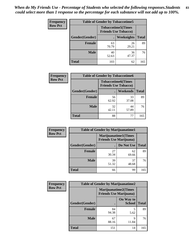| <b>Frequency</b> | <b>Table of Gender by Tobaccotime5</b> |             |                                                           |              |  |
|------------------|----------------------------------------|-------------|-----------------------------------------------------------|--------------|--|
| <b>Row Pct</b>   |                                        |             | <b>Tobaccotime5</b> (Times<br><b>Friends Use Tobacco)</b> |              |  |
|                  | <b>Gender</b> (Gender)                 |             | Weeknights                                                | <b>Total</b> |  |
|                  | <b>Female</b>                          | 63<br>70.79 | 26<br>29.21                                               | 89           |  |
|                  | <b>Male</b>                            | 40<br>52.63 | 36<br>47.37                                               | 76           |  |
|                  | Total                                  | 103         | 62                                                        | 165          |  |

| <b>Frequency</b> | <b>Table of Gender by Tobaccotime6</b> |                             |                           |              |
|------------------|----------------------------------------|-----------------------------|---------------------------|--------------|
| <b>Row Pct</b>   |                                        | <b>Friends Use Tobacco)</b> | <b>Tobaccotime6(Times</b> |              |
|                  | Gender(Gender)                         |                             | Weekends                  | <b>Total</b> |
|                  | Female                                 | 56<br>62.92                 | 33<br>37.08               | 89           |
|                  | <b>Male</b>                            | 32<br>42.11                 | 44<br>57.89               | 76           |
|                  | <b>Total</b>                           | 88                          | 77                        | 165          |

| Frequency      |                | <b>Table of Gender by Marijuanatime1</b> |                             |              |
|----------------|----------------|------------------------------------------|-----------------------------|--------------|
| <b>Row Pct</b> |                | <b>Friends Use Marijuana</b> )           | <b>Marijuanatime1(Times</b> |              |
|                | Gender(Gender) |                                          | Do Not Use                  | <b>Total</b> |
|                | <b>Female</b>  | 27<br>30.34                              | 62<br>69.66                 | 89           |
|                | <b>Male</b>    | 39<br>51.32                              | 37<br>48.68                 | 76           |
|                | <b>Total</b>   | 66                                       | 99                          | 165          |

| <b>Frequency</b> | <b>Table of Gender by Marijuanatime2</b> |                                                               |                            |              |
|------------------|------------------------------------------|---------------------------------------------------------------|----------------------------|--------------|
| <b>Row Pct</b>   |                                          | <b>Marijuanatime2(Times</b><br><b>Friends Use Marijuana</b> ) |                            |              |
|                  | Gender(Gender)                           |                                                               | On Way to<br><b>School</b> | <b>Total</b> |
|                  | Female                                   | 84<br>94.38                                                   | 5<br>5.62                  | 89           |
|                  | <b>Male</b>                              | 67<br>88.16                                                   | Q<br>11.84                 | 76           |
|                  | <b>Total</b>                             | 151                                                           | 14                         | 165          |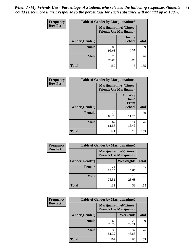| <b>Frequency</b> | Table of Gender by Marijuanatime3 |                                |                                |              |
|------------------|-----------------------------------|--------------------------------|--------------------------------|--------------|
| <b>Row Pct</b>   |                                   | <b>Friends Use Marijuana</b> ) | Marijuanatime3(Times           |              |
|                  | Gender(Gender)                    |                                | <b>During</b><br><b>School</b> | <b>Total</b> |
|                  | <b>Female</b>                     | 86<br>96.63                    | 3<br>3.37                      | 89           |
|                  | <b>Male</b>                       | 73<br>96.05                    | 3.95                           | 76           |
|                  | <b>Total</b>                      | 159                            | 6                              | 165          |

| Frequency      | <b>Table of Gender by Marijuanatime4</b> |                                |                                                       |              |
|----------------|------------------------------------------|--------------------------------|-------------------------------------------------------|--------------|
| <b>Row Pct</b> |                                          | <b>Friends Use Marijuana</b> ) | <b>Marijuanatime4</b> (Times                          |              |
|                | Gender(Gender)                           |                                | <b>On Way</b><br>Home<br><b>From</b><br><b>School</b> | <b>Total</b> |
|                | <b>Female</b>                            | 79<br>88.76                    | 10<br>11.24                                           | 89           |
|                | <b>Male</b>                              | 62<br>81.58                    | 14<br>18.42                                           | 76           |
|                | <b>Total</b>                             | 141                            | 24                                                    | 165          |

| Frequency      | <b>Table of Gender by Marijuanatime5</b> |             |                                                                |              |  |
|----------------|------------------------------------------|-------------|----------------------------------------------------------------|--------------|--|
| <b>Row Pct</b> |                                          |             | <b>Marijuanatime5</b> (Times<br><b>Friends Use Marijuana</b> ) |              |  |
|                | Gender(Gender)                           |             | Weeknights                                                     | <b>Total</b> |  |
|                | <b>Female</b>                            | 74<br>83.15 | 15<br>16.85                                                    | 89           |  |
|                | <b>Male</b>                              | 58<br>76.32 | 18<br>23.68                                                    | 76           |  |
|                | <b>Total</b>                             | 132         | 33                                                             | 165          |  |

| Frequency      | <b>Table of Gender by Marijuanatime6</b> |                                                               |                 |              |  |
|----------------|------------------------------------------|---------------------------------------------------------------|-----------------|--------------|--|
| <b>Row Pct</b> |                                          | <b>Marijuanatime6(Times</b><br><b>Friends Use Marijuana</b> ) |                 |              |  |
|                | Gender(Gender)                           |                                                               | <b>Weekends</b> | <b>Total</b> |  |
|                | <b>Female</b>                            | 63<br>70.79                                                   | 26<br>29.21     | 89           |  |
|                | <b>Male</b>                              | 39<br>51.32                                                   | 37<br>48.68     | 76           |  |
|                | <b>Total</b>                             | 102                                                           | 63              | 165          |  |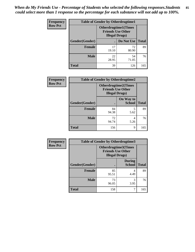| <b>Frequency</b> | <b>Table of Gender by Otherdrugtime1</b> |                       |                                                         |     |  |
|------------------|------------------------------------------|-----------------------|---------------------------------------------------------|-----|--|
| <b>Row Pct</b>   |                                          | <b>Illegal Drugs)</b> | <b>Otherdrugtime1(Times</b><br><b>Friends Use Other</b> |     |  |
|                  | Gender(Gender)                           |                       | Do Not Use   Total                                      |     |  |
|                  | <b>Female</b>                            | 17<br>19.10           | 72<br>80.90                                             | 89  |  |
|                  | <b>Male</b>                              | 22<br>28.95           | 54<br>71.05                                             | 76  |  |
|                  | <b>Total</b>                             | 39                    | 126                                                     | 165 |  |

| Frequency      | <b>Table of Gender by Otherdrugtime2</b> |                                                                                   |                            |              |
|----------------|------------------------------------------|-----------------------------------------------------------------------------------|----------------------------|--------------|
| <b>Row Pct</b> |                                          | <b>Otherdrugtime2(Times</b><br><b>Friends Use Other</b><br><b>Illegal Drugs</b> ) |                            |              |
|                | Gender(Gender)                           |                                                                                   | On Way to<br><b>School</b> | <b>Total</b> |
|                | <b>Female</b>                            | 84<br>94.38                                                                       | 5<br>5.62                  | 89           |
|                | <b>Male</b>                              | 72<br>94.74                                                                       | 4<br>5.26                  | 76           |
|                | <b>Total</b>                             | 156                                                                               | 9                          | 165          |

| Frequency      | <b>Table of Gender by Otherdrugtime3</b> |                        |                                                         |              |
|----------------|------------------------------------------|------------------------|---------------------------------------------------------|--------------|
| <b>Row Pct</b> |                                          | <b>Illegal Drugs</b> ) | <b>Otherdrugtime3(Times</b><br><b>Friends Use Other</b> |              |
|                | Gender(Gender)                           |                        | <b>During</b><br><b>School</b>                          | <b>Total</b> |
|                | <b>Female</b>                            | 85<br>95.51            | 4<br>4.49                                               | 89           |
|                | <b>Male</b>                              | 73<br>96.05            | 3<br>3.95                                               | 76           |
|                | <b>Total</b>                             | 158                    | 7                                                       | 165          |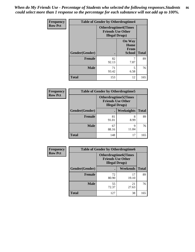*When do My Friends Use - Percentage of Students who selected the following responses.Students could select more than 1 response so the percentage for each substance will not add up to 100%.* **86**

| Frequency      | <b>Table of Gender by Otherdrugtime4</b> |                                                    |                                                       |              |
|----------------|------------------------------------------|----------------------------------------------------|-------------------------------------------------------|--------------|
| <b>Row Pct</b> |                                          | <b>Friends Use Other</b><br><b>Illegal Drugs</b> ) | <b>Otherdrugtime4(Times</b>                           |              |
|                | Gender(Gender)                           |                                                    | <b>On Way</b><br>Home<br><b>From</b><br><b>School</b> | <b>Total</b> |
|                | <b>Female</b>                            | 82<br>92.13                                        | 7.87                                                  | 89           |
|                | <b>Male</b>                              | 71<br>93.42                                        | 5<br>6.58                                             | 76           |
|                | <b>Total</b>                             | 153                                                | 12                                                    | 165          |

| <b>Frequency</b> | <b>Table of Gender by Otherdrugtime5</b> |                                                                                    |                   |              |  |
|------------------|------------------------------------------|------------------------------------------------------------------------------------|-------------------|--------------|--|
| <b>Row Pct</b>   |                                          | <b>Otherdrugtime5</b> (Times<br><b>Friends Use Other</b><br><b>Illegal Drugs</b> ) |                   |              |  |
|                  | Gender(Gender)                           |                                                                                    | <b>Weeknights</b> | <b>Total</b> |  |
|                  | <b>Female</b>                            | 81<br>91.01                                                                        | 8<br>8.99         | 89           |  |
|                  | <b>Male</b>                              | 67<br>88.16                                                                        | q<br>11.84        | 76           |  |
|                  | Total                                    | 148                                                                                | 17                | 165          |  |

| <b>Frequency</b> | <b>Table of Gender by Otherdrugtime6</b> |                                                                                   |             |              |
|------------------|------------------------------------------|-----------------------------------------------------------------------------------|-------------|--------------|
| <b>Row Pct</b>   |                                          | <b>Otherdrugtime6(Times</b><br><b>Friends Use Other</b><br><b>Illegal Drugs</b> ) |             |              |
|                  | Gender(Gender)                           |                                                                                   | Weekends    | <b>Total</b> |
|                  | Female                                   | 72<br>80.90                                                                       | 17<br>19.10 | 89           |
|                  | <b>Male</b>                              | 55<br>72.37                                                                       | 21<br>27.63 | 76           |
|                  | <b>Total</b>                             | 127                                                                               | 38          | 165          |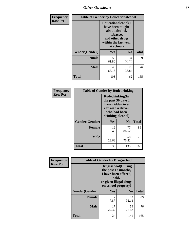# *Other Questions* **87**

| Frequency      | <b>Table of Gender by Educationalcohol</b> |                                                                                                                               |                |              |  |
|----------------|--------------------------------------------|-------------------------------------------------------------------------------------------------------------------------------|----------------|--------------|--|
| <b>Row Pct</b> |                                            | Educationalcohol(I<br>have been taught<br>about alcohol,<br>tobacco,<br>and other drugs<br>within the last year<br>at school) |                |              |  |
|                | Gender(Gender)                             | Yes                                                                                                                           | N <sub>0</sub> | <b>Total</b> |  |
|                | <b>Female</b>                              | 55<br>61.80                                                                                                                   | 34<br>38.20    | 89           |  |
|                | <b>Male</b>                                | 48<br>63.16                                                                                                                   | 28<br>36.84    | 76           |  |
|                | <b>Total</b>                               | 103                                                                                                                           | 62             | 165          |  |

| Frequency      |                |                                                                                                                     | <b>Table of Gender by Rodedrinking</b> |              |  |
|----------------|----------------|---------------------------------------------------------------------------------------------------------------------|----------------------------------------|--------------|--|
| <b>Row Pct</b> |                | Rodedrinking(In<br>the past 30 days I<br>have ridden in a<br>car with a driver<br>who had been<br>drinking alcohol) |                                        |              |  |
|                | Gender(Gender) | Yes                                                                                                                 | $\bf No$                               | <b>Total</b> |  |
|                | <b>Female</b>  | 12<br>13.48                                                                                                         | 77<br>86.52                            | 89           |  |
|                | <b>Male</b>    | 18<br>23.68                                                                                                         | 58<br>76.32                            | 76           |  |
|                | <b>Total</b>   | 30                                                                                                                  | 135                                    | 165          |  |

| Frequency      | <b>Table of Gender by Drugsschool</b> |                                                                                                                                     |                |              |  |
|----------------|---------------------------------------|-------------------------------------------------------------------------------------------------------------------------------------|----------------|--------------|--|
| <b>Row Pct</b> |                                       | <b>Drugsschool</b> (During<br>the past 12 months,<br>I have been offered,<br>sold,<br>or given illegal drugs<br>on school property) |                |              |  |
|                | Gender(Gender)                        | Yes                                                                                                                                 | N <sub>0</sub> | <b>Total</b> |  |
|                | <b>Female</b>                         | 7<br>7.87                                                                                                                           | 82<br>92.13    | 89           |  |
|                | <b>Male</b>                           | 17<br>22.37                                                                                                                         | 59<br>77.63    | 76           |  |
|                | Total                                 | 24                                                                                                                                  | 141            | 165          |  |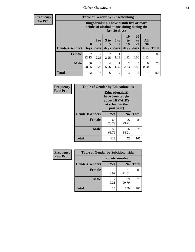# *Other Questions* **88**

**Frequency Row Pct**

| <b>Table of Gender by Bingedrinking</b> |                         |                                                                                                         |                   |                          |                        |                               |                   |              |
|-----------------------------------------|-------------------------|---------------------------------------------------------------------------------------------------------|-------------------|--------------------------|------------------------|-------------------------------|-------------------|--------------|
|                                         |                         | Bingedrinking(I have drunk five or more<br>drinks of alcohol at one sitting during the<br>last 30 days) |                   |                          |                        |                               |                   |              |
| <b>Gender</b> (Gender)                  | $\bf{0}$<br><b>Days</b> | $1$ or<br>days                                                                                          | 3 to<br>5<br>days | <b>6 to</b><br>q<br>days | 10<br>to<br>19<br>days | <b>20</b><br>to<br>29<br>days | All<br>30<br>days | <b>Total</b> |
| <b>Female</b>                           | 82                      |                                                                                                         | 2                 |                          |                        | $\Omega$                      |                   | 89           |
|                                         | 92.13                   | 2.25                                                                                                    | 2.25              | 1.12                     | 1.12                   | 0.00                          | 1.12              |              |
| <b>Male</b>                             | 60<br>78.95             | 4<br>5.26                                                                                               | 4<br>5.26         | 1.32                     | $\overline{2}$<br>2.63 | 5<br>6.58                     | $\theta$<br>0.00  | 76           |

| Frequency      | <b>Table of Gender by Educationaids</b> |                                                                                                 |                |              |  |
|----------------|-----------------------------------------|-------------------------------------------------------------------------------------------------|----------------|--------------|--|
| <b>Row Pct</b> |                                         | <b>Educationaids</b> (I<br>have been taught<br>about HIV/AIDS<br>at school in the<br>past year) |                |              |  |
|                | Gender(Gender)                          | Yes                                                                                             | N <sub>0</sub> | <b>Total</b> |  |
|                | <b>Female</b>                           | 63<br>70.79                                                                                     | 26<br>29.21    | 89           |  |
|                | <b>Male</b>                             | 50<br>65.79                                                                                     | 26<br>34.21    | 76           |  |
|                | <b>Total</b>                            | 113                                                                                             | 52             | 165          |  |

| <b>Frequency</b> | <b>Table of Gender by Suicideconsider</b> |                 |                |              |  |
|------------------|-------------------------------------------|-----------------|----------------|--------------|--|
| <b>Row Pct</b>   |                                           | Suicideconsider |                |              |  |
|                  | Gender(Gender)                            | Yes             | N <sub>0</sub> | <b>Total</b> |  |
|                  | Female                                    | 8<br>8.99       | 81<br>91.01    | 89           |  |
|                  | <b>Male</b>                               | 9.21            | 69<br>90.79    | 76           |  |
|                  | <b>Total</b>                              | 15              | 150            | 165          |  |